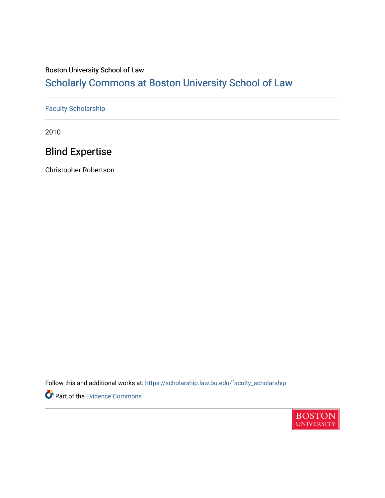# Boston University School of Law

# [Scholarly Commons at Boston University School of Law](https://scholarship.law.bu.edu/)

# [Faculty Scholarship](https://scholarship.law.bu.edu/faculty_scholarship)

2010

# Blind Expertise

Christopher Robertson

Follow this and additional works at: [https://scholarship.law.bu.edu/faculty\\_scholarship](https://scholarship.law.bu.edu/faculty_scholarship?utm_source=scholarship.law.bu.edu%2Ffaculty_scholarship%2F1115&utm_medium=PDF&utm_campaign=PDFCoverPages)

Part of the [Evidence Commons](http://network.bepress.com/hgg/discipline/601?utm_source=scholarship.law.bu.edu%2Ffaculty_scholarship%2F1115&utm_medium=PDF&utm_campaign=PDFCoverPages) 

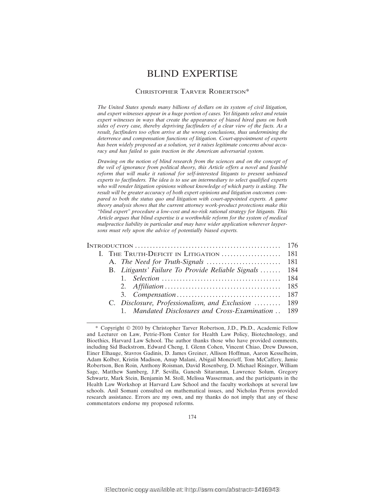# BLIND EXPERTISE

# CHRISTOPHER TARVER ROBERTSON\*

*The United States spends many billions of dollars on its system of civil litigation, and expert witnesses appear in a huge portion of cases. Yet litigants select and retain expert witnesses in ways that create the appearance of biased hired guns on both sides of every case, thereby depriving factfinders of a clear view of the facts. As a result, factfinders too often arrive at the wrong conclusions, thus undermining the deterrence and compensation functions of litigation. Court-appointment of experts has been widely proposed as a solution, yet it raises legitimate concerns about accuracy and has failed to gain traction in the American adversarial system.*

*Drawing on the notion of blind research from the sciences and on the concept of the veil of ignorance from political theory, this Article offers a novel and feasible reform that will make it rational for self-interested litigants to present unbiased experts to factfinders. The idea is to use an intermediary to select qualified experts who will render litigation opinions without knowledge of which party is asking. The result will be greater accuracy of both expert opinions and litigation outcomes compared to both the status quo and litigation with court-appointed experts. A game theory analysis shows that the current attorney work-product protections make this "blind expert" procedure a low-cost and no-risk rational strategy for litigants. This Article argues that blind expertise is a worthwhile reform for the system of medical malpractice liability in particular and may have wider application wherever laypersons must rely upon the advice of potentially biased experts.*

|  | B. Litigants' Failure To Provide Reliable Signals  184 |       |
|--|--------------------------------------------------------|-------|
|  |                                                        | -184  |
|  |                                                        | - 185 |
|  |                                                        |       |
|  | C. Disclosure, Professionalism, and Exclusion  189     |       |
|  | 1. Mandated Disclosures and Cross-Examination  189     |       |

<sup>\*</sup> Copyright © 2010 by Christopher Tarver Robertson, J.D., Ph.D., Academic Fellow and Lecturer on Law, Petrie-Flom Center for Health Law Policy, Biotechnology, and Bioethics, Harvard Law School. The author thanks those who have provided comments, including Sid Backstrom, Edward Cheng, I. Glenn Cohen, Vincent Chiao, Drew Dawson, Einer Elhauge, Stavros Gadinis, D. James Greiner, Allison Hoffman, Aaron Kesselheim, Adam Kolber, Kristin Madison, Anup Malani, Abigail Moncrieff, Tom McCaffery, Jamie Robertson, Ben Roin, Anthony Roisman, David Rosenberg, D. Michael Risinger, William Sage, Matthew Samberg, J.P. Sevilla, Ganesh Sitaraman, Lawrence Solum, Gregory Schwartz, Mark Stein, Benjamin M. Stoll, Melissa Wasserman, and the participants in the Health Law Workshop at Harvard Law School and the faculty workshops at several law schools. Anil Somani consulted on mathematical issues, and Nicholas Perros provided research assistance. Errors are my own, and my thanks do not imply that any of these commentators endorse my proposed reforms.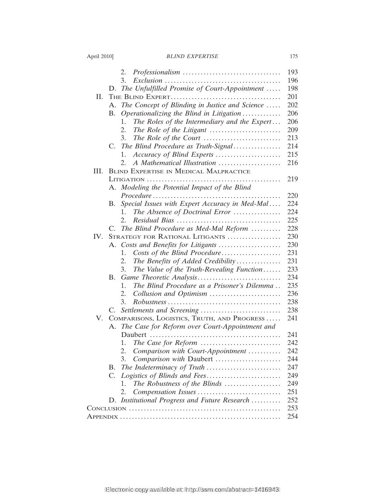|  | April 2010] |  |
|--|-------------|--|
|  |             |  |

|      | 2.                                                   | 193 |  |  |
|------|------------------------------------------------------|-----|--|--|
|      | 3.                                                   | 196 |  |  |
|      | The Unfulfilled Promise of Court-Appointment<br>D.   | 198 |  |  |
| П.   |                                                      | 201 |  |  |
|      | The Concept of Blinding in Justice and Science<br>A. | 202 |  |  |
|      | Operationalizing the Blind in Litigation<br>B.       | 206 |  |  |
|      | The Roles of the Intermediary and the Expert<br>1.   | 206 |  |  |
|      | 2.                                                   | 209 |  |  |
|      | The Role of the Court<br>3.                          | 213 |  |  |
|      | The Blind Procedure as Truth-Signal<br>$C_{\cdot}$   | 214 |  |  |
|      | Accuracy of Blind Experts<br>1.                      | 215 |  |  |
|      | A Mathematical Illustration<br>2.                    | 216 |  |  |
| III. | <b>BLIND EXPERTISE IN MEDICAL MALPRACTICE</b>        |     |  |  |
|      |                                                      |     |  |  |
|      | A. Modeling the Potential Impact of the Blind        | 219 |  |  |
|      |                                                      | 220 |  |  |
|      | Special Issues with Expert Accuracy in Med-Mal<br>В. | 224 |  |  |
|      | The Absence of Doctrinal Error<br>1.                 | 224 |  |  |
|      | $2_{1}$                                              | 225 |  |  |
|      | The Blind Procedure as Med-Mal Reform<br>C.          | 228 |  |  |
| IV.  | STRATEGY FOR RATIONAL LITIGANTS                      | 230 |  |  |
|      | A. Costs and Benefits for Litigants                  | 230 |  |  |
|      | Costs of the Blind Procedure<br>1.                   | 231 |  |  |
|      | The Benefits of Added Credibility<br>2.              | 231 |  |  |
|      | The Value of the Truth-Revealing Function<br>3.      | 233 |  |  |
|      | B.                                                   | 234 |  |  |
|      | The Blind Procedure as a Prisoner's Dilemma<br>1.    | 235 |  |  |
|      | Collusion and Optimism<br>2.                         | 236 |  |  |
|      | 3.                                                   | 238 |  |  |
|      | C.                                                   | 238 |  |  |
| V.   | COMPARISONS, LOGISTICS, TRUTH, AND PROGRESS          | 241 |  |  |
|      | The Case for Reform over Court-Appointment and<br>А. |     |  |  |
|      |                                                      | 241 |  |  |
|      | 1.                                                   | 242 |  |  |
|      | Comparison with Court-Appointment<br>2.              | 242 |  |  |
|      | 3.<br>Comparison with Daubert                        | 244 |  |  |
|      | В.                                                   | 247 |  |  |
|      | Logistics of Blinds and Fees<br>C.                   | 249 |  |  |
|      | The Robustness of the Blinds<br>1.                   | 249 |  |  |
|      | 2.                                                   | 251 |  |  |
|      | Institutional Progress and Future Research<br>D.     | 252 |  |  |
|      |                                                      | 253 |  |  |
|      |                                                      | 254 |  |  |
|      |                                                      |     |  |  |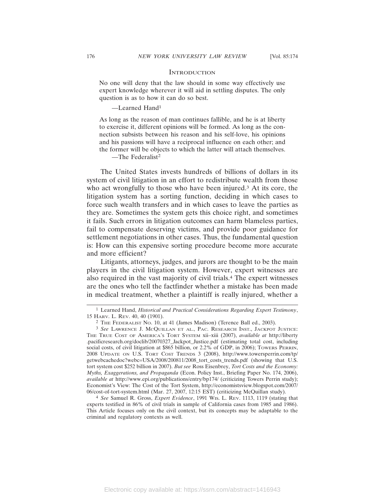# **INTRODUCTION**

No one will deny that the law should in some way effectively use expert knowledge wherever it will aid in settling disputes. The only question is as to how it can do so best.

—Learned Hand1

As long as the reason of man continues fallible, and he is at liberty to exercise it, different opinions will be formed. As long as the connection subsists between his reason and his self-love, his opinions and his passions will have a reciprocal influence on each other; and the former will be objects to which the latter will attach themselves.

—The Federalist<sup>2</sup>

The United States invests hundreds of billions of dollars in its system of civil litigation in an effort to redistribute wealth from those who act wrongfully to those who have been injured.<sup>3</sup> At its core, the litigation system has a sorting function, deciding in which cases to force such wealth transfers and in which cases to leave the parties as they are. Sometimes the system gets this choice right, and sometimes it fails. Such errors in litigation outcomes can harm blameless parties, fail to compensate deserving victims, and provide poor guidance for settlement negotiations in other cases. Thus, the fundamental question is: How can this expensive sorting procedure become more accurate and more efficient?

Litigants, attorneys, judges, and jurors are thought to be the main players in the civil litigation system. However, expert witnesses are also required in the vast majority of civil trials.4 The expert witnesses are the ones who tell the factfinder whether a mistake has been made in medical treatment, whether a plaintiff is really injured, whether a

4 *See* Samuel R. Gross, *Expert Evidence*, 1991 WIS. L. REV. 1113, 1119 (stating that experts testified in 86% of civil trials in sample of California cases from 1985 and 1986). This Article focuses only on the civil context, but its concepts may be adaptable to the criminal and regulatory contexts as well.

<sup>1</sup> Learned Hand, *Historical and Practical Considerations Regarding Expert Testimony*, 15 HARV. L. REV. 40, 40 (1901).

<sup>2</sup> THE FEDERALIST NO. 10, at 41 (James Madison) (Terence Ball ed., 2003).

<sup>3</sup> *See* LAWRENCE J. MCQUILLAN ET AL., PAC. RESEARCH INST., JACKPOT JUSTICE: THE TRUE COST OF AMERICA'S TORT SYSTEM xii–xiii (2007), *available at* http://liberty .pacificresearch.org/doclib/20070327\_Jackpot\_Justice.pdf (estimating total cost, including social costs, of civil litigation at \$865 billion, or 2.2% of GDP, in 2006); TOWERS PERRIN, 2008 UPDATE ON U.S. TORT COST TRENDS 3 (2008), http://www.towersperrin.com/tp/ getwebcachedoc?webc=USA/2008/200811/2008\_tort\_costs\_trends.pdf (showing that U.S. tort system cost \$252 billion in 2007). *But see* Ross Eisenbrey, *Tort Costs and the Economy: Myths, Exaggerations, and Propaganda* (Econ. Policy Inst., Briefing Paper No. 174, 2006), *available at* http://www.epi.org/publications/entry/bp174/ (criticizing Towers Perrin study); Economist's View: The Cost of the Tort System, http://economistsview.blogspot.com/2007/ 06/cost-of-tort-system.html (Mar. 27, 2007, 12:15 EST) (criticizing McQuillan study).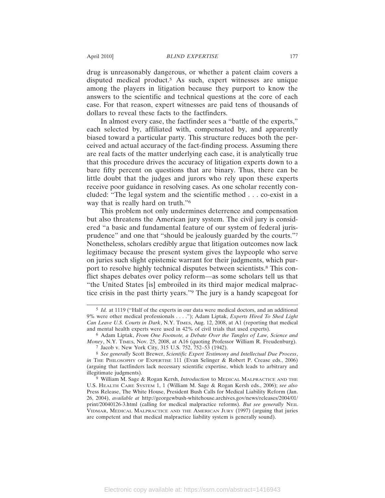drug is unreasonably dangerous, or whether a patent claim covers a disputed medical product.5 As such, expert witnesses are unique among the players in litigation because they purport to know the answers to the scientific and technical questions at the core of each case. For that reason, expert witnesses are paid tens of thousands of dollars to reveal these facts to the factfinders.

In almost every case, the factfinder sees a "battle of the experts," each selected by, affiliated with, compensated by, and apparently biased toward a particular party. This structure reduces both the perceived and actual accuracy of the fact-finding process. Assuming there are real facts of the matter underlying each case, it is analytically true that this procedure drives the accuracy of litigation experts down to a bare fifty percent on questions that are binary. Thus, there can be little doubt that the judges and jurors who rely upon these experts receive poor guidance in resolving cases. As one scholar recently concluded: "The legal system and the scientific method . . . co-exist in a way that is really hard on truth."6

This problem not only undermines deterrence and compensation but also threatens the American jury system. The civil jury is considered "a basic and fundamental feature of our system of federal jurisprudence" and one that "should be jealously guarded by the courts."7 Nonetheless, scholars credibly argue that litigation outcomes now lack legitimacy because the present system gives the laypeople who serve on juries such slight epistemic warrant for their judgments, which purport to resolve highly technical disputes between scientists.8 This conflict shapes debates over policy reform—as some scholars tell us that "the United States [is] embroiled in its third major medical malpractice crisis in the past thirty years."9 The jury is a handy scapegoat for

<sup>5</sup> *Id.* at 1119 ("Half of the experts in our data were medical doctors, and an additional 9% were other medical professionals . . . ."); Adam Liptak, *Experts Hired To Shed Light Can Leave U.S. Courts in Dark*, N.Y. TIMES, Aug. 12, 2008, at A1 (reporting that medical and mental health experts were used in 42% of civil trials that used experts).

<sup>6</sup> Adam Liptak, *From One Footnote, a Debate Over the Tangles of Law, Science and Money*, N.Y. TIMES, Nov. 25, 2008, at A16 (quoting Professor William R. Freudenburg). 7 Jacob v. New York City, 315 U.S. 752, 752–53 (1942).

<sup>8</sup> *See generally* Scott Brewer, *Scientific Expert Testimony and Intellectual Due Process*, *in* THE PHILOSOPHY OF EXPERTISE 111 (Evan Selinger & Robert P. Crease eds., 2006) (arguing that factfinders lack necessary scientific expertise, which leads to arbitrary and illegitimate judgments).

<sup>9</sup> William M. Sage & Rogan Kersh, *Introduction* to MEDICAL MALPRACTICE AND THE U.S. HEALTH CARE SYSTEM 1, 1 (William M. Sage & Rogan Kersh eds., 2006); *see also* Press Release, The White House, President Bush Calls for Medical Liability Reform (Jan. 26, 2004), *available at* http://georgewbush-whitehouse.archives.gov/news/releases/2004/01/ print/20040126-3.html (calling for medical malpractice reforms). *But see generally* NEIL VIDMAR, MEDICAL MALPRACTICE AND THE AMERICAN JURY (1997) (arguing that juries are competent and that medical malpractice liability system is generally sound).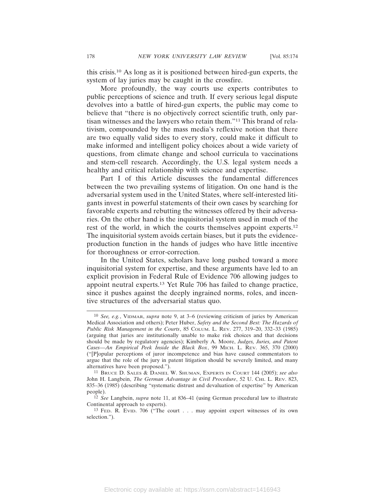this crisis.10 As long as it is positioned between hired-gun experts, the system of lay juries may be caught in the crossfire.

More profoundly, the way courts use experts contributes to public perceptions of science and truth. If every serious legal dispute devolves into a battle of hired-gun experts, the public may come to believe that "there is no objectively correct scientific truth, only partisan witnesses and the lawyers who retain them."11 This brand of relativism, compounded by the mass media's reflexive notion that there are two equally valid sides to every story, could make it difficult to make informed and intelligent policy choices about a wide variety of questions, from climate change and school curricula to vaccinations and stem-cell research. Accordingly, the U.S. legal system needs a healthy and critical relationship with science and expertise.

Part I of this Article discusses the fundamental differences between the two prevailing systems of litigation. On one hand is the adversarial system used in the United States, where self-interested litigants invest in powerful statements of their own cases by searching for favorable experts and rebutting the witnesses offered by their adversaries. On the other hand is the inquisitorial system used in much of the rest of the world, in which the courts themselves appoint experts.12 The inquisitorial system avoids certain biases, but it puts the evidenceproduction function in the hands of judges who have little incentive for thoroughness or error-correction.

In the United States, scholars have long pushed toward a more inquisitorial system for expertise, and these arguments have led to an explicit provision in Federal Rule of Evidence 706 allowing judges to appoint neutral experts.13 Yet Rule 706 has failed to change practice, since it pushes against the deeply ingrained norms, roles, and incentive structures of the adversarial status quo.

<sup>10</sup> *See, e.g.*, VIDMAR, *supra* note 9, at 3–6 (reviewing criticism of juries by American Medical Association and others); Peter Huber, *Safety and the Second Best: The Hazards of Public Risk Management in the Courts*, 85 COLUM. L. REV. 277, 319–20, 332–33 (1985) (arguing that juries are institutionally unable to make risk choices and that decisions should be made by regulatory agencies); Kimberly A. Moore, *Judges, Juries, and Patent Cases—An Empirical Peek Inside the Black Box*, 99 MICH. L. REV. 365, 370 (2000) ("[P]opular perceptions of juror incompetence and bias have caused commentators to argue that the role of the jury in patent litigation should be severely limited, and many alternatives have been proposed.").

<sup>11</sup> BRUCE D. SALES & DANIEL W. SHUMAN, EXPERTS IN COURT 144 (2005); *see also* John H. Langbein, *The German Advantage in Civil Procedure*, 52 U. CHI. L. REV. 823, 835–36 (1985) (describing "systematic distrust and devaluation of expertise" by American people).

<sup>12</sup> *See* Langbein, *supra* note 11, at 836–41 (using German procedural law to illustrate Continental approach to experts).

<sup>13</sup> FED. R. EVID. 706 ("The court . . . may appoint expert witnesses of its own selection.").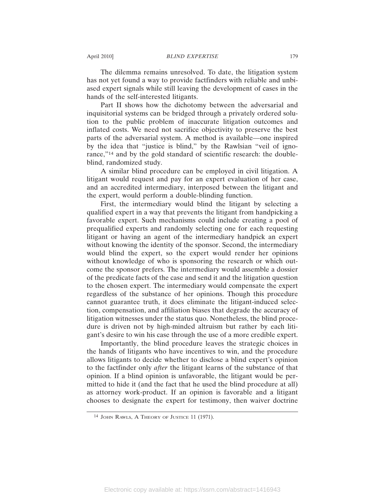The dilemma remains unresolved. To date, the litigation system has not yet found a way to provide factfinders with reliable and unbiased expert signals while still leaving the development of cases in the hands of the self-interested litigants.

Part II shows how the dichotomy between the adversarial and inquisitorial systems can be bridged through a privately ordered solution to the public problem of inaccurate litigation outcomes and inflated costs. We need not sacrifice objectivity to preserve the best parts of the adversarial system. A method is available—one inspired by the idea that "justice is blind," by the Rawlsian "veil of ignorance,"14 and by the gold standard of scientific research: the doubleblind, randomized study.

A similar blind procedure can be employed in civil litigation. A litigant would request and pay for an expert evaluation of her case, and an accredited intermediary, interposed between the litigant and the expert, would perform a double-blinding function.

First, the intermediary would blind the litigant by selecting a qualified expert in a way that prevents the litigant from handpicking a favorable expert. Such mechanisms could include creating a pool of prequalified experts and randomly selecting one for each requesting litigant or having an agent of the intermediary handpick an expert without knowing the identity of the sponsor. Second, the intermediary would blind the expert, so the expert would render her opinions without knowledge of who is sponsoring the research or which outcome the sponsor prefers. The intermediary would assemble a dossier of the predicate facts of the case and send it and the litigation question to the chosen expert. The intermediary would compensate the expert regardless of the substance of her opinions. Though this procedure cannot guarantee truth, it does eliminate the litigant-induced selection, compensation, and affiliation biases that degrade the accuracy of litigation witnesses under the status quo. Nonetheless, the blind procedure is driven not by high-minded altruism but rather by each litigant's desire to win his case through the use of a more credible expert.

Importantly, the blind procedure leaves the strategic choices in the hands of litigants who have incentives to win, and the procedure allows litigants to decide whether to disclose a blind expert's opinion to the factfinder only *after* the litigant learns of the substance of that opinion. If a blind opinion is unfavorable, the litigant would be permitted to hide it (and the fact that he used the blind procedure at all) as attorney work-product. If an opinion is favorable and a litigant chooses to designate the expert for testimony, then waiver doctrine

<sup>14</sup> JOHN RAWLS, A THEORY OF JUSTICE 11 (1971).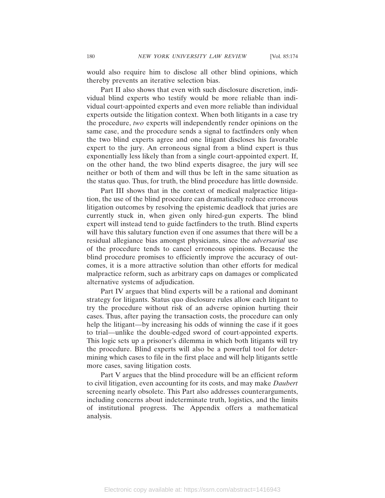would also require him to disclose all other blind opinions, which thereby prevents an iterative selection bias.

Part II also shows that even with such disclosure discretion, individual blind experts who testify would be more reliable than individual court-appointed experts and even more reliable than individual experts outside the litigation context. When both litigants in a case try the procedure, *two* experts will independently render opinions on the same case, and the procedure sends a signal to factfinders only when the two blind experts agree and one litigant discloses his favorable expert to the jury. An erroneous signal from a blind expert is thus exponentially less likely than from a single court-appointed expert. If, on the other hand, the two blind experts disagree, the jury will see neither or both of them and will thus be left in the same situation as the status quo. Thus, for truth, the blind procedure has little downside.

Part III shows that in the context of medical malpractice litigation, the use of the blind procedure can dramatically reduce erroneous litigation outcomes by resolving the epistemic deadlock that juries are currently stuck in, when given only hired-gun experts. The blind expert will instead tend to guide factfinders to the truth. Blind experts will have this salutary function even if one assumes that there will be a residual allegiance bias amongst physicians, since the *adversarial* use of the procedure tends to cancel erroneous opinions. Because the blind procedure promises to efficiently improve the accuracy of outcomes, it is a more attractive solution than other efforts for medical malpractice reform, such as arbitrary caps on damages or complicated alternative systems of adjudication.

Part IV argues that blind experts will be a rational and dominant strategy for litigants. Status quo disclosure rules allow each litigant to try the procedure without risk of an adverse opinion hurting their cases. Thus, after paying the transaction costs, the procedure can only help the litigant—by increasing his odds of winning the case if it goes to trial—unlike the double-edged sword of court-appointed experts. This logic sets up a prisoner's dilemma in which both litigants will try the procedure. Blind experts will also be a powerful tool for determining which cases to file in the first place and will help litigants settle more cases, saving litigation costs.

Part V argues that the blind procedure will be an efficient reform to civil litigation, even accounting for its costs, and may make *Daubert* screening nearly obsolete. This Part also addresses counterarguments, including concerns about indeterminate truth, logistics, and the limits of institutional progress. The Appendix offers a mathematical analysis.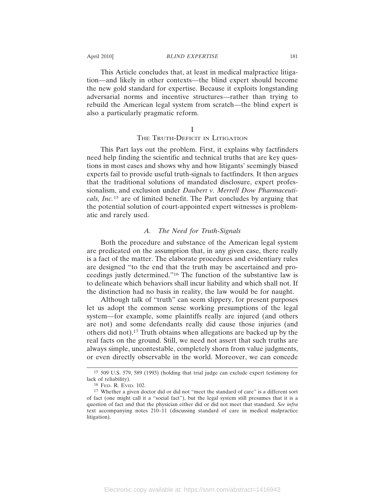This Article concludes that, at least in medical malpractice litigation—and likely in other contexts—the blind expert should become the new gold standard for expertise. Because it exploits longstanding adversarial norms and incentive structures—rather than trying to rebuild the American legal system from scratch—the blind expert is also a particularly pragmatic reform.

# I

# THE TRUTH-DEFICIT IN LITIGATION

This Part lays out the problem. First, it explains why factfinders need help finding the scientific and technical truths that are key questions in most cases and shows why and how litigants' seemingly biased experts fail to provide useful truth-signals to factfinders. It then argues that the traditional solutions of mandated disclosure, expert professionalism, and exclusion under *Daubert v. Merrell Dow Pharmaceuticals, Inc.*<sup>15</sup> are of limited benefit. The Part concludes by arguing that the potential solution of court-appointed expert witnesses is problematic and rarely used.

# *A. The Need for Truth-Signals*

Both the procedure and substance of the American legal system are predicated on the assumption that, in any given case, there really is a fact of the matter. The elaborate procedures and evidentiary rules are designed "to the end that the truth may be ascertained and proceedings justly determined."16 The function of the substantive law is to delineate which behaviors shall incur liability and which shall not. If the distinction had no basis in reality, the law would be for naught.

Although talk of "truth" can seem slippery, for present purposes let us adopt the common sense working presumptions of the legal system—for example, some plaintiffs really are injured (and others are not) and some defendants really did cause those injuries (and others did not).17 Truth obtains when allegations are backed up by the real facts on the ground. Still, we need not assert that such truths are always simple, uncontestable, completely shorn from value judgments, or even directly observable in the world. Moreover, we can concede

<sup>15</sup> 509 U.S. 579, 589 (1993) (holding that trial judge can exclude expert testimony for lack of reliability).

<sup>16</sup> FED. R. EVID. 102.

<sup>17</sup> Whether a given doctor did or did not "meet the standard of care" is a different sort of fact (one might call it a "social fact"), but the legal system still presumes that it is a question of fact and that the physician either did or did not meet that standard. *See infra* text accompanying notes 210–11 (discussing standard of care in medical malpractice litigation).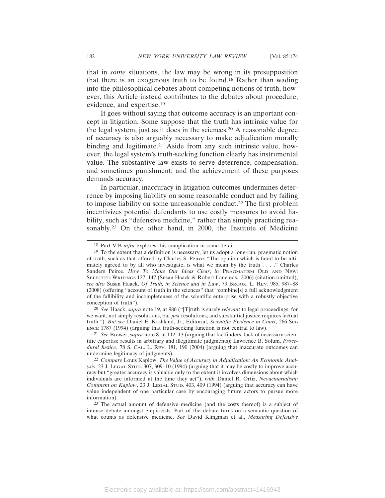that in *some* situations, the law may be wrong in its presupposition that there is an exogenous truth to be found.18 Rather than wading into the philosophical debates about competing notions of truth, however, this Article instead contributes to the debates about procedure, evidence, and expertise.19

It goes without saying that outcome accuracy is an important concept in litigation. Some suppose that the truth has intrinsic value for the legal system, just as it does in the sciences.20 A reasonable degree of accuracy is also arguably necessary to make adjudication morally binding and legitimate.<sup>21</sup> Aside from any such intrinsic value, however, the legal system's truth-seeking function clearly has instrumental value. The substantive law exists to serve deterrence, compensation, and sometimes punishment; and the achievement of these purposes demands accuracy.

In particular, inaccuracy in litigation outcomes undermines deterrence by imposing liability on some reasonable conduct and by failing to impose liability on some unreasonable conduct.22 The first problem incentivizes potential defendants to use costly measures to avoid liability, such as "defensive medicine," rather than simply practicing reasonably.<sup>23</sup> On the other hand, in 2000, the Institute of Medicine

20 *See* Haack, *supra* note 19, at 986 ("[T]ruth is surely *relevant* to legal proceedings, for we want, not simply resolutions, but *just* resolutions; and substantial justice requires factual truth."). *But see* Daniel E. Koshland, Jr., Editorial, *Scientific Evidence in Court*, 266 SCI-ENCE 1787 (1994) (arguing that truth-seeking function is not central to law).

21 *See* Brewer, *supra* note 8, at 112–13 (arguing that factfinders' lack of necessary scientific expertise results in arbitrary and illegitimate judgments); Lawrence B. Solum, *Procedural Justice*, 78 S. CAL. L. REV. 181, 190 (2004) (arguing that inaccurate outcomes can undermine legitimacy of judgments).

<sup>18</sup> Part V.B *infra* explores this complication in some detail.

<sup>19</sup> To the extent that a definition is necessary, let us adopt a long-run, pragmatic notion of truth, such as that offered by Charles S. Peirce: "The opinion which is fated to be ultimately agreed to by all who investigate, is what we mean by the truth . . . ." Charles Sanders Peirce, *How To Make Our Ideas Clear*, *in* PRAGMATISM OLD AND NEW: SELECTED WRITINGS 127, 147 (Susan Haack & Robert Lane eds., 2006) (citation omitted); *see also* Susan Haack, *Of Truth, in Science and in Law*, 73 BROOK. L. REV. 985, 987–88 (2008) (offering "account of truth in the sciences" that "combine[s] a full acknowledgment of the fallibility and incompleteness of the scientific enterprise with a robustly objective conception of truth").

<sup>22</sup> *Compare* Louis Kaplow, *The Value of Accuracy in Adjudication: An Economic Analysis*, 23 J. LEGAL STUD. 307, 309–10 (1994) (arguing that it may be costly to improve accuracy but "greater accuracy is valuable only to the extent it involves dimensions about which individuals are informed at the time they act"), *with* Daniel R. Ortiz, *Neoactuarialism: Comment on Kaplow*, 23 J. LEGAL STUD. 403, 409 (1994) (arguing that accuracy can have value independent of one particular case by encouraging future actors to pursue more information).

<sup>23</sup> The actual amount of defensive medicine (and the costs thereof) is a subject of intense debate amongst empiricists. Part of the debate turns on a semantic question of what counts as defensive medicine. *See* David Klingman et al., *Measuring Defensive*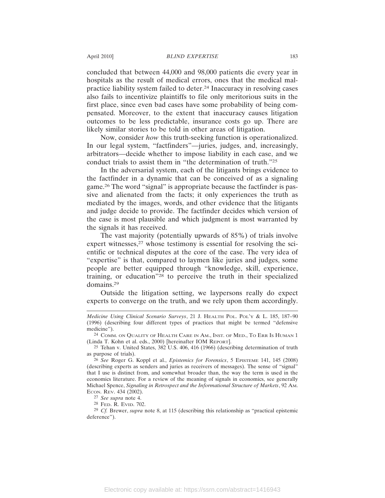concluded that between 44,000 and 98,000 patients die every year in hospitals as the result of medical errors, ones that the medical malpractice liability system failed to deter.24 Inaccuracy in resolving cases also fails to incentivize plaintiffs to file only meritorious suits in the first place, since even bad cases have some probability of being compensated. Moreover, to the extent that inaccuracy causes litigation outcomes to be less predictable, insurance costs go up. There are likely similar stories to be told in other areas of litigation.

Now, consider *how* this truth-seeking function is operationalized. In our legal system, "factfinders"—juries, judges, and, increasingly, arbitrators—decide whether to impose liability in each case, and we conduct trials to assist them in "the determination of truth."25

In the adversarial system, each of the litigants brings evidence to the factfinder in a dynamic that can be conceived of as a signaling game.26 The word "signal" is appropriate because the factfinder is passive and alienated from the facts; it only experiences the truth as mediated by the images, words, and other evidence that the litigants and judge decide to provide. The factfinder decides which version of the case is most plausible and which judgment is most warranted by the signals it has received.

The vast majority (potentially upwards of 85%) of trials involve expert witnesses,<sup>27</sup> whose testimony is essential for resolving the scientific or technical disputes at the core of the case. The very idea of "expertise" is that, compared to laymen like juries and judges, some people are better equipped through "knowledge, skill, experience, training, or education"28 to perceive the truth in their specialized domains.29

Outside the litigation setting, we laypersons really do expect experts to converge on the truth, and we rely upon them accordingly.

27 *See supra* note 4.

28 FED. R. EVID. 702.

29 *Cf.* Brewer, *supra* note 8, at 115 (describing this relationship as "practical epistemic deference").

*Medicine Using Clinical Scenario Surveys*, 21 J. HEALTH POL. POL'Y & L. 185, 187–90 (1996) (describing four different types of practices that might be termed "defensive medicine").

<sup>24</sup> COMM. ON QUALITY OF HEALTH CARE IN AM., INST. OF MED., TO ERR IS HUMAN 1 (Linda T. Kohn et al. eds., 2000) [hereinafter IOM REPORT].

<sup>25</sup> Tehan v. United States, 382 U.S. 406, 416 (1966) (describing determination of truth as purpose of trials).

<sup>26</sup> *See* Roger G. Koppl et al., *Epistemics for Forensics*, 5 EPISTEME 141, 145 (2008) (describing experts as senders and juries as receivers of messages). The sense of "signal" that I use is distinct from, and somewhat broader than, the way the term is used in the economics literature. For a review of the meaning of signals in economics, see generally Michael Spence, *Signaling in Retrospect and the Informational Structure of Markets*, 92 AM. ECON. REV. 434 (2002).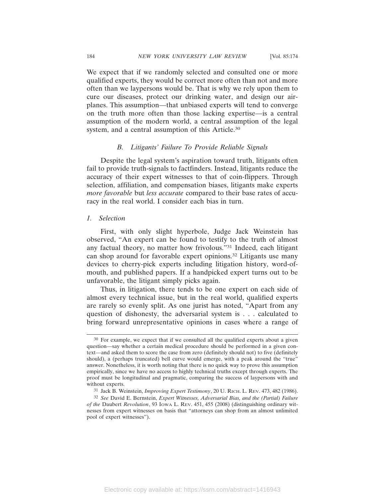We expect that if we randomly selected and consulted one or more qualified experts, they would be correct more often than not and more often than we laypersons would be. That is why we rely upon them to cure our diseases, protect our drinking water, and design our airplanes. This assumption—that unbiased experts will tend to converge on the truth more often than those lacking expertise—is a central assumption of the modern world, a central assumption of the legal system, and a central assumption of this Article.30

#### *B. Litigants' Failure To Provide Reliable Signals*

Despite the legal system's aspiration toward truth, litigants often fail to provide truth-signals to factfinders. Instead, litigants reduce the accuracy of their expert witnesses to that of coin-flippers. Through selection, affiliation, and compensation biases, litigants make experts *more favorable* but *less accurate* compared to their base rates of accuracy in the real world. I consider each bias in turn.

## *1. Selection*

First, with only slight hyperbole, Judge Jack Weinstein has observed, "An expert can be found to testify to the truth of almost any factual theory, no matter how frivolous."31 Indeed, each litigant can shop around for favorable expert opinions.32 Litigants use many devices to cherry-pick experts including litigation history, word-ofmouth, and published papers. If a handpicked expert turns out to be unfavorable, the litigant simply picks again.

Thus, in litigation, there tends to be one expert on each side of almost every technical issue, but in the real world, qualified experts are rarely so evenly split. As one jurist has noted, "Apart from any question of dishonesty, the adversarial system is . . . calculated to bring forward unrepresentative opinions in cases where a range of

<sup>30</sup> For example, we expect that if we consulted all the qualified experts about a given question—say whether a certain medical procedure should be performed in a given context—and asked them to score the case from zero (definitely should not) to five (definitely should), a (perhaps truncated) bell curve would emerge, with a peak around the "true" answer. Nonetheless, it is worth noting that there is no quick way to prove this assumption empirically, since we have no access to highly technical truths except through experts. The proof must be longitudinal and pragmatic, comparing the success of laypersons with and without experts.

<sup>31</sup> Jack B. Weinstein, *Improving Expert Testimony*, 20 U. RICH. L. REV. 473, 482 (1986).

<sup>32</sup> *See* David E. Bernstein, *Expert Witnesses, Adversarial Bias, and the (Partial) Failure of the* Daubert *Revolution*, 93 IOWA L. REV. 451, 455 (2008) (distinguishing ordinary witnesses from expert witnesses on basis that "attorneys can shop from an almost unlimited pool of expert witnesses").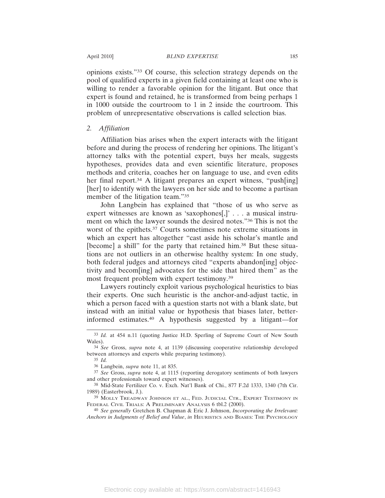opinions exists."33 Of course, this selection strategy depends on the pool of qualified experts in a given field containing at least one who is willing to render a favorable opinion for the litigant. But once that expert is found and retained, he is transformed from being perhaps 1 in 1000 outside the courtroom to 1 in 2 inside the courtroom. This problem of unrepresentative observations is called selection bias.

# *2. Affiliation*

Affiliation bias arises when the expert interacts with the litigant before and during the process of rendering her opinions. The litigant's attorney talks with the potential expert, buys her meals, suggests hypotheses, provides data and even scientific literature, proposes methods and criteria, coaches her on language to use, and even edits her final report.<sup>34</sup> A litigant prepares an expert witness, "push[ing] [her] to identify with the lawyers on her side and to become a partisan member of the litigation team."35

John Langbein has explained that "those of us who serve as expert witnesses are known as 'saxophones[,]' . . . a musical instrument on which the lawyer sounds the desired notes."36 This is not the worst of the epithets.37 Courts sometimes note extreme situations in which an expert has altogether "cast aside his scholar's mantle and [become] a shill" for the party that retained him.<sup>38</sup> But these situations are not outliers in an otherwise healthy system: In one study, both federal judges and attorneys cited "experts abandon[ing] objectivity and becom[ing] advocates for the side that hired them" as the most frequent problem with expert testimony.39

Lawyers routinely exploit various psychological heuristics to bias their experts. One such heuristic is the anchor-and-adjust tactic, in which a person faced with a question starts not with a blank slate, but instead with an initial value or hypothesis that biases later, betterinformed estimates.40 A hypothesis suggested by a litigant—for

<sup>33</sup> *Id.* at 454 n.11 (quoting Justice H.D. Sperling of Supreme Court of New South Wales).

<sup>34</sup> *See* Gross, *supra* note 4, at 1139 (discussing cooperative relationship developed between attorneys and experts while preparing testimony).

<sup>35</sup> *Id.*

<sup>36</sup> Langbein, *supra* note 11, at 835.

<sup>37</sup> *See* Gross, *supra* note 4, at 1115 (reporting derogatory sentiments of both lawyers and other professionals toward expert witnesses).

<sup>38</sup> Mid-State Fertilizer Co. v. Exch. Nat'l Bank of Chi., 877 F.2d 1333, 1340 (7th Cir. 1989) (Easterbrook, J.).

<sup>39</sup> MOLLY TREADWAY JOHNSON ET AL., FED. JUDICIAL CTR., EXPERT TESTIMONY IN FEDERAL CIVIL TRIALS: A PRELIMINARY ANALYSIS 6 tbl.2 (2000).

<sup>40</sup> *See generally* Gretchen B. Chapman & Eric J. Johnson, *Incorporating the Irrelevant: Anchors in Judgments of Belief and Value*, *in* HEURISTICS AND BIASES: THE PSYCHOLOGY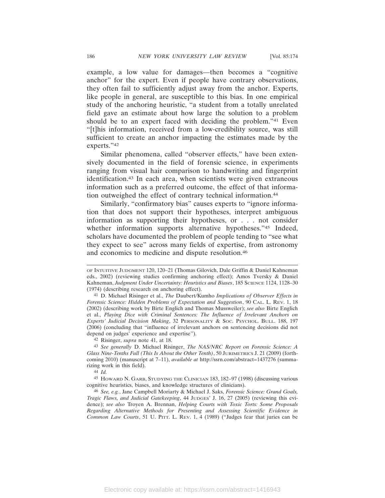example, a low value for damages—then becomes a "cognitive anchor" for the expert. Even if people have contrary observations, they often fail to sufficiently adjust away from the anchor. Experts, like people in general, are susceptible to this bias. In one empirical study of the anchoring heuristic, "a student from a totally unrelated field gave an estimate about how large the solution to a problem should be to an expert faced with deciding the problem."41 Even "[t]his information, received from a low-credibility source, was still sufficient to create an anchor impacting the estimates made by the experts."42

Similar phenomena, called "observer effects," have been extensively documented in the field of forensic science, in experiments ranging from visual hair comparison to handwriting and fingerprint identification.43 In each area, when scientists were given extraneous information such as a preferred outcome, the effect of that information outweighed the effect of contrary technical information.44

Similarly, "confirmatory bias" causes experts to "ignore information that does not support their hypotheses, interpret ambiguous information as supporting their hypotheses, or . . . not consider whether information supports alternative hypotheses."45 Indeed, scholars have documented the problem of people tending to "see what they expect to see" across many fields of expertise, from astronomy and economics to medicine and dispute resolution.46

42 Risinger, *supra* note 41, at 18.

44 *Id.*

OF INTUITIVE JUDGMENT 120, 120–21 (Thomas Gilovich, Dale Griffin & Daniel Kahneman eds., 2002) (reviewing studies confirming anchoring effect); Amos Tversky & Daniel Kahneman, *Judgment Under Uncertainty: Heuristics and Biases*, 185 SCIENCE 1124, 1128-30 (1974) (describing research on anchoring effect).

<sup>41</sup> D. Michael Risinger et al., *The* Daubert*/*Kumho *Implications of Observer Effects in Forensic Science: Hidden Problems of Expectation and Suggestion*, 90 CAL. L. REV. 1, 18 (2002) (describing work by Birte Englich and Thomas Mussweiler); *see also* Birte Englich et al., *Playing Dice with Criminal Sentences: The Influence of Irrelevant Anchors on Experts' Judicial Decision Making*, 32 PERSONALITY & SOC. PSYCHOL. BULL. 188, 197 (2006) (concluding that "influence of irrelevant anchors on sentencing decisions did not depend on judges' experience and expertise").

<sup>43</sup> *See generally* D. Michael Risinger, *The NAS/NRC Report on Forensic Science: A Glass Nine-Tenths Full (This Is About the Other Tenth)*, 50 JURIMETRICS J. 21 (2009) (forthcoming 2010) (manuscript at 7–11), *available at* http://ssrn.com/abstract=1437276 (summarizing work in this field).

<sup>45</sup> HOWARD N. GARB, STUDYING THE CLINICIAN 183, 182–97 (1998) (discussing various cognitive heuristics, biases, and knowledge structures of clinicians).

<sup>46</sup> *See, e.g.*, Jane Campbell Moriarty & Michael J. Saks, *Forensic Science: Grand Goals, Tragic Flaws, and Judicial Gatekeeping*, 44 JUDGES' J. 16, 27 (2005) (reviewing this evidence); *see also* Troyen A. Brennan, *Helping Courts with Toxic Torts: Some Proposals Regarding Alternative Methods for Presenting and Assessing Scientific Evidence in Common Law Courts*, 51 U. PITT. L. REV. 1, 4 (1989) ("Judges fear that juries can be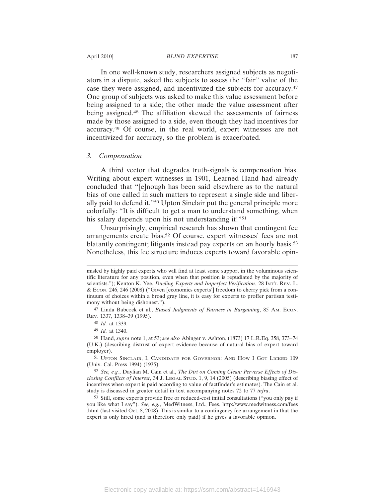In one well-known study, researchers assigned subjects as negotiators in a dispute, asked the subjects to assess the "fair" value of the case they were assigned, and incentivized the subjects for accuracy.47 One group of subjects was asked to make this value assessment before being assigned to a side; the other made the value assessment after being assigned.48 The affiliation skewed the assessments of fairness made by those assigned to a side, even though they had incentives for accuracy.49 Of course, in the real world, expert witnesses are not incentivized for accuracy, so the problem is exacerbated.

#### *3. Compensation*

A third vector that degrades truth-signals is compensation bias. Writing about expert witnesses in 1901, Learned Hand had already concluded that "[e]nough has been said elsewhere as to the natural bias of one called in such matters to represent a single side and liberally paid to defend it."50 Upton Sinclair put the general principle more colorfully: "It is difficult to get a man to understand something, when his salary depends upon his not understanding it!"<sup>51</sup>

Unsurprisingly, empirical research has shown that contingent fee arrangements create bias.52 Of course, expert witnesses' fees are not blatantly contingent; litigants instead pay experts on an hourly basis.53 Nonetheless, this fee structure induces experts toward favorable opin-

misled by highly paid experts who will find at least some support in the voluminous scientific literature for any position, even when that position is repudiated by the majority of scientists."); Kenton K. Yee, *Dueling Experts and Imperfect Verification*, 28 INT'L REV. L. & ECON. 246, 246 (2008) ("Given [economics experts'] freedom to cherry pick from a continuum of choices within a broad gray line, it is easy for experts to proffer partisan testimony without being dishonest.").

<sup>47</sup> Linda Babcock et al., *Biased Judgments of Fairness in Bargaining*, 85 AM. ECON. REV. 1337, 1338–39 (1995).

<sup>48</sup> *Id.* at 1339.

<sup>49</sup> *Id.* at 1340.

<sup>50</sup> Hand, *supra* note 1, at 53; *see also* Abinger v. Ashton, (1873) 17 L.R.Eq. 358, 373–74 (U.K.) (describing distrust of expert evidence because of natural bias of expert toward employer).

<sup>51</sup> UPTON SINCLAIR, I, CANDIDATE FOR GOVERNOR: AND HOW I GOT LICKED 109 (Univ. Cal. Press 1994) (1935).

<sup>52</sup> *See, e.g.*, Daylian M. Cain et al., *The Dirt on Coming Clean: Perverse Effects of Disclosing Conflicts of Interest*, 34 J. LEGAL STUD. 1, 9, 14 (2005) (describing biasing effect of incentives when expert is paid according to value of factfinder's estimates). The Cain et al. study is discussed in greater detail in text accompanying notes 72 to 77 *infra*.

<sup>53</sup> Still, some experts provide free or reduced-cost initial consultations ("you only pay if you like what I say"). *See, e.g.*, MedWitness, Ltd., Fees, http://www.medwitness.com/fees .html (last visited Oct. 8, 2008). This is similar to a contingency fee arrangement in that the expert is only hired (and is therefore only paid) if he gives a favorable opinion.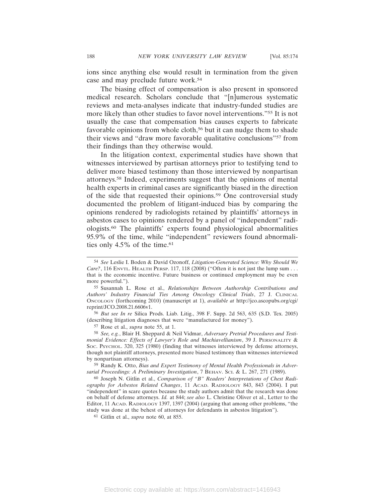ions since anything else would result in termination from the given case and may preclude future work.54

The biasing effect of compensation is also present in sponsored medical research. Scholars conclude that "[n]umerous systematic reviews and meta-analyses indicate that industry-funded studies are more likely than other studies to favor novel interventions."55 It is not usually the case that compensation bias causes experts to fabricate favorable opinions from whole cloth,<sup>56</sup> but it can nudge them to shade their views and "draw more favorable qualitative conclusions"57 from their findings than they otherwise would.

In the litigation context, experimental studies have shown that witnesses interviewed by partisan attorneys prior to testifying tend to deliver more biased testimony than those interviewed by nonpartisan attorneys.58 Indeed, experiments suggest that the opinions of mental health experts in criminal cases are significantly biased in the direction of the side that requested their opinions.59 One controversial study documented the problem of litigant-induced bias by comparing the opinions rendered by radiologists retained by plaintiffs' attorneys in asbestos cases to opinions rendered by a panel of "independent" radiologists.60 The plaintiffs' experts found physiological abnormalities 95.9% of the time, while "independent" reviewers found abnormalities only  $4.5\%$  of the time.<sup>61</sup>

56 *But see In re* Silica Prods. Liab. Litig., 398 F. Supp. 2d 563, 635 (S.D. Tex. 2005) (describing litigation diagnoses that were "manufactured for money").

57 Rose et al., *supra* note 55, at 1.

58 *See, e.g.*, Blair H. Sheppard & Neil Vidmar, *Adversary Pretrial Procedures and Testimonial Evidence: Effects of Lawyer's Role and Machiavellianism*, 39 J. PERSONALITY & SOC. PSYCHOL. 320, 325 (1980) (finding that witnesses interviewed by defense attorneys, though not plaintiff attorneys, presented more biased testimony than witnesses interviewed by nonpartisan attorneys).

59 Randy K. Otto, *Bias and Expert Testimony of Mental Health Professionals in Adversarial Proceedings: A Preliminary Investigation*, 7 BEHAV. SCI. & L. 267, 271 (1989).

60 Joseph N. Gitlin et al., *Comparison of "B" Readers' Interpretations of Chest Radiographs for Asbestos Related Changes*, 11 ACAD. RADIOLOGY 843, 843 (2004). I put "independent" in scare quotes because the study authors admit that the research was done on behalf of defense attorneys. *Id.* at 844; *see also* L. Christine Oliver et al., Letter to the Editor, 11 ACAD. RADIOLOGY 1397, 1397 (2004) (arguing that among other problems, "the study was done at the behest of attorneys for defendants in asbestos litigation").

61 Gitlin et al., *supra* note 60, at 855.

<sup>54</sup> *See* Leslie I. Boden & David Ozonoff, *Litigation-Generated Science: Why Should We Care?*, 116 ENVTL. HEALTH PERSP. 117, 118 (2008) ("Often it is not just the lump sum . . . that is the economic incentive. Future business or continued employment may be even more powerful.").

<sup>55</sup> Susannah L. Rose et al., *Relationships Between Authorship Contributions and Authors' Industry Financial Ties Among Oncology Clinical Trials*, 27 J. CLINICAL ONCOLOGY (forthcoming 2010) (manuscript at 1), *available at* http://jco.ascopubs.org/cgi/ reprint/JCO.2008.21.6606v1.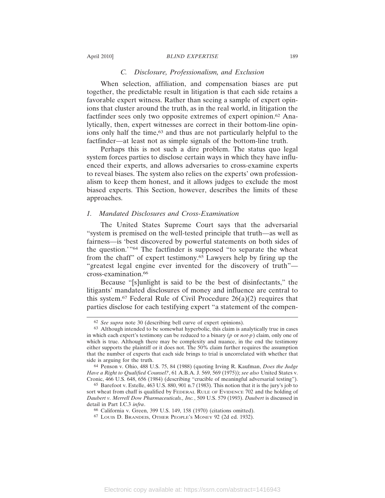#### April 2010] *BLIND EXPERTISE* 189

# *C. Disclosure, Professionalism, and Exclusion*

When selection, affiliation, and compensation biases are put together, the predictable result in litigation is that each side retains a favorable expert witness. Rather than seeing a sample of expert opinions that cluster around the truth, as in the real world, in litigation the factfinder sees only two opposite extremes of expert opinion.62 Analytically, then, expert witnesses are correct in their bottom-line opinions only half the time,<sup>63</sup> and thus are not particularly helpful to the factfinder—at least not as simple signals of the bottom-line truth.

Perhaps this is not such a dire problem. The status quo legal system forces parties to disclose certain ways in which they have influenced their experts, and allows adversaries to cross-examine experts to reveal biases. The system also relies on the experts' own professionalism to keep them honest, and it allows judges to exclude the most biased experts. This Section, however, describes the limits of these approaches.

# *1. Mandated Disclosures and Cross-Examination*

The United States Supreme Court says that the adversarial "system is premised on the well-tested principle that truth—as well as fairness—is 'best discovered by powerful statements on both sides of the question.'"64 The factfinder is supposed "to separate the wheat from the chaff" of expert testimony.65 Lawyers help by firing up the "greatest legal engine ever invented for the discovery of truth" cross-examination.66

Because "[s]unlight is said to be the best of disinfectants," the litigants' mandated disclosures of money and influence are central to this system.<sup>67</sup> Federal Rule of Civil Procedure  $26(a)(2)$  requires that parties disclose for each testifying expert "a statement of the compen-

<sup>62</sup> *See supra* note 30 (describing bell curve of expert opinions).

<sup>63</sup> Although intended to be somewhat hyperbolic, this claim is analytically true in cases in which each expert's testimony can be reduced to a binary (*p* or *not-p*) claim, only one of which is true. Although there may be complexity and nuance, in the end the testimony either supports the plaintiff or it does not. The 50% claim further requires the assumption that the number of experts that each side brings to trial is uncorrelated with whether that side is arguing for the truth.

<sup>64</sup> Penson v. Ohio, 488 U.S. 75, 84 (1988) (quoting Irving R. Kaufman, *Does the Judge Have a Right to Qualified Counsel?*, 61 A.B.A. J. 569, 569 (1975)); *see also* United States v. Cronic, 466 U.S. 648, 656 (1984) (describing "crucible of meaningful adversarial testing").

<sup>65</sup> Barefoot v. Estelle, 463 U.S. 880, 901 n.7 (1983). This notion that it is the jury's job to sort wheat from chaff is qualified by FEDERAL RULE OF EVIDENCE 702 and the holding of *Daubert v. Merrell Dow Pharmaceuticals., Inc.*, 509 U.S. 579 (1993). *Daubert* is discussed in detail in Part I.C.3 *infra*.

<sup>66</sup> California v. Green, 399 U.S. 149, 158 (1970) (citations omitted).

<sup>67</sup> LOUIS D. BRANDEIS, OTHER PEOPLE'S MONEY 92 (2d ed. 1932).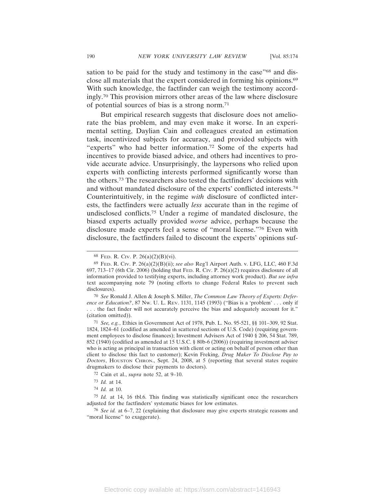sation to be paid for the study and testimony in the case"<sup>68</sup> and disclose all materials that the expert considered in forming his opinions.69 With such knowledge, the factfinder can weigh the testimony accordingly.70 This provision mirrors other areas of the law where disclosure of potential sources of bias is a strong norm.71

But empirical research suggests that disclosure does not ameliorate the bias problem, and may even make it worse. In an experimental setting, Daylian Cain and colleagues created an estimation task, incentivized subjects for accuracy, and provided subjects with "experts" who had better information.72 Some of the experts had incentives to provide biased advice, and others had incentives to provide accurate advice. Unsurprisingly, the laypersons who relied upon experts with conflicting interests performed significantly worse than the others.73 The researchers also tested the factfinders' decisions with and without mandated disclosure of the experts' conflicted interests.74 Counterintuitively, in the regime *with* disclosure of conflicted interests, the factfinders were actually *less* accurate than in the regime of undisclosed conflicts.75 Under a regime of mandated disclosure, the biased experts actually provided *worse* advice, perhaps because the disclosure made experts feel a sense of "moral license."76 Even with disclosure, the factfinders failed to discount the experts' opinions suf-

70 *See* Ronald J. Allen & Joseph S. Miller, *The Common Law Theory of Experts: Deference or Education?*, 87 NW. U. L. REV. 1131, 1145 (1993) ("Bias is a 'problem' . . . only if . . . the fact finder will not accurately perceive the bias and adequately account for it." (citation omitted)).

<sup>68</sup> FED. R. CIV. P. 26(a)(2)(B)(vi).

<sup>69</sup> FED. R. CIV. P. 26(a)(2)(B)(ii); *see also* Reg'l Airport Auth. v. LFG, LLC, 460 F.3d  $697, 713-17$  (6th Cir. 2006) (holding that FED. R. Civ. P. 26(a)(2) requires disclosure of all information provided to testifying experts, including attorney work product). *But see infra* text accompanying note 79 (noting efforts to change Federal Rules to prevent such disclosures).

<sup>71</sup> *See, e.g.*, Ethics in Government Act of 1978, Pub. L. No. 95-521, §§ 101–309, 92 Stat. 1824, 1824–61 (codified as amended in scattered sections of U.S. Code) (requiring government employees to disclose finances); Investment Advisers Act of 1940 § 206, 54 Stat. 789, 852 (1940) (codified as amended at 15 U.S.C. § 80b-6 (2006)) (requiring investment adviser who is acting as principal in transaction with client or acting on behalf of person other than client to disclose this fact to customer); Kevin Freking, *Drug Maker To Disclose Pay to Doctors*, HOUSTON CHRON., Sept. 24, 2008, at 5 (reporting that several states require drugmakers to disclose their payments to doctors).

<sup>72</sup> Cain et al., *supra* note 52, at 9–10.

<sup>73</sup> *Id.* at 14.

<sup>74</sup> *Id.* at 10.

<sup>75</sup> *Id.* at 14, 16 tbl.6. This finding was statistically significant once the researchers adjusted for the factfinders' systematic biases for low estimates.

<sup>76</sup> *See id.* at 6–7, 22 (explaining that disclosure may give experts strategic reasons and "moral license" to exaggerate).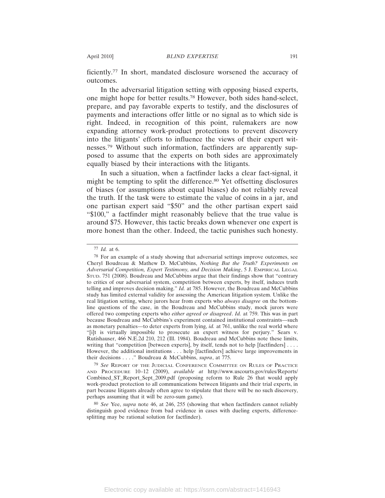ficiently.77 In short, mandated disclosure worsened the accuracy of outcomes.

In the adversarial litigation setting with opposing biased experts, one might hope for better results.78 However, both sides hand-select, prepare, and pay favorable experts to testify, and the disclosures of payments and interactions offer little or no signal as to which side is right. Indeed, in recognition of this point, rulemakers are now expanding attorney work-product protections to prevent discovery into the litigants' efforts to influence the views of their expert witnesses.79 Without such information, factfinders are apparently supposed to assume that the experts on both sides are approximately equally biased by their interactions with the litigants.

In such a situation, when a factfinder lacks a clear fact-signal, it might be tempting to split the difference.<sup>80</sup> Yet offsetting disclosures of biases (or assumptions about equal biases) do not reliably reveal the truth. If the task were to estimate the value of coins in a jar, and one partisan expert said "\$50" and the other partisan expert said "\$100," a factfinder might reasonably believe that the true value is around \$75. However, this tactic breaks down whenever one expert is more honest than the other. Indeed, the tactic punishes such honesty.

<sup>77</sup> *Id.* at 6.

<sup>78</sup> For an example of a study showing that adversarial settings improve outcomes, see Cheryl Boudreau & Mathew D. McCubbins, *Nothing But the Truth? Experiments on Adversarial Competition, Expert Testimony, and Decision Making*, 5 J. EMPIRICAL LEGAL STUD. 751 (2008). Boudreau and McCubbins argue that their findings show that "contrary to critics of our adversarial system, competition between experts, by itself, induces truth telling and improves decision making." *Id.* at 785. However, the Boudreau and McCubbins study has limited external validity for assessing the American litigation system. Unlike the real litigation setting, where jurors hear from experts who *always disagree* on the bottomline questions of the case, in the Boudreau and McCubbins study, mock jurors were offered two competing experts who *either agreed or disagreed*. *Id.* at 759. This was in part because Boudreau and McCubbins's experiment contained institutional constraints—such as monetary penalties—to deter experts from lying, *id.* at 761, unlike the real world where "[i]t is virtually impossible to prosecute an expert witness for perjury." Sears v. Rutishauser, 466 N.E.2d 210, 212 (Ill. 1984). Boudreau and McCubbins note these limits, writing that "competition [between experts], by itself, tends not to help [factfinders] . . . . However, the additional institutions . . . help [factfinders] achieve large improvements in their decisions . . . ." Boudreau & McCubbins, *supra*, at 775.

<sup>79</sup> *See* REPORT OF THE JUDICIAL CONFERENCE COMMITTEE ON RULES OF PRACTICE AND PROCEDURE 10–12 (2009), *available at* http://www.uscourts.gov/rules/Reports/ Combined\_ST\_Report\_Sept\_2009.pdf (proposing reform to Rule 26 that would apply work-product protection to all communications between litigants and their trial experts, in part because litigants already often agree to stipulate that there will be no such discovery, perhaps assuming that it will be zero-sum game).

<sup>80</sup> *See* Yee, *supra* note 46, at 246, 255 (showing that when factfinders cannot reliably distinguish good evidence from bad evidence in cases with dueling experts, differencesplitting may be rational solution for factfinder).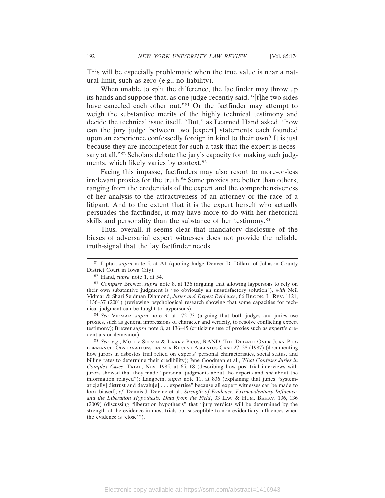This will be especially problematic when the true value is near a natural limit, such as zero (e.g., no liability).

When unable to split the difference, the factfinder may throw up its hands and suppose that, as one judge recently said, "[t]he two sides have canceled each other out."<sup>81</sup> Or the factfinder may attempt to weigh the substantive merits of the highly technical testimony and decide the technical issue itself. "But," as Learned Hand asked, "how can the jury judge between two [expert] statements each founded upon an experience confessedly foreign in kind to their own? It is just because they are incompetent for such a task that the expert is necessary at all."<sup>82</sup> Scholars debate the jury's capacity for making such judgments, which likely varies by context.83

Facing this impasse, factfinders may also resort to more-or-less irrelevant proxies for the truth.84 Some proxies are better than others, ranging from the credentials of the expert and the comprehensiveness of her analysis to the attractiveness of an attorney or the race of a litigant. And to the extent that it is the expert herself who actually persuades the factfinder, it may have more to do with her rhetorical skills and personality than the substance of her testimony.<sup>85</sup>

Thus, overall, it seems clear that mandatory disclosure of the biases of adversarial expert witnesses does not provide the reliable truth-signal that the lay factfinder needs.

84 *See* VIDMAR, *supra* note 9, at 172–73 (arguing that both judges and juries use proxies, such as general impressions of character and veracity, to resolve conflicting expert testimony); Brewer *supra* note 8, at 136–45 (criticizing use of proxies such as expert's credentials or demeanor).

85 *See, e.g.*, MOLLY SELVIN & LARRY PICUS, RAND, THE DEBATE OVER JURY PER-FORMANCE: OBSERVATIONS FROM A RECENT ASBESTOS CASE 27–28 (1987) (documenting how jurors in asbestos trial relied on experts' personal characteristics, social status, and billing rates to determine their credibility); Jane Goodman et al., *What Confuses Juries in Complex Cases*, TRIAL, Nov. 1985, at 65, 68 (describing how post-trial interviews with jurors showed that they made "personal judgments about the experts and *not* about the information relayed"); Langbein, *supra* note 11, at 836 (explaining that juries "systematic[ally] distrust and devalu[e] . . . expertise" because all expert witnesses can be made to look biased); *cf.* Dennis J. Devine et al., *Strength of Evidence, Extraevidentiary Influence, and the Liberation Hypothesis: Data from the Field*, 33 LAW & HUM. BEHAV. 136, 136 (2009) (discussing "liberation hypothesis" that "jury verdicts will be determined by the strength of the evidence in most trials but susceptible to non-evidentiary influences when the evidence is 'close'").

<sup>81</sup> Liptak, *supra* note 5, at A1 (quoting Judge Denver D. Dillard of Johnson County District Court in Iowa City).

<sup>82</sup> Hand, *supra* note 1, at 54.

<sup>83</sup> *Compare* Brewer, *supra* note 8, at 136 (arguing that allowing laypersons to rely on their own substantive judgment is "so obviously an unsatisfactory solution"), *with* Neil Vidmar & Shari Seidman Diamond, *Juries and Expert Evidence*, 66 BROOK. L. REV. 1121, 1136–37 (2001) (reviewing psychological research showing that some capacities for technical judgment can be taught to laypersons).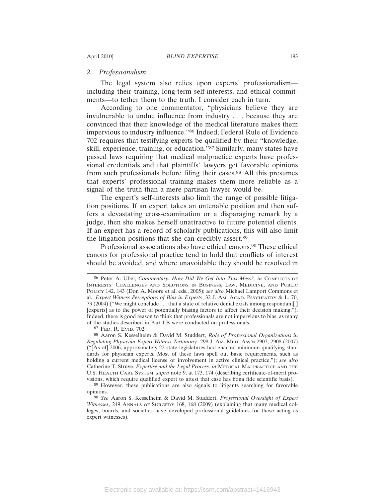# *2. Professionalism*

The legal system also relies upon experts' professionalism including their training, long-term self-interests, and ethical commitments—to tether them to the truth. I consider each in turn.

According to one commentator, "physicians believe they are invulnerable to undue influence from industry . . . because they are convinced that their knowledge of the medical literature makes them impervious to industry influence."86 Indeed, Federal Rule of Evidence 702 requires that testifying experts be qualified by their "knowledge, skill, experience, training, or education."87 Similarly, many states have passed laws requiring that medical malpractice experts have professional credentials and that plaintiffs' lawyers get favorable opinions from such professionals before filing their cases.88 All this presumes that experts' professional training makes them more reliable as a signal of the truth than a mere partisan lawyer would be.

The expert's self-interests also limit the range of possible litigation positions. If an expert takes an untenable position and then suffers a devastating cross-examination or a disparaging remark by a judge, then she makes herself unattractive to future potential clients. If an expert has a record of scholarly publications, this will also limit the litigation positions that she can credibly assert.89

Professional associations also have ethical canons.<sup>90</sup> These ethical canons for professional practice tend to hold that conflicts of interest should be avoided, and where unavoidable they should be resolved in

87 FED. R. EVID. 702.

88 Aaron S. Kesselheim & David M. Studdert, *Role of Professional Organizations in Regulating Physician Expert Witness Testimony*, 298 J. AM. MED. ASS'N 2907, 2908 (2007) ("[As of] 2006, approximately 22 state legislatures had enacted minimum qualifying standards for physician experts. Most of these laws spell out basic requirements, such as holding a current medical license or involvement in active clinical practice."); *see also* Catherine T. Struve, *Expertise and the Legal Process*, *in* MEDICAL MALPRACTICE AND THE U.S. HEALTH CARE SYSTEM, *supra* note 9, at 173, 174 (describing certificate-of-merit provisions, which require qualified expert to attest that case has bona fide scientific basis).

90 *See* Aaron S. Kesselheim & David M. Studdert, *Professional Oversight of Expert Witnesses*, 249 ANNALS OF SURGERY 168, 168 (2009) (explaining that many medical colleges, boards, and societies have developed professional guidelines for those acting as expert witnesses).

<sup>86</sup> Peter A. Ubel, *Commentary: How Did We Get Into This Mess?*, *in* CONFLICTS OF INTERESTS: CHALLENGES AND SOLUTIONS IN BUSINESS, LAW, MEDICINE, AND PUBLIC POLICY 142, 143 (Don A. Moore et al. eds., 2005); *see also* Michael Lamport Commons et al., *Expert Witness Perceptions of Bias in Experts*, 32 J. AM. ACAD. PSYCHIATRY & L. 70, 73 (2004) ("We might conclude . . . that a state of relative denial exists among respondant[ ] [experts] as to the power of potentially biasing factors to affect their decision making."). Indeed, there is good reason to think that professionals are not impervious to bias, as many of the studies described in Part I.B were conducted on professionals.

<sup>89</sup> However, these publications are also signals to litigants searching for favorable opinions.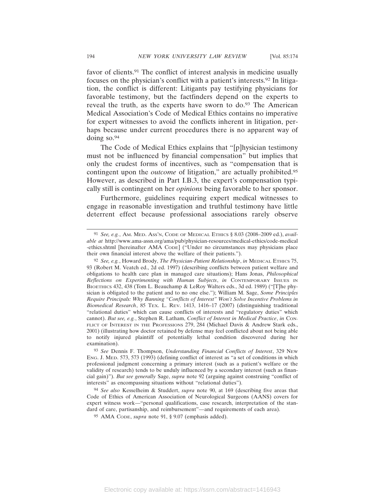favor of clients.91 The conflict of interest analysis in medicine usually focuses on the physician's conflict with a patient's interests.92 In litigation, the conflict is different: Litigants pay testifying physicians for favorable testimony, but the factfinders depend on the experts to reveal the truth, as the experts have sworn to do.<sup>93</sup> The American Medical Association's Code of Medical Ethics contains no imperative for expert witnesses to avoid the conflicts inherent in litigation, perhaps because under current procedures there is no apparent way of doing so.<sup>94</sup>

The Code of Medical Ethics explains that "[p]hysician testimony must not be influenced by financial compensation" but implies that only the crudest forms of incentives, such as "compensation that is contingent upon the *outcome* of litigation," are actually prohibited.<sup>95</sup> However, as described in Part I.B.3, the expert's compensation typically still is contingent on her *opinions* being favorable to her sponsor.

Furthermore, guidelines requiring expert medical witnesses to engage in reasonable investigation and truthful testimony have little deterrent effect because professional associations rarely observe

<sup>91</sup> *See, e.g.*, AM. MED. ASS'N, CODE OF MEDICAL ETHICS § 8.03 (2008–2009 ed.), *available at* http://www.ama-assn.org/ama/pub/physician-resources/medical-ethics/code-medical -ethics.shtml [hereinafter AMA CODE] ("Under no circumstances may physicians place their own financial interest above the welfare of their patients.").

<sup>92</sup> *See, e.g.*, Howard Brody, *The Physician-Patient Relationship*, *in* MEDICAL ETHICS 75, 93 (Robert M. Veatch ed., 2d ed. 1997) (describing conflicts between patient welfare and obligations to health care plan in managed care situations); Hans Jonas, *Philosophical Reflections on Experimenting with Human Subjects*, *in* CONTEMPORARY ISSUES IN BIOETHICS 432, 438 (Tom L. Beauchamp & LeRoy Walters eds., 3d ed. 1989) ("[T]he physician is obligated to the patient and to no one else."); William M. Sage, *Some Principles Require Principals: Why Banning "Conflicts of Interest" Won't Solve Incentive Problems in Biomedical Research*, 85 TEX. L. REV. 1413, 1416–17 (2007) (distinguishing traditional "relational duties" which can cause conflicts of interests and "regulatory duties" which cannot). *But see, e.g.*, Stephen R. Latham, *Conflict of Interest in Medical Practice*, *in* CON-FLICT OF INTEREST IN THE PROFESSIONS 279, 284 (Michael Davis & Andrew Stark eds., 2001) (illustrating how doctor retained by defense may feel conflicted about not being able to notify injured plaintiff of potentially lethal condition discovered during her examination).

<sup>93</sup> *See* Dennis F. Thompson, *Understanding Financial Conflicts of Interest*, 329 NEW ENG. J. MED. 573, 573 (1993) (defining conflict of interest as "a set of conditions in which professional judgment concerning a primary interest (such as a patient's welfare or the validity of research) tends to be unduly influenced by a secondary interest (such as financial gain)"). *But see generally* Sage, *supra* note 92 (arguing against construing "conflict of interests" as encompassing situations without "relational duties").

<sup>94</sup> *See also* Kesselheim & Studdert, *supra* note 90, at 169 (describing five areas that Code of Ethics of American Association of Neurological Surgeons (AANS) covers for expert witness work—"personal qualifications, case research, interpretation of the standard of care, partisanship, and reimbursement"—and requirements of each area).

<sup>95</sup> AMA CODE, *supra* note 91, § 9.07 (emphasis added).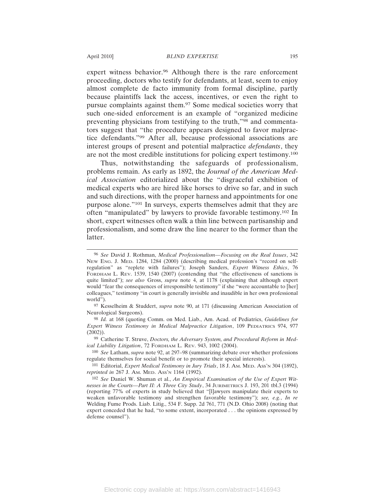expert witness behavior.<sup>96</sup> Although there is the rare enforcement proceeding, doctors who testify for defendants, at least, seem to enjoy almost complete de facto immunity from formal discipline, partly because plaintiffs lack the access, incentives, or even the right to pursue complaints against them.97 Some medical societies worry that such one-sided enforcement is an example of "organized medicine preventing physicians from testifying to the truth,"98 and commentators suggest that "the procedure appears designed to favor malpractice defendants."99 After all, because professional associations are interest groups of present and potential malpractice *defendants*, they are not the most credible institutions for policing expert testimony.100

Thus, notwithstanding the safeguards of professionalism, problems remain. As early as 1892, the *Journal of the American Medical Association* editorialized about the "disgraceful exhibition of medical experts who are hired like horses to drive so far, and in such and such directions, with the proper harness and appointments for one purpose alone."101 In surveys, experts themselves admit that they are often "manipulated" by lawyers to provide favorable testimony.102 In short, expert witnesses often walk a thin line between partisanship and professionalism, and some draw the line nearer to the former than the latter.

<sup>96</sup> *See* David J. Rothman, *Medical Professionalism—Focusing on the Real Issues*, 342 NEW ENG. J. MED. 1284, 1284 (2000) (describing medical profession's "record on selfregulation" as "replete with failures"); Joseph Sanders, *Expert Witness Ethics*, 76 FORDHAM L. REV. 1539, 1540 (2007) (contending that "the effectiveness of sanctions is quite limited"); *see also* Gross, *supra* note 4, at 1178 (explaining that although expert would "fear the consequences of irresponsible testimony" if she "were accountable to [her] colleagues," testimony "in court is generally invisible and inaudible in her own professional world").

<sup>97</sup> Kesselheim & Studdert, *supra* note 90, at 171 (discussing American Association of Neurological Surgeons).

<sup>98</sup> *Id.* at 168 (quoting Comm. on Med. Liab., Am. Acad. of Pediatrics, *Guidelines for Expert Witness Testimony in Medical Malpractice Litigation*, 109 PEDIATRICS 974, 977 (2002)).

<sup>99</sup> Catherine T. Struve, *Doctors, the Adversary System, and Procedural Reform in Medical Liability Litigation*, 72 FORDHAM L. REV. 943, 1002 (2004).

<sup>100</sup> *See* Latham, *supra* note 92, at 297–98 (summarizing debate over whether professions regulate themselves for social benefit or to promote their special interests).

<sup>101</sup> Editorial, *Expert Medical Testimony in Jury Trials*, 18 J. AM. MED. ASS'N 304 (1892), *reprinted in* 267 J. AM. MED. ASS'N 1164 (1992).

<sup>102</sup> *See* Daniel W. Shuman et al., *An Empirical Examination of the Use of Expert Witnesses in the Courts—Part II: A Three City Study*, 34 JURIMETRICS J. 193, 201 tbl.3 (1994) (reporting 77% of experts in study believed that "[l]awyers manipulate their experts to weaken unfavorable testimony and strengthen favorable testimony"); *see, e.g.*, *In re* Welding Fume Prods. Liab. Litig., 534 F. Supp. 2d 761, 771 (N.D. Ohio 2008) (noting that expert conceded that he had, "to some extent, incorporated . . . the opinions expressed by defense counsel").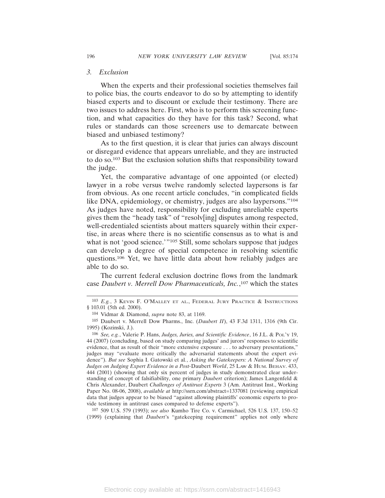# *3. Exclusion*

When the experts and their professional societies themselves fail to police bias, the courts endeavor to do so by attempting to identify biased experts and to discount or exclude their testimony. There are two issues to address here. First, who is to perform this screening function, and what capacities do they have for this task? Second, what rules or standards can those screeners use to demarcate between biased and unbiased testimony?

As to the first question, it is clear that juries can always discount or disregard evidence that appears unreliable, and they are instructed to do so.103 But the exclusion solution shifts that responsibility toward the judge.

Yet, the comparative advantage of one appointed (or elected) lawyer in a robe versus twelve randomly selected laypersons is far from obvious. As one recent article concludes, "in complicated fields like DNA, epidemiology, or chemistry, judges are also laypersons."104 As judges have noted, responsibility for excluding unreliable experts gives them the "heady task" of "resolv[ing] disputes among respected, well-credentialed scientists about matters squarely within their expertise, in areas where there is no scientific consensus as to what is and what is not 'good science.'"<sup>105</sup> Still, some scholars suppose that judges can develop a degree of special competence in resolving scientific questions.106 Yet, we have little data about how reliably judges are able to do so.

The current federal exclusion doctrine flows from the landmark case *Daubert v. Merrell Dow Pharmaceuticals, Inc.*, 107 which the states

107 509 U.S. 579 (1993); *see also* Kumho Tire Co. v. Carmichael, 526 U.S. 137, 150–52 (1999) (explaining that *Daubert*'s "gatekeeping requirement" applies not only where

<sup>103</sup> *E.g.*, 3 KEVIN F. O'MALLEY ET AL., FEDERAL JURY PRACTICE & INSTRUCTIONS § 103.01 (5th ed. 2000).

<sup>104</sup> Vidmar & Diamond, *supra* note 83, at 1169.

<sup>105</sup> Daubert v. Merrell Dow Pharms., Inc. (*Daubert II*), 43 F.3d 1311, 1316 (9th Cir. 1995) (Kozinski, J.).

<sup>106</sup> *See, e.g.*, Valerie P. Hans, *Judges, Juries, and Scientific Evidence*, 16 J.L. & POL'Y 19, 44 (2007) (concluding, based on study comparing judges' and jurors' responses to scientific evidence, that as result of their "more extensive exposure . . . to adversary presentations," judges may "evaluate more critically the adversarial statements about the expert evidence"). *But see* Sophia I. Gatowski et al*.*, *Asking the Gatekeepers: A National Survey of Judges on Judging Expert Evidence in a Post-*Daubert *World*, 25 LAW & HUM. BEHAV. 433, 444 (2001) (showing that only six percent of judges in study demonstrated clear understanding of concept of falsifiability, one primary *Daubert* criterion); James Langenfeld & Chris Alexander, Daubert *Challenges of Antitrust Experts* 3 (Am. Antitrust Inst., Working Paper No. 08-06, 2008), *available at* http://ssrn.com/abstract=1337081 (reviewing empirical data that judges appear to be biased "against allowing plaintiffs' economic experts to provide testimony in antitrust cases compared to defense experts").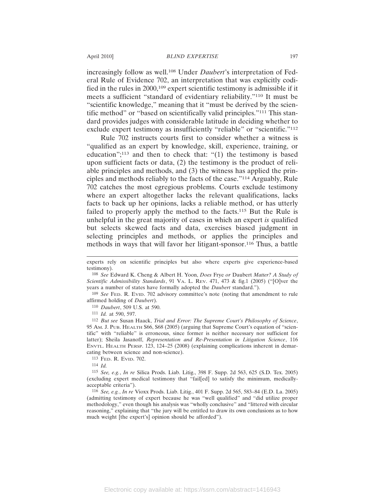increasingly follow as well.108 Under *Daubert*'s interpretation of Federal Rule of Evidence 702, an interpretation that was explicitly codified in the rules in 2000,109 expert scientific testimony is admissible if it meets a sufficient "standard of evidentiary reliability."110 It must be "scientific knowledge," meaning that it "must be derived by the scientific method" or "based on scientifically valid principles."111 This standard provides judges with considerable latitude in deciding whether to exclude expert testimony as insufficiently "reliable" or "scientific."<sup>112</sup>

Rule 702 instructs courts first to consider whether a witness is "qualified as an expert by knowledge, skill, experience, training, or education";113 and then to check that: "(1) the testimony is based upon sufficient facts or data, (2) the testimony is the product of reliable principles and methods, and (3) the witness has applied the principles and methods reliably to the facts of the case."114 Arguably, Rule 702 catches the most egregious problems. Courts exclude testimony where an expert altogether lacks the relevant qualifications, lacks facts to back up her opinions, lacks a reliable method, or has utterly failed to properly apply the method to the facts.<sup>115</sup> But the Rule is unhelpful in the great majority of cases in which an expert *is* qualified but selects skewed facts and data, exercises biased judgment in selecting principles and methods, or applies the principles and methods in ways that will favor her litigant-sponsor.116 Thus, a battle

109 *See* FED. R. EVID. 702 advisory committee's note (noting that amendment to rule affirmed holding of *Daubert*).

110 *Daubert*, 509 U.S. at 590.

111 *Id.* at 590, 597.

112 *But see* Susan Haack, *Trial and Error: The Supreme Court's Philosophy of Science*, 95 AM. J. PUB. HEALTH S66, S68 (2005) (arguing that Supreme Court's equation of "scientific" with "reliable" is erroneous, since former is neither necessary nor sufficient for latter); Sheila Jasanoff, *Representation and Re-Presentation in Litigation Science*, 116 ENVTL. HEALTH PERSP. 123, 124–25 (2008) (explaining complications inherent in demarcating between science and non-science).

113 FED. R. EVID. 702.

114 *Id.*

115 *See, e.g.*, *In re* Silica Prods. Liab. Litig., 398 F. Supp. 2d 563, 625 (S.D. Tex. 2005) (excluding expert medical testimony that "fail[ed] to satisfy the minimum, medicallyacceptable criteria").

116 *See, e.g.*, *In re* Vioxx Prods. Liab. Litig., 401 F. Supp. 2d 565, 583–84 (E.D. La. 2005) (admitting testimony of expert because he was "well qualified" and "did utilize proper methodology," even though his analysis was "wholly conclusive" and "littered with circular reasoning," explaining that "the jury will be entitled to draw its own conclusions as to how much weight [the expert's] opinion should be afforded").

experts rely on scientific principles but also where experts give experience-based testimony).

<sup>108</sup> *See* Edward K. Cheng & Albert H. Yoon, *Does* Frye *or* Daubert *Matter? A Study of Scientific Admissibility Standards*, 91 VA. L. REV. 471, 473 & fig.1 (2005) ("[O]ver the years a number of states have formally adopted the *Daubert* standard.").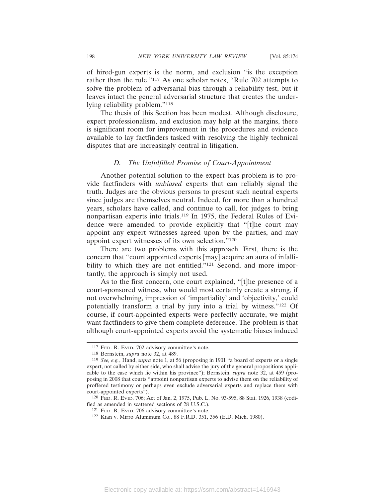of hired-gun experts is the norm, and exclusion "is the exception rather than the rule."117 As one scholar notes, "Rule 702 attempts to solve the problem of adversarial bias through a reliability test, but it leaves intact the general adversarial structure that creates the underlying reliability problem."118

The thesis of this Section has been modest. Although disclosure, expert professionalism, and exclusion may help at the margins, there is significant room for improvement in the procedures and evidence available to lay factfinders tasked with resolving the highly technical disputes that are increasingly central in litigation.

# *D. The Unfulfilled Promise of Court-Appointment*

Another potential solution to the expert bias problem is to provide factfinders with *unbiased* experts that can reliably signal the truth. Judges are the obvious persons to present such neutral experts since judges are themselves neutral. Indeed, for more than a hundred years, scholars have called, and continue to call, for judges to bring nonpartisan experts into trials.119 In 1975, the Federal Rules of Evidence were amended to provide explicitly that "[t]he court may appoint any expert witnesses agreed upon by the parties, and may appoint expert witnesses of its own selection."120

There are two problems with this approach. First, there is the concern that "court appointed experts [may] acquire an aura of infallibility to which they are not entitled."<sup>121</sup> Second, and more importantly, the approach is simply not used.

As to the first concern, one court explained, "[t]he presence of a court-sponsored witness, who would most certainly create a strong, if not overwhelming, impression of 'impartiality' and 'objectivity,' could potentially transform a trial by jury into a trial by witness."122 Of course, if court-appointed experts were perfectly accurate, we might want factfinders to give them complete deference. The problem is that although court-appointed experts avoid the systematic biases induced

<sup>117</sup> FED. R. EVID. 702 advisory committee's note.

<sup>118</sup> Bernstein, *supra* note 32, at 489.

<sup>119</sup> *See, e.g.*, Hand, *supra* note 1, at 56 (proposing in 1901 "a board of experts or a single expert, not called by either side, who shall advise the jury of the general propositions applicable to the case which lie within his province"); Bernstein, *supra* note 32, at 459 (proposing in 2008 that courts "appoint nonpartisan experts to advise them on the reliability of proffered testimony or perhaps even exclude adversarial experts and replace them with court-appointed experts").

<sup>120</sup> FED. R. EVID. 706; Act of Jan. 2, 1975, Pub. L. No. 93-595, 88 Stat. 1926, 1938 (codified as amended in scattered sections of 28 U.S.C.).

<sup>121</sup> FED. R. EVID. 706 advisory committee's note.

<sup>122</sup> Kian v. Mirro Aluminum Co., 88 F.R.D. 351, 356 (E.D. Mich. 1980).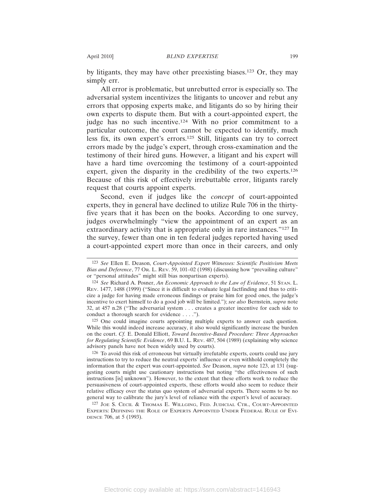by litigants, they may have other preexisting biases.123 Or, they may simply err.

All error is problematic, but unrebutted error is especially so. The adversarial system incentivizes the litigants to uncover and rebut any errors that opposing experts make, and litigants do so by hiring their own experts to dispute them. But with a court-appointed expert, the judge has no such incentive.124 With no prior commitment to a particular outcome, the court cannot be expected to identify, much less fix, its own expert's errors.125 Still, litigants can try to correct errors made by the judge's expert, through cross-examination and the testimony of their hired guns. However, a litigant and his expert will have a hard time overcoming the testimony of a court-appointed expert, given the disparity in the credibility of the two experts.<sup>126</sup> Because of this risk of effectively irrebuttable error, litigants rarely request that courts appoint experts.

Second, even if judges like the *concept* of court-appointed experts, they in general have declined to utilize Rule 706 in the thirtyfive years that it has been on the books. According to one survey, judges overwhelmingly "view the appointment of an expert as an extraordinary activity that is appropriate only in rare instances."127 In the survey, fewer than one in ten federal judges reported having used a court-appointed expert more than once in their careers, and only

125 One could imagine courts appointing multiple experts to answer each question. While this would indeed increase accuracy, it also would significantly increase the burden on the court. *Cf.* E. Donald Elliott, *Toward Incentive-Based Procedure: Three Approaches for Regulating Scientific Evidence*, 69 B.U. L. REV. 487, 504 (1989) (explaining why science advisory panels have not been widely used by courts).

126 To avoid this risk of erroneous but virtually irrefutable experts, courts could use jury instructions to try to reduce the neutral experts' influence or even withhold completely the information that the expert was court-appointed. *See* Deason, *supra* note 123, at 131 (suggesting courts might use cautionary instructions but noting "the effectiveness of such instructions [is] unknown"). However, to the extent that these efforts work to reduce the persuasiveness of court-appointed experts, these efforts would also seem to reduce their relative efficacy over the status quo system of adversarial experts. There seems to be no general way to calibrate the jury's level of reliance with the expert's level of accuracy.

127 JOE S. CECIL & THOMAS E. WILLGING, FED. JUDICIAL CTR., COURT-APPOINTED EXPERTS: DEFINING THE ROLE OF EXPERTS APPOINTED UNDER FEDERAL RULE OF EVI-DENCE 706, at 5 (1993).

<sup>123</sup> *See* Ellen E. Deason, *Court-Appointed Expert Witnesses: Scientific Positivism Meets Bias and Deference*, 77 OR. L. REV. 59, 101–02 (1998) (discussing how "prevailing culture" or "personal attitudes" might still bias nonpartisan experts).

<sup>124</sup> *See* Richard A. Posner, *An Economic Approach to the Law of Evidence*, 51 STAN. L. REV. 1477, 1488 (1999) ("Since it is difficult to evaluate legal factfinding and thus to criticize a judge for having made erroneous findings or praise him for good ones, the judge's incentive to exert himself to do a good job will be limited."); *see also* Bernstein, *supra* note 32, at 457 n.28 ("The adversarial system . . . creates a greater incentive for each side to conduct a thorough search for evidence . . . .").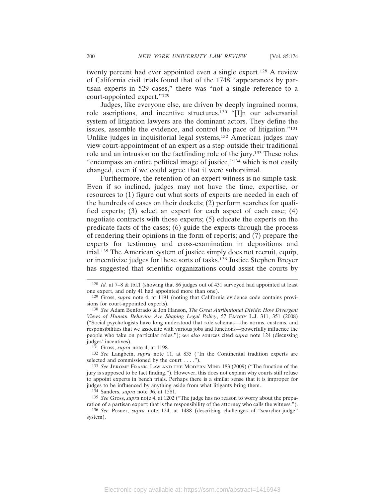twenty percent had ever appointed even a single expert.128 A review of California civil trials found that of the 1748 "appearances by partisan experts in 529 cases," there was "not a single reference to a court-appointed expert."129

Judges, like everyone else, are driven by deeply ingrained norms, role ascriptions, and incentive structures.130 "[I]n our adversarial system of litigation lawyers are the dominant actors. They define the issues, assemble the evidence, and control the pace of litigation."131 Unlike judges in inquisitorial legal systems,132 American judges may view court-appointment of an expert as a step outside their traditional role and an intrusion on the factfinding role of the jury.133 These roles "encompass an entire political image of justice,"134 which is not easily changed, even if we could agree that it were suboptimal.

Furthermore, the retention of an expert witness is no simple task. Even if so inclined, judges may not have the time, expertise, or resources to (1) figure out what sorts of experts are needed in each of the hundreds of cases on their dockets; (2) perform searches for qualified experts; (3) select an expert for each aspect of each case; (4) negotiate contracts with those experts; (5) educate the experts on the predicate facts of the cases; (6) guide the experts through the process of rendering their opinions in the form of reports; and (7) prepare the experts for testimony and cross-examination in depositions and trial.135 The American system of justice simply does not recruit, equip, or incentivize judges for these sorts of tasks.136 Justice Stephen Breyer has suggested that scientific organizations could assist the courts by

<sup>128</sup> *Id.* at 7–8 & tbl.1 (showing that 86 judges out of 431 surveyed had appointed at least one expert, and only 41 had appointed more than one).

<sup>129</sup> Gross, *supra* note 4, at 1191 (noting that California evidence code contains provisions for court-appointed experts).

<sup>130</sup> *See* Adam Benforado & Jon Hanson, *The Great Attributional Divide: How Divergent Views of Human Behavior Are Shaping Legal Policy*, 57 EMORY L.J. 311, 351 (2008) ("Social psychologists have long understood that role schemas—the norms, customs, and responsibilities that we associate with various jobs and functions—powerfully influence the people who take on particular roles."); *see also* sources cited *supra* note 124 (discussing judges' incentives).

<sup>131</sup> Gross, *supra* note 4, at 1198.

<sup>132</sup> *See* Langbein, *supra* note 11, at 835 ("In the Continental tradition experts are selected and commissioned by the court . . . .").

<sup>133</sup> *See* JEROME FRANK, LAW AND THE MODERN MIND 183 (2009) ("The function of the jury is supposed to be fact finding."). However, this does not explain why courts still refuse to appoint experts in bench trials. Perhaps there is a similar sense that it is improper for judges to be influenced by anything aside from what litigants bring them.

<sup>134</sup> Sanders, *supra* note 96, at 1581.

<sup>135</sup> *See* Gross, *supra* note 4, at 1202 ("The judge has no reason to worry about the preparation of a partisan expert; that is the responsibility of the attorney who calls the witness.").

<sup>136</sup> *See* Posner, *supra* note 124, at 1488 (describing challenges of "searcher-judge" system).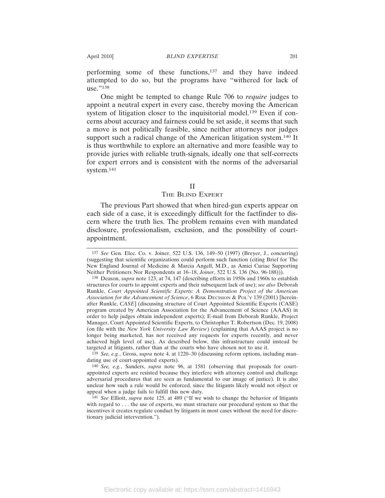performing some of these functions,137 and they have indeed attempted to do so, but the programs have "withered for lack of use."138

One might be tempted to change Rule 706 to *require* judges to appoint a neutral expert in every case, thereby moving the American system of litigation closer to the inquisitorial model.<sup>139</sup> Even if concerns about accuracy and fairness could be set aside, it seems that such a move is not politically feasible, since neither attorneys nor judges support such a radical change of the American litigation system.<sup>140</sup> It is thus worthwhile to explore an alternative and more feasible way to provide juries with reliable truth-signals, ideally one that self-corrects for expert errors and is consistent with the norms of the adversarial system.141

#### II

#### THE BLIND EXPERT

The previous Part showed that when hired-gun experts appear on each side of a case, it is exceedingly difficult for the factfinder to discern where the truth lies. The problem remains even with mandated disclosure, professionalism, exclusion, and the possibility of courtappointment.

<sup>137</sup> *See* Gen. Elec. Co. v. Joiner, 522 U.S. 136, 149–50 (1997) (Breyer, J., concurring) (suggesting that scientific organizations could perform such function (citing Brief for The New England Journal of Medicine & Marcia Angell, M.D., as Amici Curiae Supporting Neither Petitioners Nor Respondents at 16–18, *Joiner*, 522 U.S. 136 (No. 96-188))).

<sup>138</sup> Deason, *supra* note 123, at 74, 147 (describing efforts in 1950s and 1960s to establish structures for courts to appoint experts and their subsequent lack of use); *see also* Deborah Runkle, *Court Appointed Scientific Experts: A Demonstration Project of the American Association for the Advancement of Science*, 6 RISK DECISION & POL'Y 139 (2001) [hereinafter Runkle, *CASE*] (discussing structure of Court Appointed Scientific Experts (CASE) program created by American Association for the Advancement of Science (AAAS) in order to help judges obtain independent experts); E-mail from Deborah Runkle, Project Manager, Court Appointed Scientific Experts, to Christopher T. Robertson (Dec. 19, 2008) (on file with the *New York University Law Review*) (explaining that AAAS project is no longer being marketed, has not received any requests for experts recently, and never achieved high level of use). As described below, this infrastructure could instead be targeted at litigants, rather than at the courts who have chosen not to use it.

<sup>139</sup> *See, e.g.*, Gross, *supra* note 4, at 1220–30 (discussing reform options, including mandating use of court-appointed experts).

<sup>140</sup> *See, e.g.*, Sanders, *supra* note 96, at 1581 (observing that proposals for courtappointed experts are resisted because they interfere with attorney control and challenge adversarial procedures that are seen as fundamental to our image of justice). It is also unclear how such a rule would be enforced, since the litigants likely would not object or appeal when a judge fails to fulfill this new duty.

<sup>141</sup> *See* Elliott, *supra* note 125, at 489 ("If we wish to change the behavior of litigants with regard to . . . the use of experts, we must structure our procedural system so that the incentives it creates regulate conduct by litigants in most cases without the need for discretionary judicial intervention.").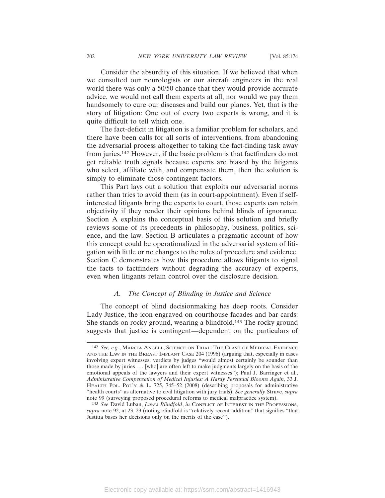Consider the absurdity of this situation. If we believed that when we consulted our neurologists or our aircraft engineers in the real world there was only a 50/50 chance that they would provide accurate advice, we would not call them experts at all, nor would we pay them handsomely to cure our diseases and build our planes. Yet, that is the story of litigation: One out of every two experts is wrong, and it is quite difficult to tell which one.

The fact-deficit in litigation is a familiar problem for scholars, and there have been calls for all sorts of interventions, from abandoning the adversarial process altogether to taking the fact-finding task away from juries.142 However, if the basic problem is that factfinders do not get reliable truth signals because experts are biased by the litigants who select, affiliate with, and compensate them, then the solution is simply to eliminate those contingent factors.

This Part lays out a solution that exploits our adversarial norms rather than tries to avoid them (as in court-appointment). Even if selfinterested litigants bring the experts to court, those experts can retain objectivity if they render their opinions behind blinds of ignorance. Section A explains the conceptual basis of this solution and briefly reviews some of its precedents in philosophy, business, politics, science, and the law. Section B articulates a pragmatic account of how this concept could be operationalized in the adversarial system of litigation with little or no changes to the rules of procedure and evidence. Section C demonstrates how this procedure allows litigants to signal the facts to factfinders without degrading the accuracy of experts, even when litigants retain control over the disclosure decision.

# *A. The Concept of Blinding in Justice and Science*

The concept of blind decisionmaking has deep roots. Consider Lady Justice, the icon engraved on courthouse facades and bar cards: She stands on rocky ground, wearing a blindfold.143 The rocky ground suggests that justice is contingent—dependent on the particulars of

<sup>142</sup> *See, e.g.*, MARCIA ANGELL, SCIENCE ON TRIAL: THE CLASH OF MEDICAL EVIDENCE AND THE LAW IN THE BREAST IMPLANT CASE 204 (1996) (arguing that, especially in cases involving expert witnesses, verdicts by judges "would almost certainly be sounder than those made by juries . . . [who] are often left to make judgments largely on the basis of the emotional appeals of the lawyers and their expert witnesses"); Paul J. Barringer et al., *Administrative Compensation of Medical Injuries: A Hardy Perennial Blooms Again*, 33 J. HEALTH POL. POL'Y & L. 725, 745–52 (2008) (describing proposals for administrative "health courts" as alternative to civil litigation with jury trials). *See generally* Struve, *supra* note 99 (surveying proposed procedural reforms to medical malpractice system).

<sup>143</sup> *See* David Luban, *Law's Blindfold*, *in* CONFLICT OF INTEREST IN THE PROFESSIONS, *supra* note 92, at 23, 23 (noting blindfold is "relatively recent addition" that signifies "that Justitia bases her decisions only on the merits of the case").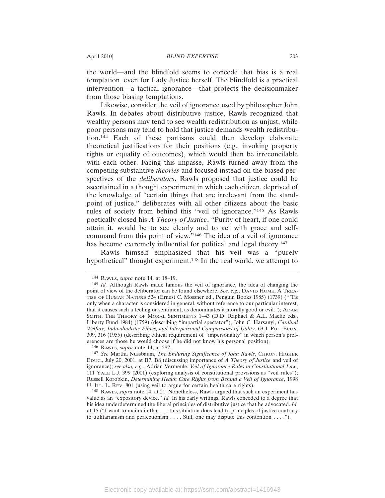the world—and the blindfold seems to concede that bias is a real temptation, even for Lady Justice herself. The blindfold is a practical intervention—a tactical ignorance—that protects the decisionmaker from those biasing temptations.

Likewise, consider the veil of ignorance used by philosopher John Rawls. In debates about distributive justice, Rawls recognized that wealthy persons may tend to see wealth redistribution as unjust, while poor persons may tend to hold that justice demands wealth redistribution.144 Each of these partisans could then develop elaborate theoretical justifications for their positions (e.g., invoking property rights or equality of outcomes), which would then be irreconcilable with each other. Facing this impasse, Rawls turned away from the competing substantive *theories* and focused instead on the biased perspectives of the *deliberators*. Rawls proposed that justice could be ascertained in a thought experiment in which each citizen, deprived of the knowledge of "certain things that are irrelevant from the standpoint of justice," deliberates with all other citizens about the basic rules of society from behind this "veil of ignorance."145 As Rawls poetically closed his *A Theory of Justice*, *"*Purity of heart, if one could attain it, would be to see clearly and to act with grace and selfcommand from this point of view."146 The idea of a veil of ignorance has become extremely influential for political and legal theory.<sup>147</sup>

Rawls himself emphasized that his veil was a "purely hypothetical" thought experiment.<sup>148</sup> In the real world, we attempt to

146 RAWLS, *supra* note 14, at 587.

147 *See* Martha Nussbaum, *The Enduring Significance of John Rawls*, CHRON. HIGHER EDUC., July 20, 2001, at B7, B8 (discussing importance of *A Theory of Justice* and veil of ignorance); *see also, e.g.*, Adrian Vermeule, *Veil of Ignorance Rules in Constitutional Law*, 111 YALE L.J. 399 (2001) (exploring analysis of constitutional provisions as "veil rules"); Russell Korobkin, *Determining Health Care Rights from Behind a Veil of Ignorance*, 1998 U. ILL. L. REV. 801 (using veil to argue for certain health care rights).

148 RAWLS, *supra* note 14, at 21. Nonetheless, Rawls argued that such an experiment has value as an "expository device." *Id.* In his early writings, Rawls conceded to a degree that his idea underdetermined the liberal principles of distributive justice that he advocated. *Id.* at 15 ("I want to maintain that . . . this situation does lead to principles of justice contrary to utilitarianism and perfectionism . . . . Still, one may dispute this contention . . . .").

<sup>144</sup> RAWLS, *supra* note 14, at 18–19.

<sup>145</sup> *Id.* Although Rawls made famous the veil of ignorance, the idea of changing the point of view of the deliberator can be found elsewhere. *See, e.g.*, DAVID HUME, A TREA-TISE OF HUMAN NATURE 524 (Ernest C. Mossner ed., Penguin Books 1985) (1739) ("'Tis only when a character is considered in general, without reference to our particular interest, that it causes such a feeling or sentiment, as denominates it morally good or evil."); ADAM SMITH, THE THEORY OF MORAL SENTIMENTS 1–43 (D.D. Raphael & A.L. Macfie eds., Liberty Fund 1984) (1759) (describing "impartial spectator"); John C. Harsanyi, *Cardinal Welfare, Individualistic Ethics, and Interpersonal Comparisons of Utility*, 63 J. POL. ECON. 309, 316 (1955) (describing ethical requirement of "impersonality" in which person's preferences are those he would choose if he did not know his personal position).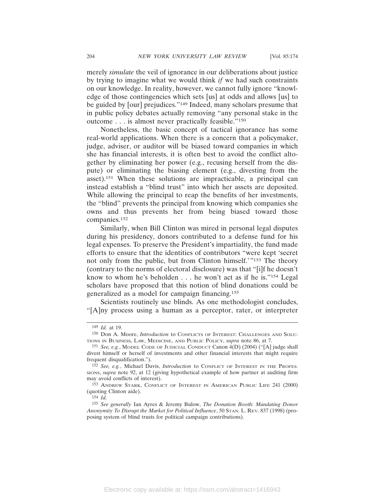merely *simulate* the veil of ignorance in our deliberations about justice by trying to imagine what we would think *if* we had such constraints on our knowledge. In reality, however, we cannot fully ignore "knowledge of those contingencies which sets [us] at odds and allows [us] to be guided by [our] prejudices."149 Indeed, many scholars presume that in public policy debates actually removing "any personal stake in the outcome . . . is almost never practically feasible."150

Nonetheless, the basic concept of tactical ignorance has some real-world applications. When there is a concern that a policymaker, judge, adviser, or auditor will be biased toward companies in which she has financial interests, it is often best to avoid the conflict altogether by eliminating her power (e.g., recusing herself from the dispute) or eliminating the biasing element (e.g., divesting from the asset).151 When these solutions are impracticable, a principal can instead establish a "blind trust" into which her assets are deposited. While allowing the principal to reap the benefits of her investments, the "blind" prevents the principal from knowing which companies she owns and thus prevents her from being biased toward those companies.152

Similarly, when Bill Clinton was mired in personal legal disputes during his presidency, donors contributed to a defense fund for his legal expenses. To preserve the President's impartiality, the fund made efforts to ensure that the identities of contributors "were kept 'secret not only from the public, but from Clinton himself.'"<sup>153</sup> The theory (contrary to the norms of electoral disclosure) was that "[i]f he doesn't know to whom he's beholden . . . he won't act as if he is."154 Legal scholars have proposed that this notion of blind donations could be generalized as a model for campaign financing.155

Scientists routinely use blinds. As one methodologist concludes, "[A]ny process using a human as a perceptor, rater, or interpreter

<sup>149</sup> *Id.* at 19.

<sup>150</sup> Don A. Moore, *Introduction* to CONFLICTS OF INTEREST: CHALLENGES AND SOLU-TIONS IN BUSINESS, LAW, MEDICINE, AND PUBLIC POLICY, *supra* note 86, at 7.

<sup>151</sup> *See, e.g.*, MODEL CODE OF JUDICIAL CONDUCT Canon 4(D) (2004) ("[A] judge shall divest himself or herself of investments and other financial interests that might require frequent disqualification.").

<sup>152</sup> *See, e.g.*, Michael Davis, *Introduction* to CONFLICT OF INTEREST IN THE PROFES-SIONS, *supra* note 92, at 12 (giving hypothetical example of how partner at auditing firm may avoid conflicts of interest).

<sup>153</sup> ANDREW STARK, CONFLICT OF INTEREST IN AMERICAN PUBLIC LIFE 241 (2000) (quoting Clinton aide).

<sup>154</sup> *Id.*

<sup>155</sup> *See generally* Ian Ayres & Jeremy Bulow, *The Donation Booth: Mandating Donor Anonymity To Disrupt the Market for Political Influence*, 50 STAN. L. REV. 837 (1998) (proposing system of blind trusts for political campaign contributions).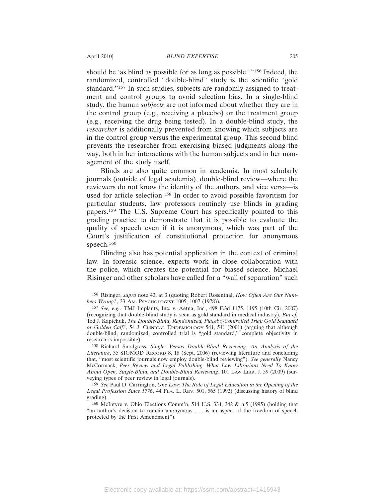agement of the study itself.

should be 'as blind as possible for as long as possible.'"156 Indeed, the randomized, controlled "double-blind" study is the scientific "gold standard."157 In such studies, subjects are randomly assigned to treatment and control groups to avoid selection bias. In a single-blind study, the human *subjects* are not informed about whether they are in the control group (e.g., receiving a placebo) or the treatment group (e.g., receiving the drug being tested). In a double-blind study, the *researcher* is additionally prevented from knowing which subjects are in the control group versus the experimental group. This second blind prevents the researcher from exercising biased judgments along the

Blinds are also quite common in academia. In most scholarly journals (outside of legal academia), double-blind review—where the reviewers do not know the identity of the authors, and vice versa—is used for article selection.158 In order to avoid possible favoritism for particular students, law professors routinely use blinds in grading papers.159 The U.S. Supreme Court has specifically pointed to this grading practice to demonstrate that it is possible to evaluate the quality of speech even if it is anonymous, which was part of the Court's justification of constitutional protection for anonymous speech.160

way, both in her interactions with the human subjects and in her man-

Blinding also has potential application in the context of criminal law. In forensic science, experts work in close collaboration with the police, which creates the potential for biased science. Michael Risinger and other scholars have called for a "wall of separation" such

159 *See* Paul D. Carrington, *One Law: The Role of Legal Education in the Opening of the Legal Profession Since 1776*, 44 FLA. L. REV. 501, 565 (1992) (discussing history of blind grading).

<sup>156</sup> Risinger, *supra* note 43, at 3 (quoting Robert Rosenthal, *How Often Are Our Numbers Wrong?*, 33 AM. PSYCHOLOGIST 1005, 1007 (1978)).

<sup>157</sup> *See, e.g.*, TMJ Implants, Inc. v. Aetna, Inc., 498 F.3d 1175, 1195 (10th Cir. 2007) (recognizing that double-blind study is seen as gold standard in medical industry). *But cf.* Ted J. Kaptchuk, *The Double-Blind, Randomized, Placebo-Controlled Trial: Gold Standard or Golden Calf?*, 54 J. CLINICAL EPIDEMIOLOGY 541, 541 (2001) (arguing that although double-blind, randomized, controlled trial is "gold standard," complete objectivity in research is impossible).

<sup>158</sup> Richard Snodgrass, *Single- Versus Double-Blind Reviewing: An Analysis of the Literature*, 35 SIGMOD RECORD 8, 18 (Sept. 2006) (reviewing literature and concluding that, "most scientific journals now employ double-blind reviewing"). *See generally* Nancy McCormack, *Peer Review and Legal Publishing: What Law Librarians Need To Know About Open, Single-Blind, and Double-Blind Reviewing*, 101 LAW LIBR. J. 59 (2009) (surveying types of peer review in legal journals).

<sup>160</sup> McIntyre v. Ohio Elections Comm'n, 514 U.S. 334, 342 & n.5 (1995) (holding that "an author's decision to remain anonymous . . . is an aspect of the freedom of speech protected by the First Amendment").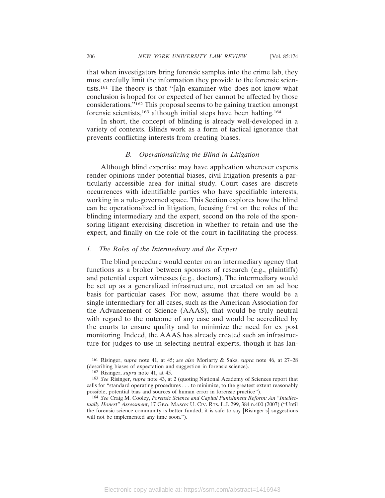that when investigators bring forensic samples into the crime lab, they must carefully limit the information they provide to the forensic scientists.161 The theory is that "[a]n examiner who does not know what conclusion is hoped for or expected of her cannot be affected by those considerations."162 This proposal seems to be gaining traction amongst forensic scientists,163 although initial steps have been halting.164

In short, the concept of blinding is already well-developed in a variety of contexts. Blinds work as a form of tactical ignorance that prevents conflicting interests from creating biases.

# *B. Operationalizing the Blind in Litigation*

Although blind expertise may have application wherever experts render opinions under potential biases, civil litigation presents a particularly accessible area for initial study. Court cases are discrete occurrences with identifiable parties who have specifiable interests, working in a rule-governed space. This Section explores how the blind can be operationalized in litigation, focusing first on the roles of the blinding intermediary and the expert, second on the role of the sponsoring litigant exercising discretion in whether to retain and use the expert, and finally on the role of the court in facilitating the process.

## *1. The Roles of the Intermediary and the Expert*

The blind procedure would center on an intermediary agency that functions as a broker between sponsors of research (e.g., plaintiffs) and potential expert witnesses (e.g., doctors). The intermediary would be set up as a generalized infrastructure, not created on an ad hoc basis for particular cases. For now, assume that there would be a single intermediary for all cases, such as the American Association for the Advancement of Science (AAAS), that would be truly neutral with regard to the outcome of any case and would be accredited by the courts to ensure quality and to minimize the need for ex post monitoring. Indeed, the AAAS has already created such an infrastructure for judges to use in selecting neutral experts, though it has lan-

<sup>161</sup> Risinger, *supra* note 41, at 45; *see also* Moriarty & Saks, *supra* note 46, at 27–28 (describing biases of expectation and suggestion in forensic science).

<sup>162</sup> Risinger, *supra* note 41, at 45.

<sup>163</sup> *See* Risinger, *supra* note 43, at 2 (quoting National Academy of Sciences report that calls for "standard operating procedures . . . to minimize, to the greatest extent reasonably possible, potential bias and sources of human error in forensic practice").

<sup>164</sup> *See* Craig M. Cooley, *Forensic Science and Capital Punishment Reform: An "Intellectually Honest" Assessment*, 17 GEO. MASON U. CIV. RTS. L.J. 299, 384 n.400 (2007) ("Until the forensic science community is better funded, it is safe to say [Risinger's] suggestions will not be implemented any time soon.").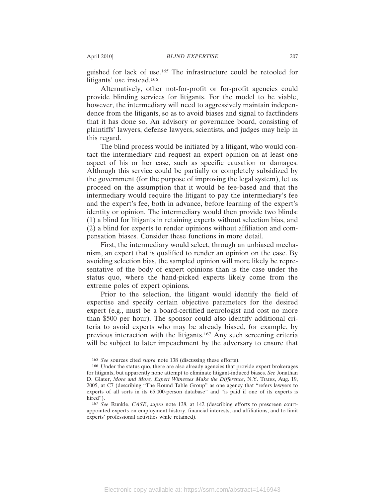guished for lack of use.165 The infrastructure could be retooled for litigants' use instead.166

Alternatively, other not-for-profit or for-profit agencies could provide blinding services for litigants. For the model to be viable, however, the intermediary will need to aggressively maintain independence from the litigants, so as to avoid biases and signal to factfinders that it has done so. An advisory or governance board, consisting of plaintiffs' lawyers, defense lawyers, scientists, and judges may help in this regard.

The blind process would be initiated by a litigant, who would contact the intermediary and request an expert opinion on at least one aspect of his or her case, such as specific causation or damages. Although this service could be partially or completely subsidized by the government (for the purpose of improving the legal system), let us proceed on the assumption that it would be fee-based and that the intermediary would require the litigant to pay the intermediary's fee and the expert's fee, both in advance, before learning of the expert's identity or opinion. The intermediary would then provide two blinds: (1) a blind for litigants in retaining experts without selection bias, and (2) a blind for experts to render opinions without affiliation and compensation biases. Consider these functions in more detail.

First, the intermediary would select, through an unbiased mechanism, an expert that is qualified to render an opinion on the case. By avoiding selection bias, the sampled opinion will more likely be representative of the body of expert opinions than is the case under the status quo, where the hand-picked experts likely come from the extreme poles of expert opinions.

Prior to the selection, the litigant would identify the field of expertise and specify certain objective parameters for the desired expert (e.g., must be a board-certified neurologist and cost no more than \$500 per hour). The sponsor could also identify additional criteria to avoid experts who may be already biased, for example, by previous interaction with the litigants.167 Any such screening criteria will be subject to later impeachment by the adversary to ensure that

<sup>165</sup> *See* sources cited *supra* note 138 (discussing these efforts).

<sup>166</sup> Under the status quo, there are also already agencies that provide expert brokerages for litigants, but apparently none attempt to eliminate litigant-induced biases. *See* Jonathan D. Glater, *More and More, Expert Witnesses Make the Difference*, N.Y. TIMES, Aug. 19, 2005, at C7 (describing "The Round Table Group" as one agency that "refers lawyers to experts of all sorts in its 65,000-person database" and "is paid if one of its experts is hired").

<sup>167</sup> *See* Runkle, *CASE*, *supra* note 138, at 142 (describing efforts to prescreen courtappointed experts on employment history, financial interests, and affiliations, and to limit experts' professional activities while retained).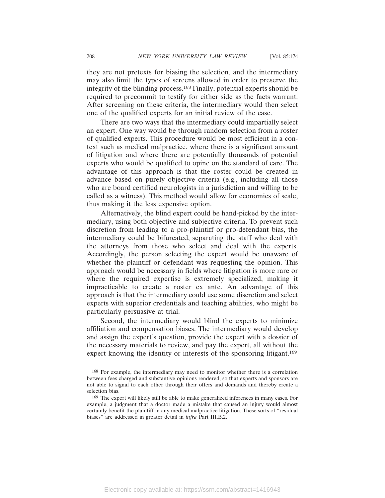they are not pretexts for biasing the selection, and the intermediary may also limit the types of screens allowed in order to preserve the integrity of the blinding process.168 Finally, potential experts should be required to precommit to testify for either side as the facts warrant. After screening on these criteria, the intermediary would then select one of the qualified experts for an initial review of the case.

There are two ways that the intermediary could impartially select an expert. One way would be through random selection from a roster of qualified experts. This procedure would be most efficient in a context such as medical malpractice, where there is a significant amount of litigation and where there are potentially thousands of potential experts who would be qualified to opine on the standard of care. The advantage of this approach is that the roster could be created in advance based on purely objective criteria (e.g., including all those who are board certified neurologists in a jurisdiction and willing to be called as a witness). This method would allow for economies of scale, thus making it the less expensive option.

Alternatively, the blind expert could be hand-picked by the intermediary, using both objective and subjective criteria. To prevent such discretion from leading to a pro-plaintiff or pro-defendant bias, the intermediary could be bifurcated, separating the staff who deal with the attorneys from those who select and deal with the experts. Accordingly, the person selecting the expert would be unaware of whether the plaintiff or defendant was requesting the opinion. This approach would be necessary in fields where litigation is more rare or where the required expertise is extremely specialized, making it impracticable to create a roster ex ante. An advantage of this approach is that the intermediary could use some discretion and select experts with superior credentials and teaching abilities, who might be particularly persuasive at trial.

Second, the intermediary would blind the experts to minimize affiliation and compensation biases. The intermediary would develop and assign the expert's question, provide the expert with a dossier of the necessary materials to review, and pay the expert, all without the expert knowing the identity or interests of the sponsoring litigant.169

<sup>168</sup> For example, the intermediary may need to monitor whether there is a correlation between fees charged and substantive opinions rendered, so that experts and sponsors are not able to signal to each other through their offers and demands and thereby create a selection bias.

<sup>169</sup> The expert will likely still be able to make generalized inferences in many cases. For example, a judgment that a doctor made a mistake that caused an injury would almost certainly benefit the plaintiff in any medical malpractice litigation. These sorts of "residual biases" are addressed in greater detail in *infra* Part III.B.2.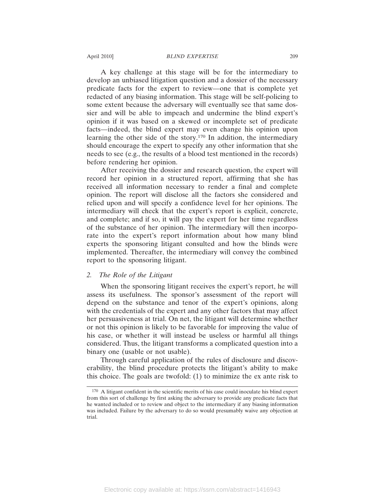A key challenge at this stage will be for the intermediary to develop an unbiased litigation question and a dossier of the necessary predicate facts for the expert to review—one that is complete yet redacted of any biasing information. This stage will be self-policing to some extent because the adversary will eventually see that same dossier and will be able to impeach and undermine the blind expert's opinion if it was based on a skewed or incomplete set of predicate facts—indeed, the blind expert may even change his opinion upon learning the other side of the story.170 In addition, the intermediary should encourage the expert to specify any other information that she needs to see (e.g., the results of a blood test mentioned in the records) before rendering her opinion.

After receiving the dossier and research question, the expert will record her opinion in a structured report, affirming that she has received all information necessary to render a final and complete opinion. The report will disclose all the factors she considered and relied upon and will specify a confidence level for her opinions. The intermediary will check that the expert's report is explicit, concrete, and complete; and if so, it will pay the expert for her time regardless of the substance of her opinion. The intermediary will then incorporate into the expert's report information about how many blind experts the sponsoring litigant consulted and how the blinds were implemented. Thereafter, the intermediary will convey the combined report to the sponsoring litigant.

#### *2. The Role of the Litigant*

When the sponsoring litigant receives the expert's report, he will assess its usefulness. The sponsor's assessment of the report will depend on the substance and tenor of the expert's opinions, along with the credentials of the expert and any other factors that may affect her persuasiveness at trial. On net, the litigant will determine whether or not this opinion is likely to be favorable for improving the value of his case, or whether it will instead be useless or harmful all things considered. Thus, the litigant transforms a complicated question into a binary one (usable or not usable).

Through careful application of the rules of disclosure and discoverability, the blind procedure protects the litigant's ability to make this choice. The goals are twofold: (1) to minimize the ex ante risk to

<sup>170</sup> A litigant confident in the scientific merits of his case could inoculate his blind expert from this sort of challenge by first asking the adversary to provide any predicate facts that he wanted included or to review and object to the intermediary if any biasing information was included. Failure by the adversary to do so would presumably waive any objection at trial.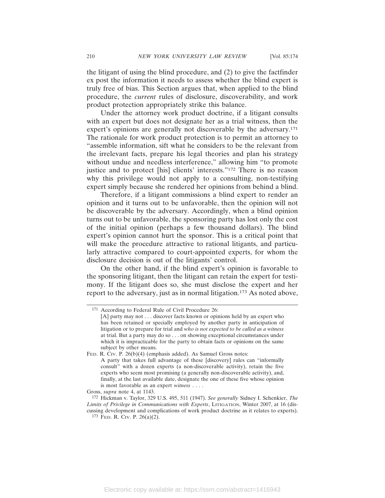the litigant of using the blind procedure, and (2) to give the factfinder ex post the information it needs to assess whether the blind expert is truly free of bias. This Section argues that, when applied to the blind procedure, the *current* rules of disclosure, discoverability, and work product protection appropriately strike this balance.

Under the attorney work product doctrine, if a litigant consults with an expert but does not designate her as a trial witness, then the expert's opinions are generally not discoverable by the adversary.<sup>171</sup> The rationale for work product protection is to permit an attorney to "assemble information, sift what he considers to be the relevant from the irrelevant facts, prepare his legal theories and plan his strategy without undue and needless interference," allowing him "to promote justice and to protect [his] clients' interests."172 There is no reason why this privilege would not apply to a consulting, non-testifying expert simply because she rendered her opinions from behind a blind.

Therefore, if a litigant commissions a blind expert to render an opinion and it turns out to be unfavorable, then the opinion will not be discoverable by the adversary. Accordingly, when a blind opinion turns out to be unfavorable, the sponsoring party has lost only the cost of the initial opinion (perhaps a few thousand dollars). The blind expert's opinion cannot hurt the sponsor. This is a critical point that will make the procedure attractive to rational litigants, and particularly attractive compared to court-appointed experts, for whom the disclosure decision is out of the litigants' control.

On the other hand, if the blind expert's opinion is favorable to the sponsoring litigant, then the litigant can retain the expert for testimony. If the litigant does so, she must disclose the expert and her report to the adversary, just as in normal litigation.<sup>173</sup> As noted above,

<sup>171</sup> According to Federal Rule of Civil Procedure 26:

<sup>[</sup>A] party may not . . . discover facts known or opinions held by an expert who has been retained or specially employed by another party in anticipation of litigation or to prepare for trial and *who is not expected to be called as a witness* at trial. But a party may do so . . . on showing exceptional circumstances under which it is impracticable for the party to obtain facts or opinions on the same subject by other means.

FED. R. CIV. P. 26(b)(4) (emphasis added). As Samuel Gross notes: A party that takes full advantage of these [discovery] rules can "informally consult" with a dozen experts (a non-discoverable activity), retain the five experts who seem most promising (a generally non-discoverable activity), and, finally, at the last available date, designate the one of these five whose opinion is most favorable as an expert *witness* . . . .

Gross, *supra* note 4, at 1143.

<sup>172</sup> Hickman v. Taylor, 329 U.S. 495, 511 (1947). *See generally* Sidney I. Schenkier, *The Limits of Privilege in Communications with Experts*, LITIGATION, Winter 2007, at 16 (discussing development and complications of work product doctrine as it relates to experts). 173 FED. R. CIV. P. 26(a)(2).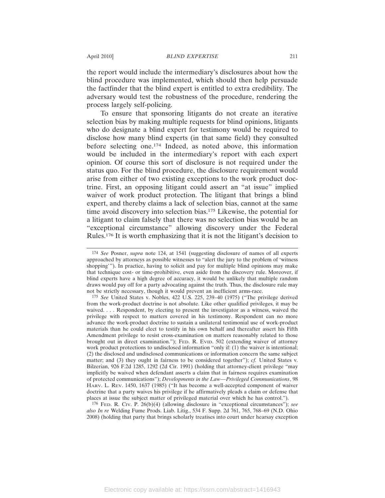the report would include the intermediary's disclosures about how the blind procedure was implemented, which should then help persuade the factfinder that the blind expert is entitled to extra credibility. The adversary would test the robustness of the procedure, rendering the process largely self-policing.

To ensure that sponsoring litigants do not create an iterative selection bias by making multiple requests for blind opinions, litigants who do designate a blind expert for testimony would be required to disclose how many blind experts (in that same field) they consulted before selecting one.174 Indeed, as noted above, this information would be included in the intermediary's report with each expert opinion. Of course this sort of disclosure is not required under the status quo. For the blind procedure, the disclosure requirement would arise from either of two existing exceptions to the work product doctrine. First, an opposing litigant could assert an "at issue" implied waiver of work product protection. The litigant that brings a blind expert, and thereby claims a lack of selection bias, cannot at the same time avoid discovery into selection bias.175 Likewise, the potential for a litigant to claim falsely that there was no selection bias would be an "exceptional circumstance" allowing discovery under the Federal Rules.176 It is worth emphasizing that it is not the litigant's decision to

176 FED. R. CIV. P. 26(b)(4) (allowing disclosure in "exceptional circumstances"); *see also In re* Welding Fume Prods. Liab. Litig., 534 F. Supp. 2d 761, 765, 768–69 (N.D. Ohio 2008) (holding that party that brings scholarly treatises into court under hearsay exception

<sup>174</sup> *See* Posner, *supra* note 124, at 1541 (suggesting disclosure of names of all experts approached by attorneys as possible witnesses to "alert the jury to the problem of 'witness shopping'"). In practice, having to solicit and pay for multiple blind opinions may make that technique cost- or time-prohibitive, even aside from the discovery rule. Moreover, if blind experts have a high degree of accuracy, it would be unlikely that multiple random draws would pay off for a party advocating against the truth. Thus, the disclosure rule may not be strictly necessary, though it would prevent an inefficient arms-race.

<sup>175</sup> *See* United States v. Nobles, 422 U.S. 225, 239–40 (1975) ("The privilege derived from the work-product doctrine is not absolute. Like other qualified privileges, it may be waived. . . . Respondent, by electing to present the investigator as a witness, waived the privilege with respect to matters covered in his testimony. Respondent can no more advance the work-product doctrine to sustain a unilateral testimonial use of work-product materials than he could elect to testify in his own behalf and thereafter assert his Fifth Amendment privilege to resist cross-examination on matters reasonably related to those brought out in direct examination."); FED. R. EVID. 502 (extending waiver of attorney work product protections to undisclosed information "only if: (1) the waiver is intentional; (2) the disclosed and undisclosed communications or information concern the same subject matter; and (3) they ought in fairness to be considered together"); *cf.* United States v. Bilzerian, 926 F.2d 1285, 1292 (2d Cir. 1991) (holding that attorney-client privilege "may implicitly be waived when defendant asserts a claim that in fairness requires examination of protected communications"); *Developments in the Law—Privileged Communications*, 98 HARV. L. REV. 1450, 1637 (1985) ("It has become a well-accepted component of waiver doctrine that a party waives his privilege if he affirmatively pleads a claim or defense that places at issue the subject matter of privileged material over which he has control.").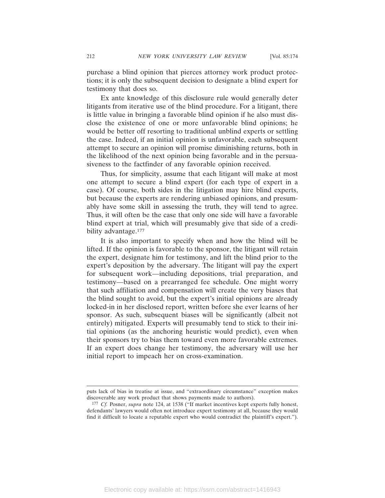purchase a blind opinion that pierces attorney work product protections; it is only the subsequent decision to designate a blind expert for testimony that does so.

Ex ante knowledge of this disclosure rule would generally deter litigants from iterative use of the blind procedure. For a litigant, there is little value in bringing a favorable blind opinion if he also must disclose the existence of one or more unfavorable blind opinions; he would be better off resorting to traditional unblind experts or settling the case. Indeed, if an initial opinion is unfavorable, each subsequent attempt to secure an opinion will promise diminishing returns, both in the likelihood of the next opinion being favorable and in the persuasiveness to the factfinder of any favorable opinion received.

Thus, for simplicity, assume that each litigant will make at most one attempt to secure a blind expert (for each type of expert in a case). Of course, both sides in the litigation may hire blind experts, but because the experts are rendering unbiased opinions, and presumably have some skill in assessing the truth, they will tend to agree. Thus, it will often be the case that only one side will have a favorable blind expert at trial, which will presumably give that side of a credibility advantage.<sup>177</sup>

It is also important to specify when and how the blind will be lifted. If the opinion is favorable to the sponsor, the litigant will retain the expert, designate him for testimony, and lift the blind prior to the expert's deposition by the adversary. The litigant will pay the expert for subsequent work—including depositions, trial preparation, and testimony—based on a prearranged fee schedule. One might worry that such affiliation and compensation will create the very biases that the blind sought to avoid, but the expert's initial opinions are already locked-in in her disclosed report, written before she ever learns of her sponsor. As such, subsequent biases will be significantly (albeit not entirely) mitigated. Experts will presumably tend to stick to their initial opinions (as the anchoring heuristic would predict), even when their sponsors try to bias them toward even more favorable extremes. If an expert does change her testimony, the adversary will use her initial report to impeach her on cross-examination.

puts lack of bias in treatise at issue, and "extraordinary circumstance" exception makes discoverable any work product that shows payments made to authors).

<sup>177</sup> *Cf.* Posner, *supra* note 124, at 1538 ("If market incentives kept experts fully honest, defendants' lawyers would often not introduce expert testimony at all, because they would find it difficult to locate a reputable expert who would contradict the plaintiff's expert.").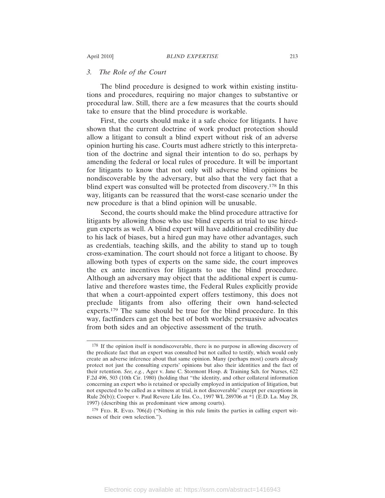#### *3. The Role of the Court*

The blind procedure is designed to work within existing institutions and procedures, requiring no major changes to substantive or procedural law. Still, there are a few measures that the courts should take to ensure that the blind procedure is workable.

First, the courts should make it a safe choice for litigants. I have shown that the current doctrine of work product protection should allow a litigant to consult a blind expert without risk of an adverse opinion hurting his case. Courts must adhere strictly to this interpretation of the doctrine and signal their intention to do so, perhaps by amending the federal or local rules of procedure. It will be important for litigants to know that not only will adverse blind opinions be nondiscoverable by the adversary, but also that the very fact that a blind expert was consulted will be protected from discovery.178 In this way, litigants can be reassured that the worst-case scenario under the new procedure is that a blind opinion will be unusable.

Second, the courts should make the blind procedure attractive for litigants by allowing those who use blind experts at trial to use hiredgun experts as well. A blind expert will have additional credibility due to his lack of biases, but a hired gun may have other advantages, such as credentials, teaching skills, and the ability to stand up to tough cross-examination. The court should not force a litigant to choose. By allowing both types of experts on the same side, the court improves the ex ante incentives for litigants to use the blind procedure. Although an adversary may object that the additional expert is cumulative and therefore wastes time, the Federal Rules explicitly provide that when a court-appointed expert offers testimony, this does not preclude litigants from also offering their own hand-selected experts.179 The same should be true for the blind procedure. In this way, factfinders can get the best of both worlds: persuasive advocates from both sides and an objective assessment of the truth.

<sup>178</sup> If the opinion itself is nondiscoverable, there is no purpose in allowing discovery of the predicate fact that an expert was consulted but not called to testify, which would only create an adverse inference about that same opinion. Many (perhaps most) courts already protect not just the consulting experts' opinions but also their identities and the fact of their retention. *See, e.g.*, Ager v. Jane C. Stormont Hosp. & Training Sch. for Nurses, 622 F.2d 496, 503 (10th Cir. 1980) (holding that "the identity, and other collateral information concerning an expert who is retained or specially employed in anticipation of litigation, but not expected to be called as a witness at trial, is not discoverable" except per exceptions in Rule 26(b)); Cooper v. Paul Revere Life Ins. Co., 1997 WL 289706 at \*1 (E.D. La. May 28, 1997) (describing this as predominant view among courts).

<sup>179</sup> FED. R. EVID. 706(d) ("Nothing in this rule limits the parties in calling expert witnesses of their own selection.").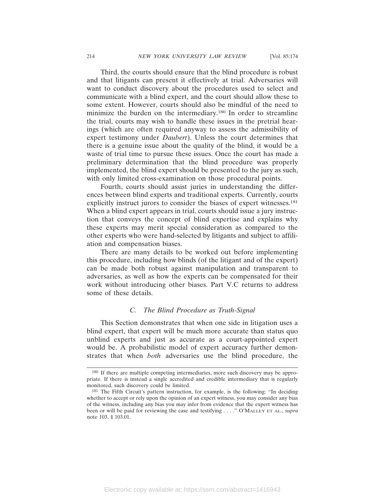Third, the courts should ensure that the blind procedure is robust and that litigants can present it effectively at trial. Adversaries will want to conduct discovery about the procedures used to select and communicate with a blind expert, and the court should allow these to some extent. However, courts should also be mindful of the need to minimize the burden on the intermediary.180 In order to streamline the trial, courts may wish to handle these issues in the pretrial hearings (which are often required anyway to assess the admissibility of expert testimony under *Daubert*). Unless the court determines that there is a genuine issue about the quality of the blind, it would be a waste of trial time to pursue these issues. Once the court has made a preliminary determination that the blind procedure was properly implemented, the blind expert should be presented to the jury as such, with only limited cross-examination on those procedural points.

Fourth, courts should assist juries in understanding the differences between blind experts and traditional experts. Currently, courts explicitly instruct jurors to consider the biases of expert witnesses.<sup>181</sup> When a blind expert appears in trial, courts should issue a jury instruction that conveys the concept of blind expertise and explains why these experts may merit special consideration as compared to the other experts who were hand-selected by litigants and subject to affiliation and compensation biases.

There are many details to be worked out before implementing this procedure, including how blinds (of the litigant and of the expert) can be made both robust against manipulation and transparent to adversaries, as well as how the experts can be compensated for their work without introducing other biases. Part V.C returns to address some of these details.

# *C. The Blind Procedure as Truth-Signal*

This Section demonstrates that when one side in litigation uses a blind expert, that expert will be much more accurate than status quo unblind experts and just as accurate as a court-appointed expert would be. A probabilistic model of expert accuracy further demonstrates that when *both* adversaries use the blind procedure, the

<sup>180</sup> If there are multiple competing intermediaries, more such discovery may be appropriate. If there is instead a single accredited and credible intermediary that is regularly monitored, such discovery could be limited.

<sup>181</sup> The Fifth Circuit's pattern instruction, for example, is the following: "In deciding whether to accept or rely upon the opinion of an expert witness, you may consider any bias of the witness, including any bias you may infer from evidence that the expert witness has been or will be paid for reviewing the case and testifying . . . ." O'MALLEY ET AL., *supra* note 103, § 103.01.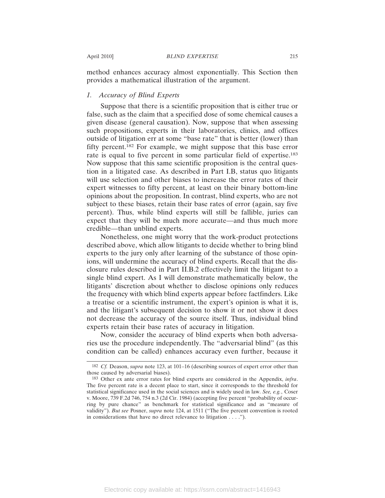method enhances accuracy almost exponentially. This Section then provides a mathematical illustration of the argument.

# *1. Accuracy of Blind Experts*

Suppose that there is a scientific proposition that is either true or false, such as the claim that a specified dose of some chemical causes a given disease (general causation). Now, suppose that when assessing such propositions, experts in their laboratories, clinics, and offices outside of litigation err at some "base rate" that is better (lower) than fifty percent.182 For example, we might suppose that this base error rate is equal to five percent in some particular field of expertise.183 Now suppose that this same scientific proposition is the central question in a litigated case. As described in Part I.B, status quo litigants will use selection and other biases to increase the error rates of their expert witnesses to fifty percent, at least on their binary bottom-line opinions about the proposition. In contrast, blind experts, who are not subject to these biases, retain their base rates of error (again, say five percent). Thus, while blind experts will still be fallible, juries can expect that they will be much more accurate—and thus much more credible—than unblind experts.

Nonetheless, one might worry that the work-product protections described above, which allow litigants to decide whether to bring blind experts to the jury only after learning of the substance of those opinions, will undermine the accuracy of blind experts. Recall that the disclosure rules described in Part II.B.2 effectively limit the litigant to a single blind expert. As I will demonstrate mathematically below, the litigants' discretion about whether to disclose opinions only reduces the frequency with which blind experts appear before factfinders. Like a treatise or a scientific instrument, the expert's opinion is what it is, and the litigant's subsequent decision to show it or not show it does not decrease the accuracy of the source itself. Thus, individual blind experts retain their base rates of accuracy in litigation.

Now, consider the accuracy of blind experts when both adversaries use the procedure independently. The "adversarial blind" (as this condition can be called) enhances accuracy even further, because it

<sup>182</sup> *Cf.* Deason, *supra* note 123, at 101–16 (describing sources of expert error other than those caused by adversarial biases).

<sup>183</sup> Other ex ante error rates for blind experts are considered in the Appendix, *infra*. The five percent rate is a decent place to start, since it corresponds to the threshold for statistical significance used in the social sciences and is widely used in law. *See, e.g.*, Coser v. Moore, 739 F.2d 746, 754 n.3 (2d Cir. 1984) (accepting five percent "probability of occurring by pure chance" as benchmark for statistical significance and as "measure of validity"). *But see* Posner, *supra* note 124, at 1511 ("The five percent convention is rooted in considerations that have no direct relevance to litigation . . . .").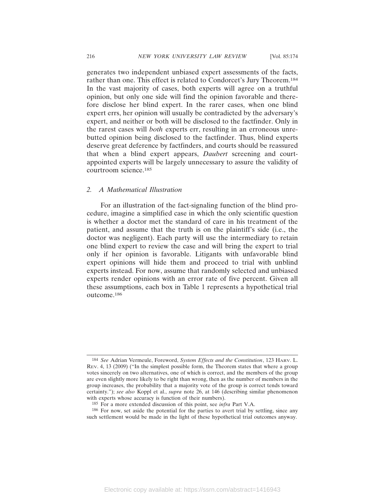generates two independent unbiased expert assessments of the facts, rather than one. This effect is related to Condorcet's Jury Theorem.184 In the vast majority of cases, both experts will agree on a truthful opinion, but only one side will find the opinion favorable and therefore disclose her blind expert. In the rarer cases, when one blind expert errs, her opinion will usually be contradicted by the adversary's expert, and neither or both will be disclosed to the factfinder. Only in the rarest cases will *both* experts err, resulting in an erroneous unrebutted opinion being disclosed to the factfinder. Thus, blind experts deserve great deference by factfinders, and courts should be reassured that when a blind expert appears, *Daubert* screening and courtappointed experts will be largely unnecessary to assure the validity of courtroom science.185

#### *2. A Mathematical Illustration*

For an illustration of the fact-signaling function of the blind procedure, imagine a simplified case in which the only scientific question is whether a doctor met the standard of care in his treatment of the patient, and assume that the truth is on the plaintiff's side (i.e., the doctor was negligent). Each party will use the intermediary to retain one blind expert to review the case and will bring the expert to trial only if her opinion is favorable. Litigants with unfavorable blind expert opinions will hide them and proceed to trial with unblind experts instead. For now, assume that randomly selected and unbiased experts render opinions with an error rate of five percent. Given all these assumptions, each box in Table 1 represents a hypothetical trial outcome.186

<sup>184</sup> *See* Adrian Vermeule, Foreword, *System Effects and the Constitution*, 123 HARV. L. REV. 4, 13 (2009) ("In the simplest possible form, the Theorem states that where a group votes sincerely on two alternatives, one of which is correct, and the members of the group are even slightly more likely to be right than wrong, then as the number of members in the group increases, the probability that a majority vote of the group is correct tends toward certainty."); *see also* Koppl et al., *supra* note 26, at 146 (describing similar phenomenon with experts whose accuracy is function of their numbers).

<sup>185</sup> For a more extended discussion of this point, see *infra* Part V.A.

<sup>186</sup> For now, set aside the potential for the parties to avert trial by settling, since any such settlement would be made in the light of these hypothetical trial outcomes anyway.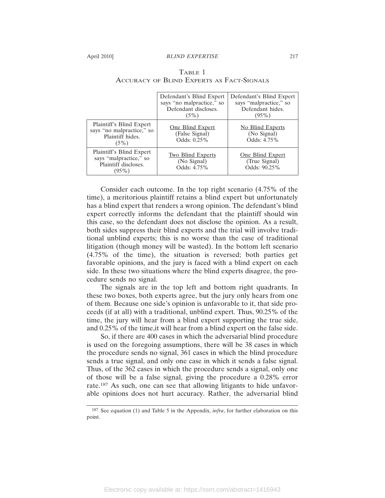|                                                                                        | Defendant's Blind Expert<br>says "no malpractice," so<br>Defendant discloses.<br>$(5\%)$ | Defendant's Blind Expert<br>says "malpractice," so<br>Defendant hides.<br>$(95\%)$ |
|----------------------------------------------------------------------------------------|------------------------------------------------------------------------------------------|------------------------------------------------------------------------------------|
| Plaintiff's Blind Expert<br>says "no malpractice," so<br>Plaintiff hides.<br>$(5\%)$   | One Blind Expert<br>(False Signal)<br>Odds: 0.25%                                        | No Blind Experts<br>(No Signal)<br>Odds: 4.75%                                     |
| Plaintiff's Blind Expert<br>says "malpractice," so<br>Plaintiff discloses.<br>$(95\%)$ | <b>Two Blind Experts</b><br>(No Signal)<br>Odds: 4.75%                                   | One Blind Expert<br>(True Signal)<br>Odds: 90.25%                                  |

# TABLE 1 ACCURACY OF BLIND EXPERTS AS FACT-SIGNALS

Consider each outcome. In the top right scenario (4.75% of the time), a meritorious plaintiff retains a blind expert but unfortunately has a blind expert that renders a wrong opinion. The defendant's blind expert correctly informs the defendant that the plaintiff should win this case, so the defendant does not disclose the opinion. As a result, both sides suppress their blind experts and the trial will involve traditional unblind experts; this is no worse than the case of traditional litigation (though money will be wasted). In the bottom left scenario (4.75% of the time), the situation is reversed; both parties get favorable opinions, and the jury is faced with a blind expert on each side. In these two situations where the blind experts disagree, the procedure sends no signal.

The signals are in the top left and bottom right quadrants. In these two boxes, both experts agree, but the jury only hears from one of them. Because one side's opinion is unfavorable to it, that side proceeds (if at all) with a traditional, unblind expert. Thus, 90.25% of the time, the jury will hear from a blind expert supporting the true side, and 0.25% of the time,it will hear from a blind expert on the false side.

So, if there are 400 cases in which the adversarial blind procedure is used on the foregoing assumptions, there will be 38 cases in which the procedure sends no signal, 361 cases in which the blind procedure sends a true signal, and only one case in which it sends a false signal. Thus, of the 362 cases in which the procedure sends a signal, only one of those will be a false signal, giving the procedure a 0.28% error rate.187 As such, one can see that allowing litigants to hide unfavorable opinions does not hurt accuracy. Rather, the adversarial blind

<sup>187</sup> See equation (1) and Table 5 in the Appendix, *infra*, for further elaboration on this point.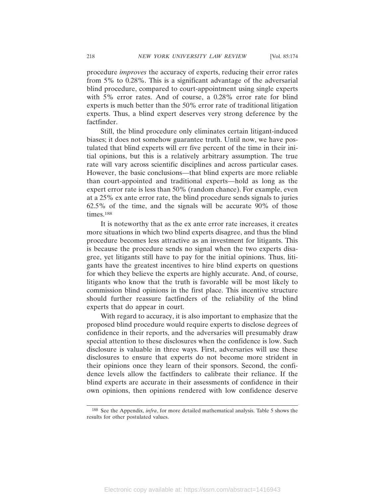procedure *improves* the accuracy of experts, reducing their error rates from 5% to 0.28%. This is a significant advantage of the adversarial blind procedure, compared to court-appointment using single experts with 5% error rates. And of course, a 0.28% error rate for blind experts is much better than the 50% error rate of traditional litigation experts. Thus, a blind expert deserves very strong deference by the factfinder.

Still, the blind procedure only eliminates certain litigant-induced biases; it does not somehow guarantee truth. Until now, we have postulated that blind experts will err five percent of the time in their initial opinions, but this is a relatively arbitrary assumption. The true rate will vary across scientific disciplines and across particular cases. However, the basic conclusions—that blind experts are more reliable than court-appointed and traditional experts—hold as long as the expert error rate is less than 50% (random chance). For example, even at a 25% ex ante error rate, the blind procedure sends signals to juries 62.5% of the time, and the signals will be accurate 90% of those times.188

It is noteworthy that as the ex ante error rate increases, it creates more situations in which two blind experts disagree, and thus the blind procedure becomes less attractive as an investment for litigants. This is because the procedure sends no signal when the two experts disagree, yet litigants still have to pay for the initial opinions. Thus, litigants have the greatest incentives to hire blind experts on questions for which they believe the experts are highly accurate. And, of course, litigants who know that the truth is favorable will be most likely to commission blind opinions in the first place. This incentive structure should further reassure factfinders of the reliability of the blind experts that do appear in court.

With regard to accuracy, it is also important to emphasize that the proposed blind procedure would require experts to disclose degrees of confidence in their reports, and the adversaries will presumably draw special attention to these disclosures when the confidence is low. Such disclosure is valuable in three ways. First, adversaries will use these disclosures to ensure that experts do not become more strident in their opinions once they learn of their sponsors. Second, the confidence levels allow the factfinders to calibrate their reliance. If the blind experts are accurate in their assessments of confidence in their own opinions, then opinions rendered with low confidence deserve

<sup>188</sup> See the Appendix, *infra*, for more detailed mathematical analysis. Table 5 shows the results for other postulated values.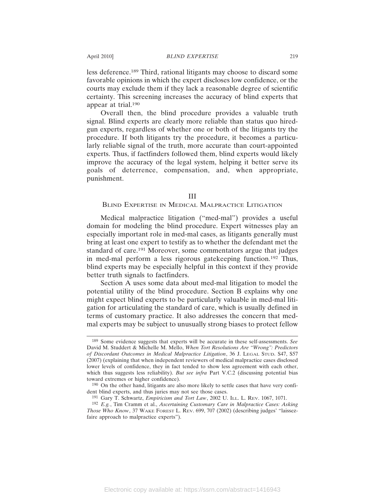less deference.189 Third, rational litigants may choose to discard some favorable opinions in which the expert discloses low confidence, or the courts may exclude them if they lack a reasonable degree of scientific certainty. This screening increases the accuracy of blind experts that appear at trial.190

Overall then, the blind procedure provides a valuable truth signal. Blind experts are clearly more reliable than status quo hiredgun experts, regardless of whether one or both of the litigants try the procedure. If both litigants try the procedure, it becomes a particularly reliable signal of the truth, more accurate than court-appointed experts. Thus, if factfinders followed them, blind experts would likely improve the accuracy of the legal system, helping it better serve its goals of deterrence, compensation, and, when appropriate, punishment.

#### III

# BLIND EXPERTISE IN MEDICAL MALPRACTICE LITIGATION

Medical malpractice litigation ("med-mal") provides a useful domain for modeling the blind procedure. Expert witnesses play an especially important role in med-mal cases, as litigants generally must bring at least one expert to testify as to whether the defendant met the standard of care.191 Moreover, some commentators argue that judges in med-mal perform a less rigorous gatekeeping function.192 Thus, blind experts may be especially helpful in this context if they provide better truth signals to factfinders.

Section A uses some data about med-mal litigation to model the potential utility of the blind procedure. Section B explains why one might expect blind experts to be particularly valuable in med-mal litigation for articulating the standard of care, which is usually defined in terms of customary practice. It also addresses the concern that medmal experts may be subject to unusually strong biases to protect fellow

<sup>189</sup> Some evidence suggests that experts will be accurate in these self-assessments. *See* David M. Studdert & Michelle M. Mello, *When Tort Resolutions Are "Wrong": Predictors of Discordant Outcomes in Medical Malpractice Litigation*, 36 J. LEGAL STUD. S47, S57 (2007) (explaining that when independent reviewers of medical malpractice cases disclosed lower levels of confidence, they in fact tended to show less agreement with each other, which thus suggests less reliability). *But see infra* Part V.C.2 (discussing potential bias toward extremes or higher confidence).

<sup>190</sup> On the other hand, litigants are also more likely to settle cases that have very confident blind experts, and thus juries may not see those cases.

<sup>191</sup> Gary T. Schwartz, *Empiricism and Tort Law*, 2002 U. ILL. L. REV. 1067, 1071.

<sup>192</sup> *E.g.*, Tim Cramm et al., *Ascertaining Customary Care in Malpractice Cases: Asking Those Who Know*, 37 WAKE FOREST L. REV. 699, 707 (2002) (describing judges' "laissezfaire approach to malpractice experts").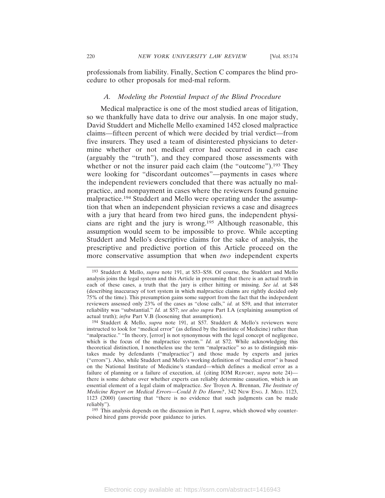professionals from liability. Finally, Section C compares the blind procedure to other proposals for med-mal reform.

# *A. Modeling the Potential Impact of the Blind Procedure*

Medical malpractice is one of the most studied areas of litigation, so we thankfully have data to drive our analysis. In one major study, David Studdert and Michelle Mello examined 1452 closed malpractice claims—fifteen percent of which were decided by trial verdict—from five insurers. They used a team of disinterested physicians to determine whether or not medical error had occurred in each case (arguably the "truth"), and they compared those assessments with whether or not the insurer paid each claim (the "outcome").<sup>193</sup> They were looking for "discordant outcomes"—payments in cases where the independent reviewers concluded that there was actually no malpractice, and nonpayment in cases where the reviewers found genuine malpractice.194 Studdert and Mello were operating under the assumption that when an independent physician reviews a case and disagrees with a jury that heard from two hired guns, the independent physicians are right and the jury is wrong.195 Although reasonable, this assumption would seem to be impossible to prove. While accepting Studdert and Mello's descriptive claims for the sake of analysis, the prescriptive and predictive portion of this Article proceed on the more conservative assumption that when *two* independent experts

<sup>193</sup> Studdert & Mello, *supra* note 191, at S53–S58. Of course, the Studdert and Mello analysis joins the legal system and this Article in presuming that there is an actual truth in each of these cases, a truth that the jury is either hitting or missing. *See id.* at S48 (describing inaccuracy of tort system in which malpractice claims are rightly decided only 75% of the time). This presumption gains some support from the fact that the independent reviewers assessed only 23% of the cases as "close calls," *id.* at S59, and that interrater reliability was "substantial." *Id.* at S57; *see also supra* Part I.A (explaining assumption of actual truth); *infra* Part V.B (loosening that assumption).

<sup>194</sup> Studdert & Mello, *supra* note 191, at S57. Studdert & Mello's reviewers were instructed to look for "medical error" (as defined by the Institute of Medicine) rather than "malpractice." "In theory, [error] is not synonymous with the legal concept of negligence, which is the focus of the malpractice system." *Id.* at S72. While acknowledging this theoretical distinction, I nonetheless use the term "malpractice" so as to distinguish mistakes made by defendants ("malpractice") and those made by experts and juries ("errors"). Also, while Studdert and Mello's working definition of "medical error" is based on the National Institute of Medicine's standard—which defines a medical error as a failure of planning or a failure of execution, *id.* (citing IOM REPORT, *supra* note 24) there is some debate over whether experts can reliably determine causation, which is an essential element of a legal claim of malpractice. *See* Troyen A. Brennan, *The Institute of Medicine Report on Medical Errors—Could It Do Harm?*, 342 NEW ENG. J. MED. 1123, 1123 (2000) (asserting that "there is no evidence that such judgments can be made reliably").

<sup>195</sup> This analysis depends on the discussion in Part I, *supra*, which showed why counterpoised hired guns provide poor guidance to juries.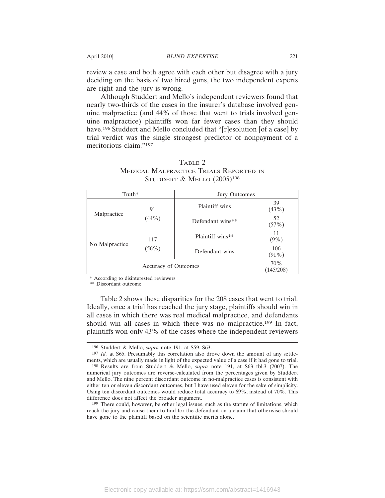review a case and both agree with each other but disagree with a jury deciding on the basis of two hired guns, the two independent experts are right and the jury is wrong.

Although Studdert and Mello's independent reviewers found that nearly two-thirds of the cases in the insurer's database involved genuine malpractice (and 44% of those that went to trials involved genuine malpractice) plaintiffs won far fewer cases than they should have.<sup>196</sup> Studdert and Mello concluded that "[r]esolution [of a case] by trial verdict was the single strongest predictor of nonpayment of a meritorious claim."197

| Truth*               |                 | Jury Outcomes    |                  |  |
|----------------------|-----------------|------------------|------------------|--|
| Malpractice          | 91<br>$(44\%)$  | Plaintiff wins   | 39<br>(43%)      |  |
|                      |                 | Defendant wins** | 52<br>(57%)      |  |
| No Malpractice       | 117<br>$(56\%)$ | Plaintiff wins** | 11<br>$(9\%)$    |  |
|                      |                 | Defendant wins   | 106<br>$(91\%)$  |  |
| Accuracy of Outcomes |                 |                  | 70%<br>(145/208) |  |

# TABLE 2 MEDICAL MALPRACTICE TRIALS REPORTED IN STUDDERT & MELLO (2005)<sup>198</sup>

\* According to disinterested reviewers

\*\* Discordant outcome

Table 2 shows these disparities for the 208 cases that went to trial. Ideally, once a trial has reached the jury stage, plaintiffs should win in all cases in which there was real medical malpractice, and defendants should win all cases in which there was no malpractice.<sup>199</sup> In fact, plaintiffs won only 43% of the cases where the independent reviewers

<sup>196</sup> Studdert & Mello, *supra* note 191, at S59, S63.

<sup>197</sup> *Id.* at S65. Presumably this correlation also drove down the amount of any settlements, which are usually made in light of the expected value of a case if it had gone to trial.

<sup>198</sup> Results are from Studdert & Mello, *supra* note 191, at S63 tbl.3 (2007). The numerical jury outcomes are reverse-calculated from the percentages given by Studdert and Mello. The nine percent discordant outcome in no-malpractice cases is consistent with either ten or eleven discordant outcomes, but I have used eleven for the sake of simplicity. Using ten discordant outcomes would reduce total accuracy to 69%, instead of 70%. This difference does not affect the broader argument.

<sup>199</sup> There could, however, be other legal issues, such as the statute of limitations, which reach the jury and cause them to find for the defendant on a claim that otherwise should have gone to the plaintiff based on the scientific merits alone.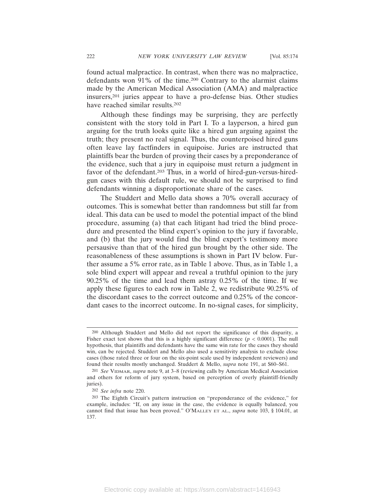found actual malpractice. In contrast, when there was no malpractice, defendants won 91% of the time.200 Contrary to the alarmist claims made by the American Medical Association (AMA) and malpractice insurers,201 juries appear to have a pro-defense bias. Other studies have reached similar results.202

Although these findings may be surprising, they are perfectly consistent with the story told in Part I. To a layperson, a hired gun arguing for the truth looks quite like a hired gun arguing against the truth; they present no real signal. Thus, the counterpoised hired guns often leave lay factfinders in equipoise. Juries are instructed that plaintiffs bear the burden of proving their cases by a preponderance of the evidence, such that a jury in equipoise must return a judgment in favor of the defendant.<sup>203</sup> Thus, in a world of hired-gun-versus-hiredgun cases with this default rule, we should not be surprised to find defendants winning a disproportionate share of the cases.

The Studdert and Mello data shows a 70% overall accuracy of outcomes. This is somewhat better than randomness but still far from ideal. This data can be used to model the potential impact of the blind procedure, assuming (a) that each litigant had tried the blind procedure and presented the blind expert's opinion to the jury if favorable, and (b) that the jury would find the blind expert's testimony more persausive than that of the hired gun brought by the other side. The reasonableness of these assumptions is shown in Part IV below. Further assume a 5% error rate, as in Table 1 above. Thus, as in Table 1, a sole blind expert will appear and reveal a truthful opinion to the jury 90.25% of the time and lead them astray 0.25% of the time. If we apply these figures to each row in Table 2, we redistribute 90.25% of the discordant cases to the correct outcome and 0.25% of the concordant cases to the incorrect outcome. In no-signal cases, for simplicity,

<sup>200</sup> Although Studdert and Mello did not report the significance of this disparity, a Fisher exact test shows that this is a highly significant difference (*p* < 0.0001). The null hypothesis, that plaintiffs and defendants have the same win rate for the cases they should win, can be rejected. Studdert and Mello also used a sensitivity analysis to exclude close cases (those rated three or four on the six-point scale used by independent reviewers) and found their results mostly unchanged. Studdert & Mello, *supra* note 191, at S60–S61.

<sup>201</sup> *See* VIDMAR, *supra* note 9, at 3–8 (reviewing calls by American Medical Association and others for reform of jury system, based on perception of overly plaintiff-friendly juries).

<sup>202</sup> *See infra* note 220.

<sup>203</sup> The Eighth Circuit's pattern instruction on "preponderance of the evidence," for example, includes: "If, on any issue in the case, the evidence is equally balanced, you cannot find that issue has been proved." O'MALLEY ET AL., *supra* note 103, § 104.01, at 137.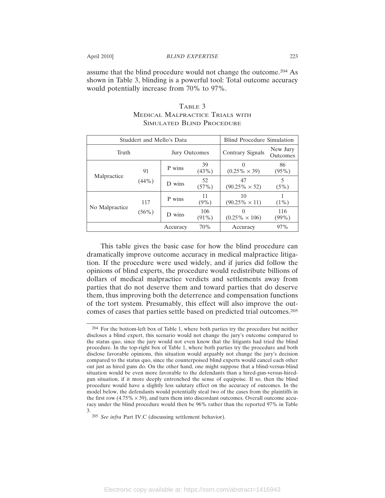assume that the blind procedure would not change the outcome.204 As shown in Table 3, blinding is a powerful tool: Total outcome accuracy would potentially increase from 70% to 97%.

| Studdert and Mello's Data |          |               |                 | <b>Blind Procedure Simulation</b> |                      |
|---------------------------|----------|---------------|-----------------|-----------------------------------|----------------------|
| Truth                     |          | Jury Outcomes |                 | Contrary Signals                  | New Jury<br>Outcomes |
| 91<br>Malpractice         |          | P wins        | 39<br>$(43\%)$  | $(0.25\% \times 39)$              | 86<br>$(95\%)$       |
|                           | $(44\%)$ | D wins        | 52<br>$(57\%)$  | 47<br>$(90.25\% \times 52)$       | 5<br>$(5\%)$         |
| No Malpractice            | 117      | P wins        | 11<br>$(9\%)$   | 10<br>$(90.25\% \times 11)$       | $(1\%)$              |
|                           | $(56\%)$ | D wins        | 106<br>$(91\%)$ | $(0.25\% \times 106)$             | 116<br>(99%)         |
|                           |          | Accuracy      | 70%             | Accuracy                          | 97%                  |

# TABLE 3 MEDICAL MALPRACTICE TRIALS WITH SIMULATED BLIND PROCEDURE

This table gives the basic case for how the blind procedure can dramatically improve outcome accuracy in medical malpractice litigation. If the procedure were used widely, and if juries did follow the opinions of blind experts, the procedure would redistribute billions of dollars of medical malpractice verdicts and settlements away from parties that do not deserve them and toward parties that do deserve them, thus improving both the deterrence and compensation functions of the tort system. Presumably, this effect will also improve the outcomes of cases that parties settle based on predicted trial outcomes.205

<sup>204</sup> For the bottom-left box of Table 1, where both parties try the procedure but neither discloses a blind expert, this scenario would not change the jury's outcome compared to the status quo, since the jury would not even know that the litigants had tried the blind procedure. In the top-right box of Table 1, where both parties try the procedure and both disclose favorable opinions, this situation would arguably not change the jury's decision compared to the status quo, since the counterpoised blind experts would cancel each other out just as hired guns do. On the other hand, one might suppose that a blind-versus-blind situation would be even more favorable to the defendants than a hired-gun-versus-hiredgun situation, if it more deeply entrenched the sense of equipoise. If so, then the blind procedure would have a slightly less salutary effect on the accuracy of outcomes. In the model below, the defendants would potentially steal two of the cases from the plaintiffs in the first row  $(4.75\% \times 39)$ , and turn them into discordant outcomes. Overall outcome accuracy under the blind procedure would then be 96% rather than the reported 97% in Table 3.

<sup>205</sup> *See infra* Part IV.C (discussing settlement behavior).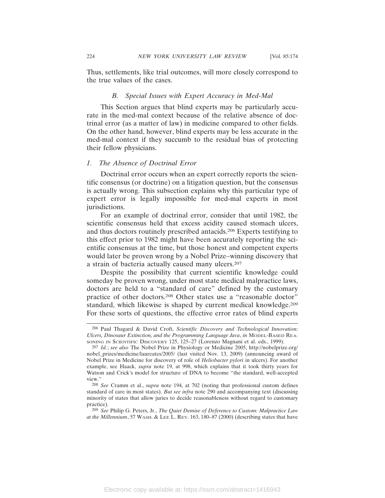Thus, settlements, like trial outcomes, will more closely correspond to the true values of the cases.

#### *B. Special Issues with Expert Accuracy in Med-Mal*

This Section argues that blind experts may be particularly accurate in the med-mal context because of the relative absence of doctrinal error (as a matter of law) in medicine compared to other fields. On the other hand, however, blind experts may be less accurate in the med-mal context if they succumb to the residual bias of protecting their fellow physicians.

#### *1. The Absence of Doctrinal Error*

Doctrinal error occurs when an expert correctly reports the scientific consensus (or doctrine) on a litigation question, but the consensus is actually wrong. This subsection explains why this particular type of expert error is legally impossible for med-mal experts in most jurisdictions.

For an example of doctrinal error, consider that until 1982, the scientific consensus held that excess acidity caused stomach ulcers, and thus doctors routinely prescribed antacids.206 Experts testifying to this effect prior to 1982 might have been accurately reporting the scientific consensus at the time, but those honest and competent experts would later be proven wrong by a Nobel Prize–winning discovery that a strain of bacteria actually caused many ulcers.207

Despite the possibility that current scientific knowledge could someday be proven wrong, under most state medical malpractice laws, doctors are held to a "standard of care" defined by the customary practice of other doctors.208 Other states use a "reasonable doctor" standard, which likewise is shaped by current medical knowledge.<sup>209</sup> For these sorts of questions, the effective error rates of blind experts

<sup>206</sup> Paul Thagard & David Croft, *Scientific Discovery and Technological Innovation: Ulcers, Dinosaur Extinction, and the Programming Language Java*, *in* MODEL-BASED REA-SONING IN SCIENTIFIC DISCOVERY 125, 125–27 (Lorenzo Magnani et al. eds., 1999).

<sup>207</sup> *Id.*; *see also* The Nobel Prize in Physiology or Medicine 2005, http://nobelprize.org/ nobel\_prizes/medicine/laureates/2005/ (last visited Nov. 13, 2009) (announcing award of Nobel Prize in Medicine for discovery of role of *Heliobacter pylori* in ulcers). For another example, see Haack, *supra* note 19, at 998, which explains that it took thirty years for Watson and Crick's model for structure of DNA to become "the standard, well-accepted view."

<sup>208</sup> *See* Cramm et al., *supra* note 194, at 702 (noting that professional custom defines standard of care in most states). *But see infra* note 290 and accompanying text (discussing minority of states that allow juries to decide reasonableness without regard to customary practice).

<sup>209</sup> *See* Philip G. Peters, Jr., *The Quiet Demise of Deference to Custom: Malpractice Law at the Millennium*, 57 WASH. & LEE L. REV. 163, 180–87 (2000) (describing states that have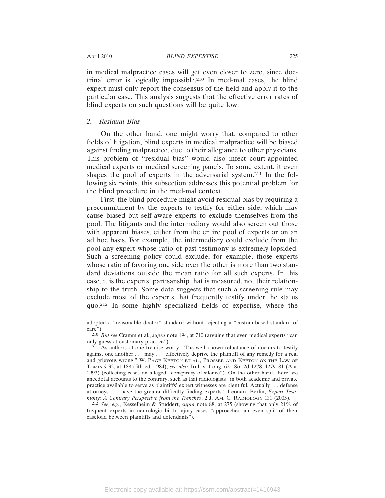in medical malpractice cases will get even closer to zero, since doctrinal error is logically impossible.210 In med-mal cases, the blind expert must only report the consensus of the field and apply it to the particular case. This analysis suggests that the effective error rates of blind experts on such questions will be quite low.

# *2. Residual Bias*

On the other hand, one might worry that, compared to other fields of litigation, blind experts in medical malpractice will be biased against finding malpractice, due to their allegiance to other physicians. This problem of "residual bias" would also infect court-appointed medical experts or medical screening panels. To some extent, it even shapes the pool of experts in the adversarial system.211 In the following six points, this subsection addresses this potential problem for the blind procedure in the med-mal context.

First, the blind procedure might avoid residual bias by requiring a precommitment by the experts to testify for either side, which may cause biased but self-aware experts to exclude themselves from the pool. The litigants and the intermediary would also screen out those with apparent biases, either from the entire pool of experts or on an ad hoc basis. For example, the intermediary could exclude from the pool any expert whose ratio of past testimony is extremely lopsided. Such a screening policy could exclude, for example, those experts whose ratio of favoring one side over the other is more than two standard deviations outside the mean ratio for all such experts. In this case, it is the experts' partisanship that is measured, not their relationship to the truth. Some data suggests that such a screening rule may exclude most of the experts that frequently testify under the status quo.212 In some highly specialized fields of expertise, where the

212 *See, e.g.*, Kesselheim & Studdert, *supra* note 88, at 275 (showing that only 21% of frequent experts in neurologic birth injury cases "approached an even split of their caseload between plaintiffs and defendants").

adopted a "reasonable doctor" standard without rejecting a "custom-based standard of care").

<sup>210</sup> *But see* Cramm et al., *supra* note 194, at 710 (arguing that even medical experts "can only guess at customary practice").

<sup>211</sup> As authors of one treatise worry, "The well known reluctance of doctors to testify against one another . . . may . . . effectively deprive the plaintiff of any remedy for a real and grievous wrong." W. PAGE KEETON ET AL., PROSSER AND KEETON ON THE LAW OF TORTS § 32, at 188 (5th ed. 1984); *see also* Trull v. Long, 621 So. 2d 1278, 1279–81 (Ala. 1993) (collecting cases on alleged "conspiracy of silence"). On the other hand, there are anecdotal accounts to the contrary, such as that radiologists "in both academic and private practice available to serve as plaintiffs' expert witnesses are plentiful. Actually . . . defense attorneys . . . have the greater difficulty finding experts." Leonard Berlin, *Expert Testimony: A Contrary Perspective from the Trenches*, 2 J. AM. C. RADIOLOGY 131 (2005).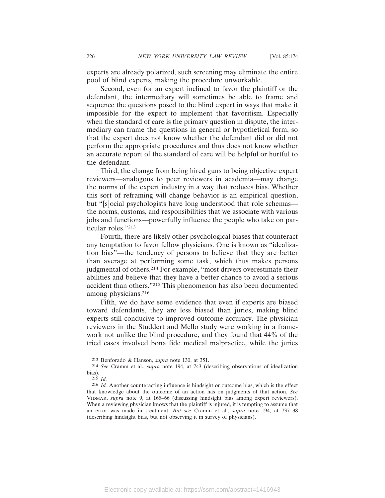experts are already polarized, such screening may eliminate the entire pool of blind experts, making the procedure unworkable.

Second, even for an expert inclined to favor the plaintiff or the defendant, the intermediary will sometimes be able to frame and sequence the questions posed to the blind expert in ways that make it impossible for the expert to implement that favoritism. Especially when the standard of care is the primary question in dispute, the intermediary can frame the questions in general or hypothetical form, so that the expert does not know whether the defendant did or did not perform the appropriate procedures and thus does not know whether an accurate report of the standard of care will be helpful or hurtful to the defendant.

Third, the change from being hired guns to being objective expert reviewers—analogous to peer reviewers in academia—may change the norms of the expert industry in a way that reduces bias. Whether this sort of reframing will change behavior is an empirical question, but "[s]ocial psychologists have long understood that role schemas the norms, customs, and responsibilities that we associate with various jobs and functions—powerfully influence the people who take on particular roles."213

Fourth, there are likely other psychological biases that counteract any temptation to favor fellow physicians. One is known as "idealization bias"—the tendency of persons to believe that they are better than average at performing some task, which thus makes persons judgmental of others.<sup>214</sup> For example, "most drivers overestimate their abilities and believe that they have a better chance to avoid a serious accident than others."215 This phenomenon has also been documented among physicians.216

Fifth, we do have some evidence that even if experts are biased toward defendants, they are less biased than juries, making blind experts still conducive to improved outcome accuracy. The physician reviewers in the Studdert and Mello study were working in a framework not unlike the blind procedure, and they found that 44% of the tried cases involved bona fide medical malpractice, while the juries

<sup>213</sup> Benforado & Hanson, *supra* note 130, at 351.

<sup>214</sup> *See* Cramm et al., *supra* note 194, at 743 (describing observations of idealization bias).

<sup>215</sup> *Id.*

<sup>216</sup> *Id.* Another counteracting influence is hindsight or outcome bias, which is the effect that knowledge about the outcome of an action has on judgments of that action. *See* VIDMAR, *supra* note 9, at 165–66 (discussing hindsight bias among expert reviewers). When a reviewing physician knows that the plaintiff is injured, it is tempting to assume that an error was made in treatment. *But see* Cramm et al., *supra* note 194, at 737–38 (describing hindsight bias, but not observing it in survey of physicians).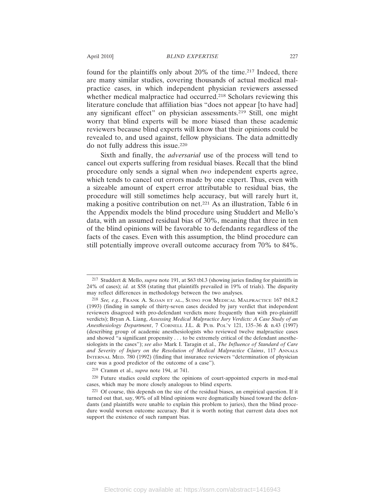found for the plaintiffs only about 20% of the time.<sup>217</sup> Indeed, there are many similar studies, covering thousands of actual medical malpractice cases, in which independent physician reviewers assessed whether medical malpractice had occurred.<sup>218</sup> Scholars reviewing this literature conclude that affiliation bias "does not appear [to have had] any significant effect" on physician assessments.219 Still, one might worry that blind experts will be more biased than these academic reviewers because blind experts will know that their opinions could be revealed to, and used against, fellow physicians. The data admittedly do not fully address this issue.220

Sixth and finally, the *adversarial* use of the process will tend to cancel out experts suffering from residual biases. Recall that the blind procedure only sends a signal when *two* independent experts agree, which tends to cancel out errors made by one expert. Thus, even with a sizeable amount of expert error attributable to residual bias, the procedure will still sometimes help accuracy, but will rarely hurt it, making a positive contribution on net.221 As an illustration, Table 6 in the Appendix models the blind procedure using Studdert and Mello's data, with an assumed residual bias of 30%, meaning that three in ten of the blind opinions will be favorable to defendants regardless of the facts of the cases. Even with this assumption, the blind procedure can still potentially improve overall outcome accuracy from 70% to 84%.

219 Cramm et al., *supra* note 194, at 741.

<sup>217</sup> Studdert & Mello, *supra* note 191, at S63 tbl.3 (showing juries finding for plaintiffs in 24% of cases); *id.* at S58 (stating that plaintiffs prevailed in 19% of trials). The disparity may reflect differences in methodology between the two analyses.

<sup>218</sup> *See, e.g.*, FRANK A. SLOAN ET AL., SUING FOR MEDICAL MALPRACTICE 167 tbl.8.2 (1993) (finding in sample of thirty-seven cases decided by jury verdict that independent reviewers disagreed with pro-defendant verdicts more frequently than with pro-plaintiff verdicts); Bryan A. Liang, *Assessing Medical Malpractice Jury Verdicts: A Case Study of an Anesthesiology Department*, 7 CORNELL J.L. & PUB. POL'Y 121, 135–36 & n.43 (1997) (describing group of academic anesthesiologists who reviewed twelve malpractice cases and showed "a significant propensity . . . to be extremely critical of the defendant anesthesiologists in the cases"); *see also* Mark I. Taragin et al., *The Influence of Standard of Care and Severity of Injury on the Resolution of Medical Malpractice Claims*, 117 ANNALS INTERNAL MED. 780 (1992) (finding that insurance reviewers "determination of physician care was a good predictor of the outcome of a case").

<sup>220</sup> Future studies could explore the opinions of court-appointed experts in med-mal cases, which may be more closely analogous to blind experts.

<sup>221</sup> Of course, this depends on the size of the residual biases, an empirical question. If it turned out that, say, 90% of all blind opinions were dogmatically biased toward the defendants (and plaintiffs were unable to explain this problem to juries), then the blind procedure would worsen outcome accuracy. But it is worth noting that current data does not support the existence of such rampant bias.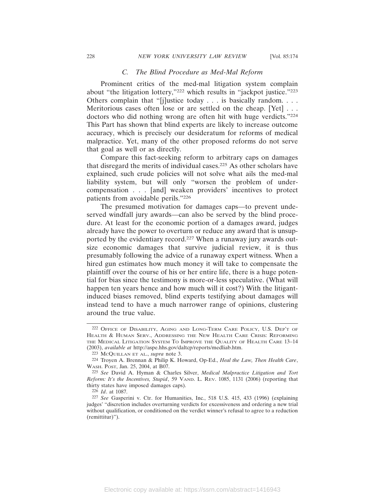#### *C. The Blind Procedure as Med-Mal Reform*

Prominent critics of the med-mal litigation system complain about "the litigation lottery,"222 which results in "jackpot justice."223 Others complain that "[j]ustice today . . . is basically random. . . . Meritorious cases often lose or are settled on the cheap. [Yet] ... doctors who did nothing wrong are often hit with huge verdicts."224 This Part has shown that blind experts are likely to increase outcome accuracy, which is precisely our desideratum for reforms of medical malpractice. Yet, many of the other proposed reforms do not serve that goal as well or as directly.

Compare this fact-seeking reform to arbitrary caps on damages that disregard the merits of individual cases.225 As other scholars have explained, such crude policies will not solve what ails the med-mal liability system, but will only "worsen the problem of undercompensation . . . [and] weaken providers' incentives to protect patients from avoidable perils."226

The presumed motivation for damages caps—to prevent undeserved windfall jury awards—can also be served by the blind procedure. At least for the economic portion of a damages award, judges already have the power to overturn or reduce any award that is unsupported by the evidentiary record.<sup>227</sup> When a runaway jury awards outsize economic damages that survive judicial review, it is thus presumably following the advice of a runaway expert witness. When a hired gun estimates how much money it will take to compensate the plaintiff over the course of his or her entire life, there is a huge potential for bias since the testimony is more-or-less speculative. (What will happen ten years hence and how much will it cost?) With the litigantinduced biases removed, blind experts testifying about damages will instead tend to have a much narrower range of opinions, clustering around the true value.

<sup>222</sup> OFFICE OF DISABILITY, AGING AND LONG-TERM CARE POLICY, U.S. DEP'T OF HEALTH & HUMAN SERV., ADDRESSING THE NEW HEALTH CARE CRISIS: REFORMING THE MEDICAL LITIGATION SYSTEM TO IMPROVE THE QUALITY OF HEALTH CARE 13–14 (2003), *available at* http://aspe.hhs.gov/daltcp/reports/medliab.htm.

<sup>223</sup> MCQUILLAN ET AL., *supra* note 3.

<sup>224</sup> Troyen A. Brennan & Philip K. Howard, Op-Ed., *Heal the Law, Then Health Care*, WASH. POST, Jan. 25, 2004, at B07.

<sup>225</sup> *See* David A. Hyman & Charles Silver, *Medical Malpractice Litigation and Tort Reform: It's the Incentives, Stupid*, 59 VAND. L. REV. 1085, 1131 (2006) (reporting that thirty states have imposed damages caps).

<sup>226</sup> *Id*. at 1087.

<sup>227</sup> *See* Gasperini v. Ctr. for Humanities, Inc., 518 U.S. 415, 433 (1996) (explaining judges' "discretion includes overturning verdicts for excessiveness and ordering a new trial without qualification, or conditioned on the verdict winner's refusal to agree to a reduction (remittitur)").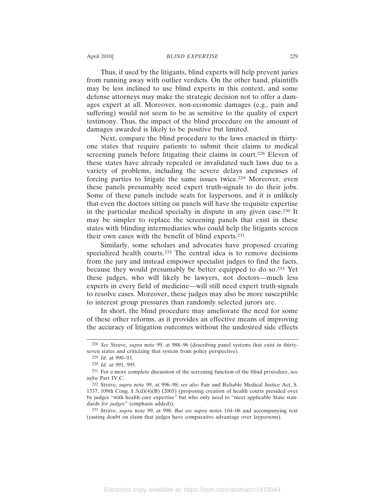Thus, if used by the litigants, blind experts will help prevent juries from running away with outlier verdicts. On the other hand, plaintiffs may be less inclined to use blind experts in this context, and some defense attorneys may make the strategic decision not to offer a damages expert at all. Moreover, non-economic damages (e.g., pain and suffering) would not seem to be as sensitive to the quality of expert testimony. Thus, the impact of the blind procedure on the amount of damages awarded is likely to be positive but limited.

Next, compare the blind procedure to the laws enacted in thirtyone states that require patients to submit their claims to medical screening panels before litigating their claims in court.<sup>228</sup> Eleven of these states have already repealed or invalidated such laws due to a variety of problems, including the severe delays and expenses of forcing parties to litigate the same issues twice.229 Moreover, even these panels presumably need expert truth-signals to do their jobs. Some of these panels include seats for laypersons, and it is unlikely that even the doctors sitting on panels will have the requisite expertise in the particular medical specialty in dispute in any given case.230 It may be simpler to replace the screening panels that exist in these states with blinding intermediaries who could help the litigants screen their own cases with the benefit of blind experts.231

Similarly, some scholars and advocates have proposed creating specialized health courts.<sup>232</sup> The central idea is to remove decisions from the jury and instead empower specialist judges to find the facts, because they would presumably be better equipped to do so.233 Yet these judges, who will likely be lawyers, not doctors—much less experts in every field of medicine—will still need expert truth-signals to resolve cases. Moreover, these judges may also be more susceptible to interest group pressures than randomly selected jurors are.

In short, the blind procedure may ameliorate the need for some of these other reforms, as it provides an effective means of improving the accuracy of litigation outcomes without the undesired side effects

<sup>228</sup> *See* Struve, *supra* note 99, at 988–96 (describing panel systems that exist in thirtyseven states and criticizing that system from policy perspective).

<sup>229</sup> *Id*. at 990–93.

<sup>230</sup> *Id*. at 991, 995.

<sup>231</sup> For a more complete discussion of the screening function of the blind procedure, see *infra* Part IV.C.

<sup>232</sup> Struve, *supra* note 99, at 996–98; *see also* Fair and Reliable Medical Justice Act, S. 1337, 109th Cong. § 3(d)(4)(B) (2005) (proposing creation of health courts presided over by judges "with health care expertise" but who only need to "meet applicable State standards *for judges*" (emphasis added)).

<sup>233</sup> Struve, *supra* note 99, at 998. *But see supra* notes 104–06 and accompanying text (casting doubt on claim that judges have comparative advantage over laypersons).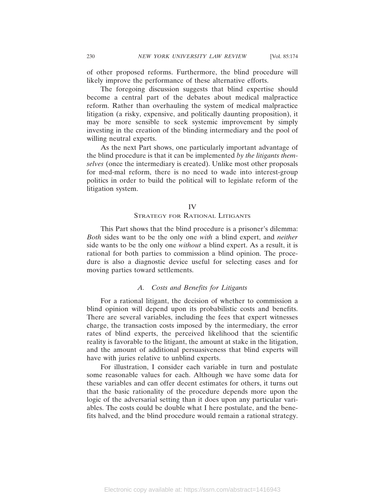of other proposed reforms. Furthermore, the blind procedure will likely improve the performance of these alternative efforts.

The foregoing discussion suggests that blind expertise should become a central part of the debates about medical malpractice reform. Rather than overhauling the system of medical malpractice litigation (a risky, expensive, and politically daunting proposition), it may be more sensible to seek systemic improvement by simply investing in the creation of the blinding intermediary and the pool of willing neutral experts.

As the next Part shows, one particularly important advantage of the blind procedure is that it can be implemented *by the litigants themselves* (once the intermediary is created). Unlike most other proposals for med-mal reform, there is no need to wade into interest-group politics in order to build the political will to legislate reform of the litigation system.

# IV

# STRATEGY FOR RATIONAL LITIGANTS

This Part shows that the blind procedure is a prisoner's dilemma: *Both* sides want to be the only one *with* a blind expert, and *neither* side wants to be the only one *without* a blind expert. As a result, it is rational for both parties to commission a blind opinion. The procedure is also a diagnostic device useful for selecting cases and for moving parties toward settlements.

# *A. Costs and Benefits for Litigants*

For a rational litigant, the decision of whether to commission a blind opinion will depend upon its probabilistic costs and benefits. There are several variables, including the fees that expert witnesses charge, the transaction costs imposed by the intermediary, the error rates of blind experts, the perceived likelihood that the scientific reality is favorable to the litigant, the amount at stake in the litigation, and the amount of additional persuasiveness that blind experts will have with juries relative to unblind experts.

For illustration, I consider each variable in turn and postulate some reasonable values for each. Although we have some data for these variables and can offer decent estimates for others, it turns out that the basic rationality of the procedure depends more upon the logic of the adversarial setting than it does upon any particular variables. The costs could be double what I here postulate, and the benefits halved, and the blind procedure would remain a rational strategy.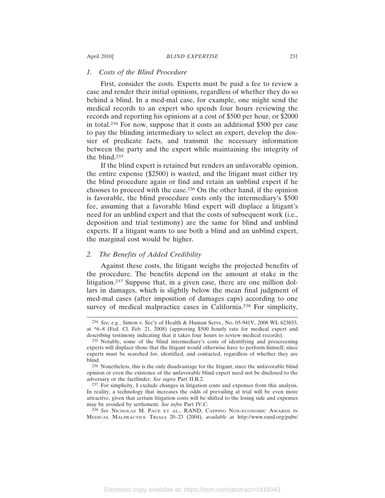#### *1. Costs of the Blind Procedure*

First, consider the costs. Experts must be paid a fee to review a case and render their initial opinions, regardless of whether they do so behind a blind. In a med-mal case, for example, one might send the medical records to an expert who spends four hours reviewing the records and reporting his opinions at a cost of \$500 per hour, or \$2000 in total.234 For now, suppose that it costs an additional \$500 per case to pay the blinding intermediary to select an expert, develop the dossier of predicate facts, and transmit the necessary information between the party and the expert while maintaining the integrity of the blind.235

If the blind expert is retained but renders an unfavorable opinion, the entire expense (\$2500) is wasted, and the litigant must either try the blind procedure again or find and retain an unblind expert if he chooses to proceed with the case.236 On the other hand, if the opinion is favorable, the blind procedure costs only the intermediary's \$500 fee, assuming that a favorable blind expert will displace a litigant's need for an unblind expert and that the costs of subsequent work (i.e., deposition and trial testimony) are the same for blind and unblind experts. If a litigant wants to use both a blind and an unblind expert, the marginal cost would be higher.

## *2. The Benefits of Added Credibility*

Against these costs, the litigant weighs the projected benefits of the procedure. The benefits depend on the amount at stake in the litigation.237 Suppose that, in a given case, there are one million dollars in damages, which is slightly below the mean final judgment of med-mal cases (after imposition of damages caps) according to one survey of medical malpractice cases in California.<sup>238</sup> For simplicity,

<sup>234</sup> *See, e.g.*, Simon v. Sec'y of Health & Human Servs., No. 05-941V, 2008 WL 623833, at \*6–8 (Fed. Cl. Feb. 21, 2008) (approving \$500 hourly rate for medical expert and describing testimony indicating that it takes four hours to review medical records).

<sup>235</sup> Notably, some of the blind intermediary's costs of identifying and prescreening experts will displace those that the litigant would otherwise have to perform himself, since experts must be searched for, identified, and contacted, regardless of whether they are blind.

<sup>236</sup> Nonetheless, this is the only disadvantage for the litigant, since the unfavorable blind opinion or even the existence of the unfavorable blind expert need not be disclosed to the adversary or the factfinder. *See supra* Part II.B.2.

<sup>237</sup> For simplicity, I exclude changes in litigation costs and expenses from this analysis. In reality, a technology that increases the odds of prevailing at trial will be even more attractive, given that certain litigation costs will be shifted to the losing side and expenses may be avoided by settlement. *See infra* Part IV.C.

<sup>238</sup> *See* NICHOLAS M. PACE ET AL., RAND, CAPPING NON-ECONOMIC AWARDS IN MEDICAL MALPRACTICE TRIALS 20–23 (2004), *available at* http://www.rand.org/pubs/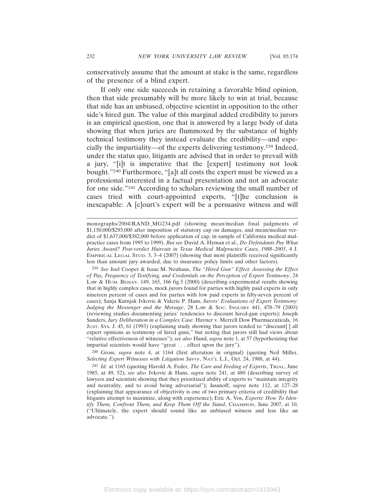conservatively assume that the amount at stake is the same, regardless of the presence of a blind expert.

If only one side succeeds in retaining a favorable blind opinion, then that side presumably will be more likely to win at trial, because that side has an unbiased, objective scientist in opposition to the other side's hired gun. The value of this marginal added credibility to jurors is an empirical question, one that is answered by a large body of data showing that when juries are flummoxed by the substance of highly technical testimony they instead evaluate the credibility—and especially the impartiality—of the experts delivering testimony.239 Indeed, under the status quo, litigants are advised that in order to prevail with a jury, "[i]t is imperative that the [expert] testimony not look bought."240 Furthermore, "[a]t all costs the expert must be viewed as a professional interested in a factual presentation and not an advocate for one side."241 According to scholars reviewing the small number of cases tried with court-appointed experts, "[t]he conclusion is inescapable: A [c]ourt's expert will be a persuasive witness and will

240 Gross, *supra* note 4, at 1164 (first alteration in original) (quoting Neil Miller, *Selecting Expert Witnesses with Litigation Savvy*, NAT'L L.J., Oct. 24, 1988, at 44).

monographs/2004/RAND\_MG234.pdf (showing mean/median final judgments of \$1,150,000/\$293,000 after imposition of statutory cap on damages, and mean/median verdict of \$1,637,000/\$382,000 before application of cap, in sample of California medical malpractice cases from 1995 to 1999). *But see* David A. Hyman et al., *Do Defendants Pay What Juries Award? Post-verdict Haircuts in Texas Medical Malpractice Cases, 1988–2003*, 4 J. EMPIRICAL LEGAL STUD. 3, 3–4 (2007) (showing that most plaintiffs received significantly less than amount jury awarded, due to insurance policy limits and other factors).

<sup>239</sup> *See* Joel Cooper & Isaac M. Neuhaus, *The "Hired Gun" Effect: Assessing the Effect of Pay, Frequency of Testifying, and Credentials on the Perception of Expert Testimony*, 24 LAW & HUM. BEHAV. 149, 165, 166 fig.3 (2000) (describing experimental results showing that in highly complex cases, mock jurors found for parties with highly paid experts in only nineteen percent of cases and for parties with low paid experts in fifty-seven percent of cases); Sanja Kutnjak Ivkovic & Valerie P. Hans, *Jurors' Evaluations of Expert Testimony:* Judging the Messenger and the Message, 28 Law & Soc. Inquiney 441, 478-79 (2003) (reviewing studies documenting juries' tendencies to discount hired-gun experts); Joseph Sanders, *Jury Deliberation in a Complex Case:* Havner v. Merrell Dow Pharmaceuticals*,* 16 JUST. SYS. J. 45, 61 (1993) (explaining study showing that jurors tended to "discount[ ] all expert opinions as testimony of hired guns," but noting that jurors still had views about "relative effectiveness of witnesses"); *see also* Hand, *supra* note 1, at 57 (hypothesizing that impartial scientists would have "great . . . effect upon the jury").

<sup>241</sup> *Id.* at 1165 (quoting Harold A. Feder, *The Care and Feeding of Experts*, TRIAL, June 1985, at 49, 52); *see also* Ivkovic & Hans, *supra* note 241, at 480 (describing survey of lawyers and scientists showing that they prioritized ability of experts to "maintain integrity and neutrality, and to avoid being adversarial"); Jasanoff, *supra* note 112, at 127–28 (explaining that appearance of objectivity is one of two primary criteria of credibility that litigants attempt to maximize, along with experience); Eric A. Vos, *Experts: How To Identify Them, Confront Them, and Keep Them Off the Stand*, CHAMPION, June 2007, at 10, ("Ultimately, the expert should sound like an unbiased witness and less like an advocate.").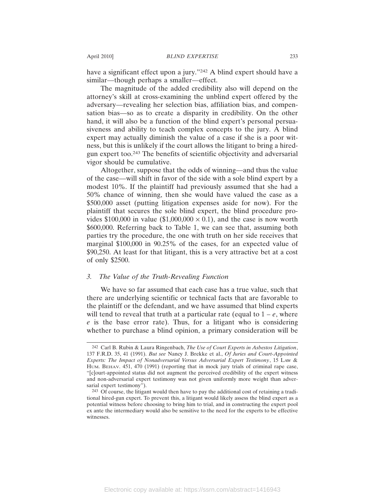have a significant effect upon a jury."242 A blind expert should have a similar—though perhaps a smaller—effect.

The magnitude of the added credibility also will depend on the attorney's skill at cross-examining the unblind expert offered by the adversary—revealing her selection bias, affiliation bias, and compensation bias—so as to create a disparity in credibility. On the other hand, it will also be a function of the blind expert's personal persuasiveness and ability to teach complex concepts to the jury. A blind expert may actually diminish the value of a case if she is a poor witness, but this is unlikely if the court allows the litigant to bring a hiredgun expert too.243 The benefits of scientific objectivity and adversarial vigor should be cumulative.

Altogether, suppose that the odds of winning—and thus the value of the case—will shift in favor of the side with a sole blind expert by a modest 10%. If the plaintiff had previously assumed that she had a 50% chance of winning, then she would have valued the case as a \$500,000 asset (putting litigation expenses aside for now). For the plaintiff that secures the sole blind expert, the blind procedure provides \$100,000 in value (\$1,000,000  $\times$  0.1), and the case is now worth \$600,000. Referring back to Table 1, we can see that, assuming both parties try the procedure, the one with truth on her side receives that marginal \$100,000 in 90.25% of the cases, for an expected value of \$90,250. At least for that litigant, this is a very attractive bet at a cost of only \$2500.

#### *3. The Value of the Truth-Revealing Function*

We have so far assumed that each case has a true value, such that there are underlying scientific or technical facts that are favorable to the plaintiff or the defendant, and we have assumed that blind experts will tend to reveal that truth at a particular rate (equal to  $1 - e$ , where *e* is the base error rate). Thus, for a litigant who is considering whether to purchase a blind opinion, a primary consideration will be

<sup>242</sup> Carl B. Rubin & Laura Ringenbach, *The Use of Court Experts in Asbestos Litigation*, 137 F.R.D. 35, 41 (1991). *But see* Nancy J. Brekke et al., *Of Juries and Court-Appointed Experts: The Impact of Nonadversarial Versus Adversarial Expert Testimony*, 15 LAW & HUM. BEHAV. 451, 470 (1991) (reporting that in mock jury trials of criminal rape case, "[c]ourt-appointed status did not augment the perceived credibility of the expert witness and non-adversarial expert testimony was not given uniformly more weight than adversarial expert testimony").

<sup>243</sup> Of course, the litigant would then have to pay the additional cost of retaining a traditional hired-gun expert. To prevent this, a litigant would likely assess the blind expert as a potential witness before choosing to bring him to trial, and in constructing the expert pool ex ante the intermediary would also be sensitive to the need for the experts to be effective witnesses.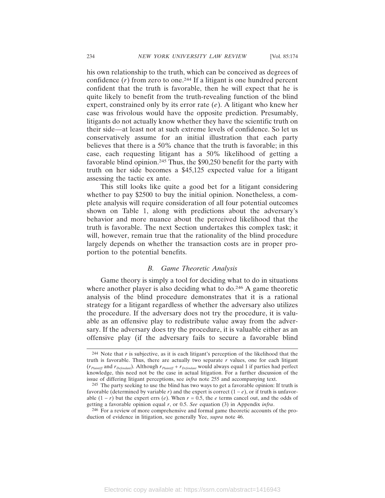his own relationship to the truth, which can be conceived as degrees of confidence  $(r)$  from zero to one.<sup>244</sup> If a litigant is one hundred percent confident that the truth is favorable, then he will expect that he is quite likely to benefit from the truth-revealing function of the blind expert, constrained only by its error rate (*e*). A litigant who knew her case was frivolous would have the opposite prediction. Presumably, litigants do not actually know whether they have the scientific truth on their side—at least not at such extreme levels of confidence. So let us conservatively assume for an initial illustration that each party believes that there is a 50% chance that the truth is favorable; in this case, each requesting litigant has a 50% likelihood of getting a favorable blind opinion.245 Thus, the \$90,250 benefit for the party with truth on her side becomes a \$45,125 expected value for a litigant assessing the tactic ex ante.

This still looks like quite a good bet for a litigant considering whether to pay \$2500 to buy the initial opinion. Nonetheless, a complete analysis will require consideration of all four potential outcomes shown on Table 1, along with predictions about the adversary's behavior and more nuance about the perceived likelihood that the truth is favorable. The next Section undertakes this complex task; it will, however, remain true that the rationality of the blind procedure largely depends on whether the transaction costs are in proper proportion to the potential benefits.

#### *B. Game Theoretic Analysis*

Game theory is simply a tool for deciding what to do in situations where another player is also deciding what to do.<sup>246</sup> A game theoretic analysis of the blind procedure demonstrates that it is a rational strategy for a litigant regardless of whether the adversary also utilizes the procedure. If the adversary does not try the procedure, it is valuable as an offensive play to redistribute value away from the adversary. If the adversary does try the procedure, it is valuable either as an offensive play (if the adversary fails to secure a favorable blind

<sup>244</sup> Note that *r* is subjective, as it is each litigant's perception of the likelihood that the truth is favorable. Thus, there are actually two separate *r* values, one for each litigant (*rPlaintiff* and *rDefendant*). Although *rPlaintiff* + *rDefendant* would always equal 1 if parties had perfect knowledge, this need not be the case in actual litigation. For a further discussion of the issue of differing litigant perceptions, see *infra* note 255 and accompanying text.

<sup>245</sup> The party seeking to use the blind has two ways to get a favorable opinion: If truth is favorable (determined by variable *r*) and the expert is correct  $(1 - e)$ , or if truth is unfavorable  $(1 - r)$  but the expert errs  $(e)$ . When  $r = 0.5$ , the *e* terms cancel out, and the odds of getting a favorable opinion equal *r*, or 0.5. *See* equation (3) in Appendix *infra*.

<sup>246</sup> For a review of more comprehensive and formal game theoretic accounts of the production of evidence in litigation, see generally Yee, *supra* note 46.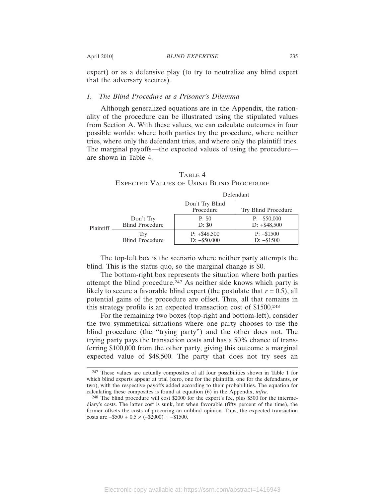expert) or as a defensive play (to try to neutralize any blind expert that the adversary secures).

#### *1. The Blind Procedure as a Prisoner's Dilemma*

Although generalized equations are in the Appendix, the rationality of the procedure can be illustrated using the stipulated values from Section A. With these values, we can calculate outcomes in four possible worlds: where both parties try the procedure, where neither tries, where only the defendant tries, and where only the plaintiff tries. The marginal payoffs—the expected values of using the procedure are shown in Table 4.

|           |                                     | Defendant                        |                                  |
|-----------|-------------------------------------|----------------------------------|----------------------------------|
|           |                                     | Don't Try Blind<br>Procedure     | Try Blind Procedure              |
| Plaintiff | Don't Try<br><b>Blind Procedure</b> | P: \$0<br>D: \$0                 | $P: -\$50,000$<br>$D: +\$48,500$ |
|           | Trv<br><b>Blind Procedure</b>       | $P: +\$48,500$<br>$D: -\$50,000$ | $P: -\$1500$<br>$D: -\$1500$     |

|  | TABLE 4                                         |  |
|--|-------------------------------------------------|--|
|  | <b>EXPECTED VALUES OF USING BLIND PROCEDURE</b> |  |

The top-left box is the scenario where neither party attempts the blind. This is the status quo, so the marginal change is \$0.

The bottom-right box represents the situation where both parties attempt the blind procedure.247 As neither side knows which party is likely to secure a favorable blind expert (the postulate that  $r = 0.5$ ), all potential gains of the procedure are offset. Thus, all that remains in this strategy profile is an expected transaction cost of \$1500.248

For the remaining two boxes (top-right and bottom-left), consider the two symmetrical situations where one party chooses to use the blind procedure (the "trying party") and the other does not. The trying party pays the transaction costs and has a 50% chance of transferring \$100,000 from the other party, giving this outcome a marginal expected value of \$48,500. The party that does not try sees an

<sup>247</sup> These values are actually composites of all four possibilities shown in Table 1 for which blind experts appear at trial (zero, one for the plaintiffs, one for the defendants, or two), with the respective payoffs added according to their probabilities. The equation for calculating these composites is found at equation (6) in the Appendix, *infra*.

<sup>248</sup> The blind procedure will cost \$2000 for the expert's fee, plus \$500 for the intermediary's costs. The latter cost is sunk, but when favorable (fifty percent of the time), the former offsets the costs of procuring an unblind opinion. Thus, the expected transaction costs are  $-$ \$500 + 0.5 × ( $-$ \$2000) =  $-$ \$1500.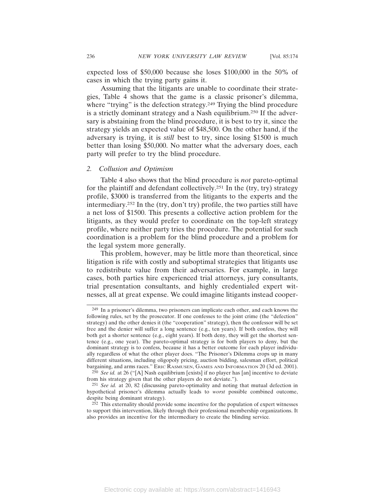expected loss of \$50,000 because she loses \$100,000 in the 50% of cases in which the trying party gains it.

Assuming that the litigants are unable to coordinate their strategies, Table 4 shows that the game is a classic prisoner's dilemma, where "trying" is the defection strategy.<sup>249</sup> Trying the blind procedure is a strictly dominant strategy and a Nash equilibrium.250 If the adversary is abstaining from the blind procedure, it is best to try it, since the strategy yields an expected value of \$48,500. On the other hand, if the adversary is trying, it is *still* best to try, since losing \$1500 is much better than losing \$50,000. No matter what the adversary does, each party will prefer to try the blind procedure.

## *2. Collusion and Optimism*

Table 4 also shows that the blind procedure is *not* pareto-optimal for the plaintiff and defendant collectively.251 In the (try, try) strategy profile, \$3000 is transferred from the litigants to the experts and the intermediary.252 In the (try, don't try) profile, the two parties still have a net loss of \$1500. This presents a collective action problem for the litigants, as they would prefer to coordinate on the top-left strategy profile, where neither party tries the procedure. The potential for such coordination is a problem for the blind procedure and a problem for the legal system more generally.

This problem, however, may be little more than theoretical, since litigation is rife with costly and suboptimal strategies that litigants use to redistribute value from their adversaries. For example, in large cases, both parties hire experienced trial attorneys, jury consultants, trial presentation consultants, and highly credentialed expert witnesses, all at great expense. We could imagine litigants instead cooper-

<sup>249</sup> In a prisoner's dilemma, two prisoners can implicate each other, and each knows the following rules, set by the prosecutor. If one confesses to the joint crime (the "defection" strategy) and the other denies it (the "cooperation" strategy), then the confessor will be set free and the denier will suffer a long sentence (e.g., ten years). If both confess, they will both get a shorter sentence (e.g., eight years). If both deny, they will get the shortest sentence (e.g., one year). The pareto-optimal strategy is for both players to deny, but the dominant strategy is to confess, because it has a better outcome for each player individually regardless of what the other player does. "The Prisoner's Dilemma crops up in many different situations, including oligopoly pricing, auction bidding, salesman effort, political bargaining, and arms races." ERIC RASMUSEN, GAMES AND INFORMATION 20 (3d ed. 2001).

<sup>250</sup> *See id.* at 26 ("[A] Nash equilibrium [exists] if no player has [an] incentive to deviate from his strategy given that the other players do not deviate.").

<sup>251</sup> *See id.* at 20, 82 (discussing pareto-optimality and noting that mutual defection in hypothetical prisoner's dilemma actually leads to *worst* possible combined outcome, despite being dominant strategy).

<sup>252</sup> This externality should provide some incentive for the population of expert witnesses to support this intervention, likely through their professional membership organizations. It also provides an incentive for the intermediary to create the blinding service*.*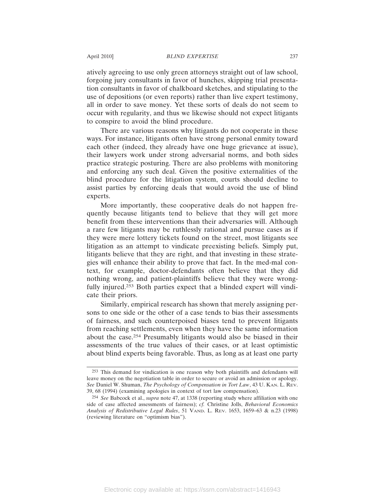atively agreeing to use only green attorneys straight out of law school, forgoing jury consultants in favor of hunches, skipping trial presentation consultants in favor of chalkboard sketches, and stipulating to the use of depositions (or even reports) rather than live expert testimony, all in order to save money. Yet these sorts of deals do not seem to occur with regularity, and thus we likewise should not expect litigants to conspire to avoid the blind procedure.

There are various reasons why litigants do not cooperate in these ways. For instance, litigants often have strong personal enmity toward each other (indeed, they already have one huge grievance at issue), their lawyers work under strong adversarial norms, and both sides practice strategic posturing. There are also problems with monitoring and enforcing any such deal. Given the positive externalities of the blind procedure for the litigation system, courts should decline to assist parties by enforcing deals that would avoid the use of blind experts.

More importantly, these cooperative deals do not happen frequently because litigants tend to believe that they will get more benefit from these interventions than their adversaries will. Although a rare few litigants may be ruthlessly rational and pursue cases as if they were mere lottery tickets found on the street, most litigants see litigation as an attempt to vindicate preexisting beliefs. Simply put, litigants believe that they are right, and that investing in these strategies will enhance their ability to prove that fact. In the med-mal context, for example, doctor-defendants often believe that they did nothing wrong, and patient-plaintiffs believe that they were wrongfully injured.253 Both parties expect that a blinded expert will vindicate their priors.

Similarly, empirical research has shown that merely assigning persons to one side or the other of a case tends to bias their assessments of fairness, and such counterpoised biases tend to prevent litigants from reaching settlements, even when they have the same information about the case.254 Presumably litigants would also be biased in their assessments of the true values of their cases, or at least optimistic about blind experts being favorable. Thus, as long as at least one party

<sup>253</sup> This demand for vindication is one reason why both plaintiffs and defendants will leave money on the negotiation table in order to secure or avoid an admission or apology. *See* Daniel W. Shuman, *The Psychology of Compensation in Tort Law*, 43 U. KAN. L. REV. 39, 68 (1994) (examining apologies in context of tort law compensation).

<sup>254</sup> *See* Babcock et al., *supra* note 47, at 1338 (reporting study where affiliation with one side of case affected assessments of fairness); *cf.* Christine Jolls, *Behavioral Economics Analysis of Redistributive Legal Rules*, 51 VAND. L. REV. 1653, 1659−63 & n.23 (1998) (reviewing literature on "optimism bias").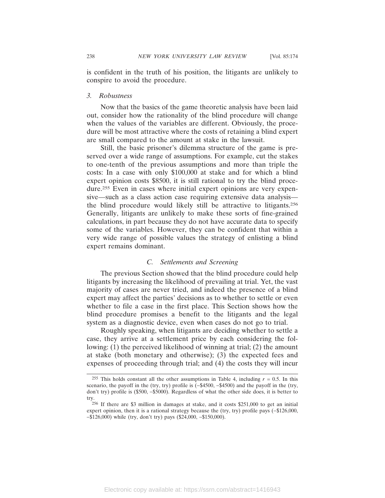is confident in the truth of his position, the litigants are unlikely to conspire to avoid the procedure.

#### *3. Robustness*

Now that the basics of the game theoretic analysis have been laid out, consider how the rationality of the blind procedure will change when the values of the variables are different. Obviously, the procedure will be most attractive where the costs of retaining a blind expert are small compared to the amount at stake in the lawsuit.

Still, the basic prisoner's dilemma structure of the game is preserved over a wide range of assumptions. For example, cut the stakes to one-tenth of the previous assumptions and more than triple the costs: In a case with only \$100,000 at stake and for which a blind expert opinion costs \$8500, it is still rational to try the blind procedure.255 Even in cases where initial expert opinions are very expensive—such as a class action case requiring extensive data analysis the blind procedure would likely still be attractive to litigants.256 Generally, litigants are unlikely to make these sorts of fine-grained calculations, in part because they do not have accurate data to specify some of the variables. However, they can be confident that within a very wide range of possible values the strategy of enlisting a blind expert remains dominant.

# *C. Settlements and Screening*

The previous Section showed that the blind procedure could help litigants by increasing the likelihood of prevailing at trial. Yet, the vast majority of cases are never tried, and indeed the presence of a blind expert may affect the parties' decisions as to whether to settle or even whether to file a case in the first place. This Section shows how the blind procedure promises a benefit to the litigants and the legal system as a diagnostic device, even when cases do not go to trial.

Roughly speaking, when litigants are deciding whether to settle a case, they arrive at a settlement price by each considering the following: (1) the perceived likelihood of winning at trial; (2) the amount at stake (both monetary and otherwise); (3) the expected fees and expenses of proceeding through trial; and (4) the costs they will incur

<sup>&</sup>lt;sup>255</sup> This holds constant all the other assumptions in Table 4, including  $r = 0.5$ . In this scenario, the payoff in the (try, try) profile is (-\$4500, -\$4500) and the payoff in the (try, don't try) profile is (\$500, −\$5000). Regardless of what the other side does, it is better to try.

<sup>256</sup> If there are \$3 million in damages at stake, and it costs \$251,000 to get an initial expert opinion, then it is a rational strategy because the (try, try) profile pays (−\$126,000, −\$126,000) while (try, don't try) pays (\$24,000, −\$150,000).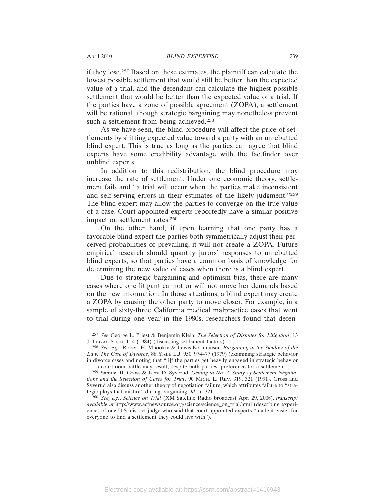if they lose.257 Based on these estimates, the plaintiff can calculate the lowest possible settlement that would still be better than the expected value of a trial, and the defendant can calculate the highest possible settlement that would be better than the expected value of a trial. If the parties have a zone of possible agreement (ZOPA), a settlement will be rational, though strategic bargaining may nonetheless prevent such a settlement from being achieved.<sup>258</sup>

As we have seen, the blind procedure will affect the price of settlements by shifting expected value toward a party with an unrebutted blind expert. This is true as long as the parties can agree that blind experts have some credibility advantage with the factfinder over unblind experts.

In addition to this redistribution, the blind procedure may increase the rate of settlement. Under one economic theory, settlement fails and "a trial will occur when the parties make inconsistent and self-serving errors in their estimates of the likely judgment."259 The blind expert may allow the parties to converge on the true value of a case. Court-appointed experts reportedly have a similar positive impact on settlement rates.260

On the other hand, if upon learning that one party has a favorable blind expert the parties both symmetrically adjust their perceived probabilities of prevailing, it will not create a ZOPA. Future empirical research should quantify jurors' responses to unrebutted blind experts, so that parties have a common basis of knowledge for determining the new value of cases when there is a blind expert.

Due to strategic bargaining and optimism bias, there are many cases where one litigant cannot or will not move her demands based on the new information. In those situations, a blind expert may create a ZOPA by causing the other party to move closer. For example, in a sample of sixty-three California medical malpractice cases that went to trial during one year in the 1980s, researchers found that defen-

<sup>257</sup> *See* George L. Priest & Benjamin Klein, *The Selection of Disputes for Litigation*, 13 J. LEGAL STUD. 1, 4 (1984) (discussing settlement factors).

<sup>258</sup> *See, e.g.*, Robert H. Mnookin & Lewis Kornhauser, *Bargaining in the Shadow of the Law: The Case of Divorce*, 88 YALE L.J. 950, 974–77 (1979) (examining strategic behavior in divorce cases and noting that "[i]f the parties get heavily engaged in strategic behavior . . . a courtroom battle may result, despite both parties' preference for a settlement").

<sup>259</sup> Samuel R. Gross & Kent D. Syverud, *Getting to No: A Study of Settlement Negotiations and the Selection of Cases for Trial*, 90 MICH. L. REV. 319, 321 (1991). Gross and Syverud also discuss another theory of negotiation failure, which attributes failure to "strategic ploys that misfire" during bargaining. *Id.* at 321.

<sup>260</sup> *See, e.g.*, *Science on Trial* (XM Satellite Radio broadcast Apr. 29, 2006), *transcript available at* http://www.acfnewsource.org/science/science\_on\_trial.html (describing experiences of one U.S. district judge who said that court-appointed experts "made it easier for everyone to find a settlement they could live with").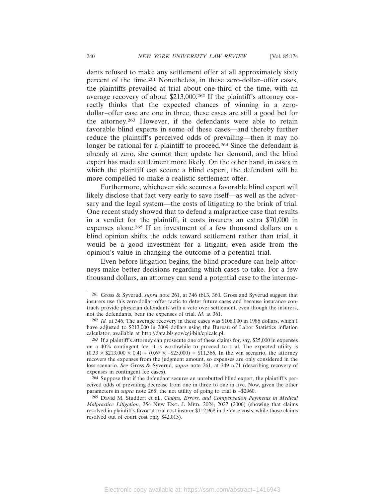dants refused to make any settlement offer at all approximately sixty percent of the time.261 Nonetheless, in these zero-dollar–offer cases, the plaintiffs prevailed at trial about one-third of the time, with an average recovery of about \$213,000.262 If the plaintiff's attorney correctly thinks that the expected chances of winning in a zerodollar–offer case are one in three, these cases are still a good bet for the attorney.263 However, if the defendants were able to retain favorable blind experts in some of these cases—and thereby further reduce the plaintiff's perceived odds of prevailing—then it may no longer be rational for a plaintiff to proceed.<sup>264</sup> Since the defendant is already at zero, she cannot then update her demand, and the blind expert has made settlement more likely. On the other hand, in cases in which the plaintiff can secure a blind expert, the defendant will be more compelled to make a realistic settlement offer.

Furthermore, whichever side secures a favorable blind expert will likely disclose that fact very early to save itself—as well as the adversary and the legal system—the costs of litigating to the brink of trial. One recent study showed that to defend a malpractice case that results in a verdict for the plaintiff, it costs insurers an extra \$70,000 in expenses alone.265 If an investment of a few thousand dollars on a blind opinion shifts the odds toward settlement rather than trial, it would be a good investment for a litigant, even aside from the opinion's value in changing the outcome of a potential trial.

Even before litigation begins, the blind procedure can help attorneys make better decisions regarding which cases to take. For a few thousand dollars, an attorney can send a potential case to the interme-

264 Suppose that if the defendant secures an unrebutted blind expert, the plaintiff's perceived odds of prevailing decrease from one in three to one in five. Now, given the other parameters in *supra* note 265, the net utility of going to trial is −\$2960.

265 David M. Studdert et al., *Claims, Errors, and Compensation Payments in Medical Malpractice Litigation*, 354 NEW ENG. J. MED. 2024, 2027 (2006) (showing that claims resolved in plaintiff's favor at trial cost insurer \$112,968 in defense costs, while those claims resolved out of court cost only \$42,015).

<sup>261</sup> Gross & Syverud, *supra* note 261, at 346 tbl.3, 360. Gross and Syverud suggest that insurers use this zero-dollar–offer tactic to deter future cases and because insurance contracts provide physician defendants with a veto over settlement, even though the insurers, not the defendants, bear the expenses of trial. *Id.* at 361.

<sup>262</sup> *Id.* at 346. The average recovery in these cases was \$108,000 in 1986 dollars, which I have adjusted to \$213,000 in 2009 dollars using the Bureau of Labor Statistics inflation calculator, available at http://data.bls.gov/cgi-bin/cpicalc.pl.

<sup>263</sup> If a plaintiff's attorney can prosecute one of these claims for, say, \$25,000 in expenses on a 40% contingent fee, it is worthwhile to proceed to trial. The expected utility is  $(0.33 \times $213,000 \times 0.4) + (0.67 \times - $25,000) = $11,366$ . In the win scenario, the attorney recovers the expenses from the judgment amount, so expenses are only considered in the loss scenario. *See* Gross & Syverud, *supra* note 261, at 349 n.71 (describing recovery of expenses in contingent fee cases).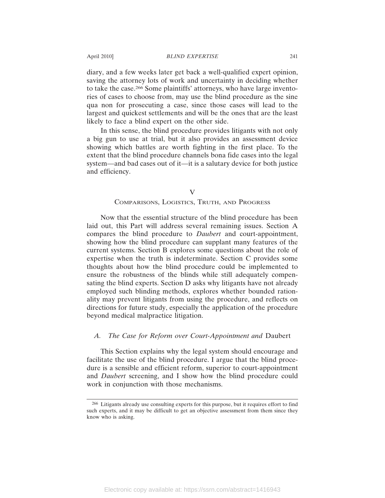diary, and a few weeks later get back a well-qualified expert opinion, saving the attorney lots of work and uncertainty in deciding whether to take the case.266 Some plaintiffs' attorneys, who have large inventories of cases to choose from, may use the blind procedure as the sine qua non for prosecuting a case, since those cases will lead to the largest and quickest settlements and will be the ones that are the least likely to face a blind expert on the other side.

In this sense, the blind procedure provides litigants with not only a big gun to use at trial, but it also provides an assessment device showing which battles are worth fighting in the first place. To the extent that the blind procedure channels bona fide cases into the legal system—and bad cases out of it—it is a salutary device for both justice and efficiency.

### COMPARISONS, LOGISTICS, TRUTH, AND PROGRESS

Now that the essential structure of the blind procedure has been laid out, this Part will address several remaining issues. Section A compares the blind procedure to *Daubert* and court-appointment, showing how the blind procedure can supplant many features of the current systems. Section B explores some questions about the role of expertise when the truth is indeterminate. Section C provides some thoughts about how the blind procedure could be implemented to ensure the robustness of the blinds while still adequately compensating the blind experts. Section D asks why litigants have not already employed such blinding methods, explores whether bounded rationality may prevent litigants from using the procedure, and reflects on directions for future study, especially the application of the procedure beyond medical malpractice litigation.

# *A. The Case for Reform over Court-Appointment and* Daubert

This Section explains why the legal system should encourage and facilitate the use of the blind procedure. I argue that the blind procedure is a sensible and efficient reform, superior to court-appointment and *Daubert* screening, and I show how the blind procedure could work in conjunction with those mechanisms.

V

<sup>266</sup> Litigants already use consulting experts for this purpose, but it requires effort to find such experts, and it may be difficult to get an objective assessment from them since they know who is asking.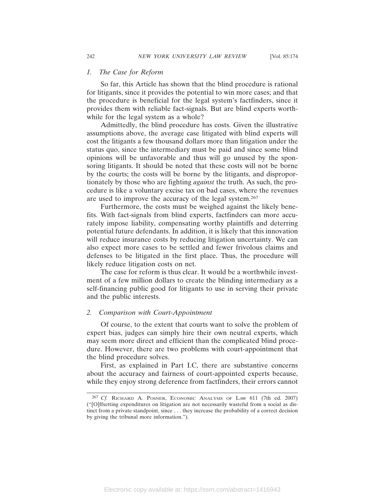#### *1. The Case for Reform*

So far, this Article has shown that the blind procedure is rational for litigants, since it provides the potential to win more cases; and that the procedure is beneficial for the legal system's factfinders, since it provides them with reliable fact-signals. But are blind experts worthwhile for the legal system as a whole?

Admittedly, the blind procedure has costs. Given the illustrative assumptions above, the average case litigated with blind experts will cost the litigants a few thousand dollars more than litigation under the status quo, since the intermediary must be paid and since some blind opinions will be unfavorable and thus will go unused by the sponsoring litigants. It should be noted that these costs will not be borne by the courts; the costs will be borne by the litigants, and disproportionately by those who are fighting *against* the truth. As such, the procedure is like a voluntary excise tax on bad cases, where the revenues are used to improve the accuracy of the legal system.267

Furthermore, the costs must be weighed against the likely benefits. With fact-signals from blind experts, factfinders can more accurately impose liability, compensating worthy plaintiffs and deterring potential future defendants. In addition, it is likely that this innovation will reduce insurance costs by reducing litigation uncertainty. We can also expect more cases to be settled and fewer frivolous claims and defenses to be litigated in the first place. Thus, the procedure will likely reduce litigation costs on net.

The case for reform is thus clear. It would be a worthwhile investment of a few million dollars to create the blinding intermediary as a self-financing public good for litigants to use in serving their private and the public interests.

#### *2. Comparison with Court-Appointment*

Of course, to the extent that courts want to solve the problem of expert bias, judges can simply hire their own neutral experts, which may seem more direct and efficient than the complicated blind procedure. However, there are two problems with court-appointment that the blind procedure solves.

First, as explained in Part I.C, there are substantive concerns about the accuracy and fairness of court-appointed experts because, while they enjoy strong deference from factfinders, their errors cannot

<sup>267</sup> *Cf.* RICHARD A. POSNER, ECONOMIC ANALYSIS OF LAW 611 (7th ed. 2007) ("[O]ffsetting expenditures on litigation are not necessarily wasteful from a social as distinct from a private standpoint, since . . . they increase the probability of a correct decision by giving the tribunal more information.").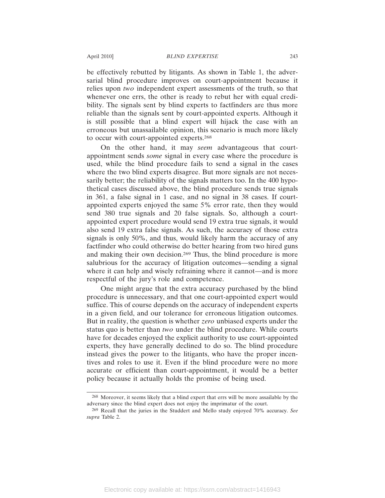be effectively rebutted by litigants. As shown in Table 1, the adversarial blind procedure improves on court-appointment because it relies upon *two* independent expert assessments of the truth, so that whenever one errs, the other is ready to rebut her with equal credibility. The signals sent by blind experts to factfinders are thus more reliable than the signals sent by court-appointed experts. Although it is still possible that a blind expert will hijack the case with an erroneous but unassailable opinion, this scenario is much more likely to occur with court-appointed experts.268

On the other hand, it may *seem* advantageous that courtappointment sends *some* signal in every case where the procedure is used, while the blind procedure fails to send a signal in the cases where the two blind experts disagree. But more signals are not necessarily better; the reliability of the signals matters too. In the 400 hypothetical cases discussed above, the blind procedure sends true signals in 361, a false signal in 1 case, and no signal in 38 cases. If courtappointed experts enjoyed the same 5% error rate, then they would send 380 true signals and 20 false signals. So, although a courtappointed expert procedure would send 19 extra true signals, it would also send 19 extra false signals. As such, the accuracy of those extra signals is only 50%, and thus, would likely harm the accuracy of any factfinder who could otherwise do better hearing from two hired guns and making their own decision.269 Thus, the blind procedure is more salubrious for the accuracy of litigation outcomes—sending a signal where it can help and wisely refraining where it cannot—and is more respectful of the jury's role and competence.

One might argue that the extra accuracy purchased by the blind procedure is unnecessary, and that one court-appointed expert would suffice. This of course depends on the accuracy of independent experts in a given field, and our tolerance for erroneous litigation outcomes. But in reality, the question is whether *zero* unbiased experts under the status quo is better than *two* under the blind procedure. While courts have for decades enjoyed the explicit authority to use court-appointed experts, they have generally declined to do so. The blind procedure instead gives the power to the litigants, who have the proper incentives and roles to use it. Even if the blind procedure were no more accurate or efficient than court-appointment, it would be a better policy because it actually holds the promise of being used.

<sup>268</sup> Moreover, it seems likely that a blind expert that errs will be more assailable by the adversary since the blind expert does not enjoy the imprimatur of the court.

<sup>269</sup> Recall that the juries in the Studdert and Mello study enjoyed 70% accuracy. *See supra* Table 2.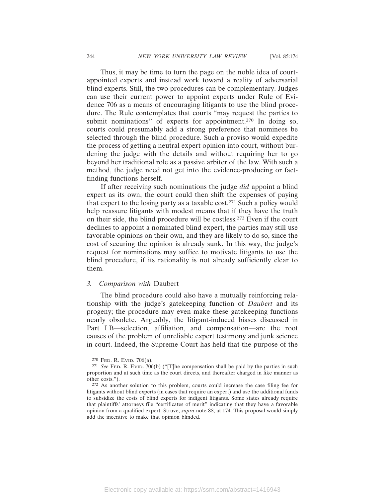Thus, it may be time to turn the page on the noble idea of courtappointed experts and instead work toward a reality of adversarial blind experts. Still, the two procedures can be complementary. Judges can use their current power to appoint experts under Rule of Evidence 706 as a means of encouraging litigants to use the blind procedure. The Rule contemplates that courts "may request the parties to submit nominations" of experts for appointment.<sup>270</sup> In doing so, courts could presumably add a strong preference that nominees be selected through the blind procedure. Such a proviso would expedite the process of getting a neutral expert opinion into court, without burdening the judge with the details and without requiring her to go beyond her traditional role as a passive arbiter of the law. With such a method, the judge need not get into the evidence-producing or factfinding functions herself.

If after receiving such nominations the judge *did* appoint a blind expert as its own, the court could then shift the expenses of paying that expert to the losing party as a taxable cost.271 Such a policy would help reassure litigants with modest means that if they have the truth on their side, the blind procedure will be costless.272 Even if the court declines to appoint a nominated blind expert, the parties may still use favorable opinions on their own, and they are likely to do so, since the cost of securing the opinion is already sunk. In this way, the judge's request for nominations may suffice to motivate litigants to use the blind procedure, if its rationality is not already sufficiently clear to them.

### *3. Comparison with* Daubert

The blind procedure could also have a mutually reinforcing relationship with the judge's gatekeeping function of *Daubert* and its progeny; the procedure may even make these gatekeeping functions nearly obsolete. Arguably, the litigant-induced biases discussed in Part I.B—selection, affiliation, and compensation—are the root causes of the problem of unreliable expert testimony and junk science in court. Indeed, the Supreme Court has held that the purpose of the

<sup>270</sup> FED. R. EVID. 706(a).

<sup>271</sup> *See* FED. R. EVID. 706(b) ("[T]he compensation shall be paid by the parties in such proportion and at such time as the court directs, and thereafter charged in like manner as other costs.").

<sup>272</sup> As another solution to this problem, courts could increase the case filing fee for litigants without blind experts (in cases that require an expert) and use the additional funds to subsidize the costs of blind experts for indigent litigants. Some states already require that plaintiffs' attorneys file "certificates of merit" indicating that they have a favorable opinion from a qualified expert. Struve, *supra* note 88, at 174. This proposal would simply add the incentive to make that opinion blinded.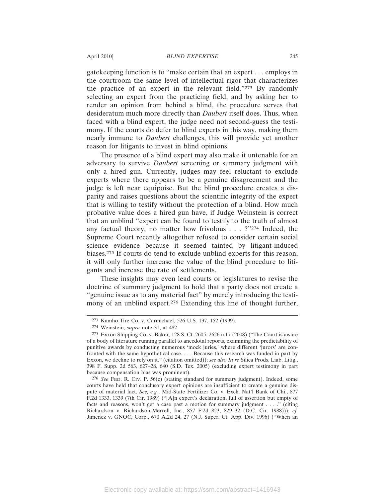gatekeeping function is to "make certain that an expert . . . employs in the courtroom the same level of intellectual rigor that characterizes the practice of an expert in the relevant field."273 By randomly selecting an expert from the practicing field, and by asking her to render an opinion from behind a blind, the procedure serves that desideratum much more directly than *Daubert* itself does. Thus, when faced with a blind expert, the judge need not second-guess the testimony. If the courts do defer to blind experts in this way, making them nearly immune to *Daubert* challenges, this will provide yet another reason for litigants to invest in blind opinions.

The presence of a blind expert may also make it untenable for an adversary to survive *Daubert* screening or summary judgment with only a hired gun. Currently, judges may feel reluctant to exclude experts where there appears to be a genuine disagreement and the judge is left near equipoise. But the blind procedure creates a disparity and raises questions about the scientific integrity of the expert that is willing to testify without the protection of a blind. How much probative value does a hired gun have, if Judge Weinstein is correct that an unblind "expert can be found to testify to the truth of almost any factual theory, no matter how frivolous . . . ?"274 Indeed, the Supreme Court recently altogether refused to consider certain social science evidence because it seemed tainted by litigant-induced biases.275 If courts do tend to exclude unblind experts for this reason, it will only further increase the value of the blind procedure to litigants and increase the rate of settlements.

These insights may even lead courts or legislatures to revise the doctrine of summary judgment to hold that a party does not create a "genuine issue as to any material fact" by merely introducing the testimony of an unblind expert.<sup>276</sup> Extending this line of thought further,

<sup>273</sup> Kumho Tire Co. v. Carmichael, 526 U.S. 137, 152 (1999).

<sup>274</sup> Weinstein, *supra* note 31, at 482.

<sup>275</sup> Exxon Shipping Co. v. Baker, 128 S. Ct. 2605, 2626 n.17 (2008) ("The Court is aware of a body of literature running parallel to anecdotal reports, examining the predictability of punitive awards by conducting numerous 'mock juries,' where different 'jurors' are confronted with the same hypothetical case. . . . Because this research was funded in part by Exxon, we decline to rely on it." (citation omitted)); *see also In re* Silica Prods. Liab. Litig., 398 F. Supp. 2d 563, 627–28, 640 (S.D. Tex. 2005) (excluding expert testimony in part because compensation bias was prominent).

<sup>276</sup> *See* FED. R. CIV. P. 56(c) (stating standard for summary judgment). Indeed, some courts have held that conclusory expert opinions are insufficient to create a genuine dispute of material fact. *See, e.g.*, Mid-State Fertilizer Co. v. Exch. Nat'l Bank of Chi., 877 F.2d 1333, 1339 (7th Cir. 1989) ("[A]n expert's declaration, full of assertion but empty of facts and reasons, won't get a case past a motion for summary judgment . . . ." (citing Richardson v. Richardson-Merrell, Inc., 857 F.2d 823, 829–32 (D.C. Cir. 1988))); *cf.* Jimenez v. GNOC, Corp., 670 A.2d 24, 27 (N.J. Super. Ct. App. Div. 1996) ("When an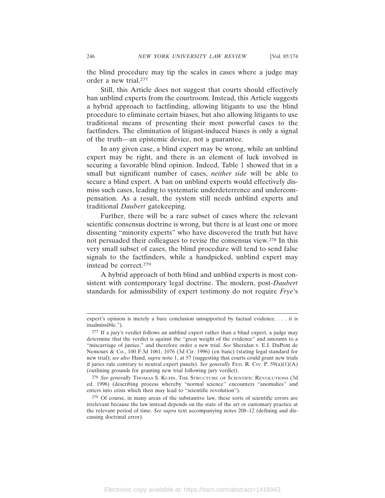the blind procedure may tip the scales in cases where a judge may order a new trial.277

Still, this Article does not suggest that courts should effectively ban unblind experts from the courtroom. Instead, this Article suggests a hybrid approach to factfinding, allowing litigants to use the blind procedure to eliminate certain biases, but also allowing litigants to use traditional means of presenting their most powerful cases to the factfinders. The elimination of litigant-induced biases is only a signal of the truth—an epistemic device, not a guarantee.

In any given case, a blind expert may be wrong, while an unblind expert may be right, and there is an element of luck involved in securing a favorable blind opinion. Indeed, Table 1 showed that in a small but significant number of cases, *neither side* will be able to secure a blind expert. A ban on unblind experts would effectively dismiss such cases, leading to systematic underdeterrence and undercompensation. As a result, the system still needs unblind experts and traditional *Daubert* gatekeeping.

Further, there will be a rare subset of cases where the relevant scientific consensus doctrine is wrong, but there is at least one or more dissenting "minority experts" who have discovered the truth but have not persuaded their colleagues to revise the consensus view.278 In this very small subset of cases, the blind procedure will tend to send false signals to the factfinders, while a handpicked, unblind expert may instead be correct.279

A hybrid approach of both blind and unblind experts is most consistent with contemporary legal doctrine. The modern, post-*Daubert* standards for admissibility of expert testimony do not require *Frye*'s

expert's opinion is merely a bare conclusion unsupported by factual evidence, . . . it is inadmissible.").

<sup>277</sup> If a jury's verdict follows an unblind expert rather than a blind expert, a judge may determine that the verdict is against the "great weight of the evidence" and amounts to a "miscarriage of justice," and therefore order a new trial. *See* Sheridan v. E.I. DuPont de Nemours & Co., 100 F.3d 1061, 1076 (3d Cir. 1996) (en banc) (stating legal standard for new trial); *see also* Hand, *supra* note 1, at 57 (suggesting that courts could grant new trials if juries rule contrary to neutral expert panels). *See generally* FED. R. CIV. P. 59(a)(1)(A) (outlining grounds for granting new trial following jury verdict).

<sup>278</sup> *See generally* THOMAS S. KUHN, THE STRUCTURE OF SCIENTIFIC REVOLUTIONS (3d ed. 1996) (describing process whereby "normal science" encounters "anomalies" and enters into crisis which then may lead to "scientific revolution").

<sup>279</sup> Of course, in many areas of the substantive law, these sorts of scientific errors are irrelevant because the law instead depends on the state of the art or customary practice at the relevant period of time. *See supra* text accompanying notes 208–12 (defining and discussing doctrinal error).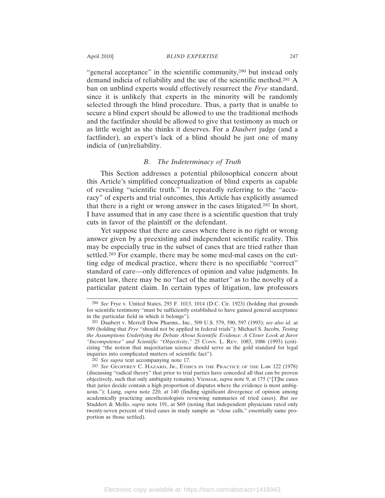"general acceptance" in the scientific community,<sup>280</sup> but instead only demand indicia of reliability and the use of the scientific method.281 A ban on unblind experts would effectively resurrect the *Frye* standard, since it is unlikely that experts in the minority will be randomly selected through the blind procedure. Thus, a party that is unable to secure a blind expert should be allowed to use the traditional methods and the factfinder should be allowed to give that testimony as much or as little weight as she thinks it deserves. For a *Daubert* judge (and a factfinder), an expert's lack of a blind should be just one of many indicia of (un)reliability.

### *B. The Indeterminacy of Truth*

This Section addresses a potential philosophical concern about this Article's simplified conceptualization of blind experts as capable of revealing "scientific truth." In repeatedly referring to the "accuracy" of experts and trial outcomes, this Article has explicitly assumed that there is a right or wrong answer in the cases litigated.282 In short, I have assumed that in any case there is a scientific question that truly cuts in favor of the plaintiff or the defendant.

Yet suppose that there are cases where there is no right or wrong answer given by a preexisting and independent scientific reality. This may be especially true in the subset of cases that are tried rather than settled.283 For example, there may be some med-mal cases on the cutting edge of medical practice, where there is no specifiable "correct" standard of care—only differences of opinion and value judgments. In patent law, there may be no "fact of the matter" as to the novelty of a particular patent claim. In certain types of litigation, law professors

<sup>280</sup> *See* Frye v. United States, 293 F. 1013, 1014 (D.C. Cir. 1923) (holding that grounds for scientific testimony "must be sufficiently established to have gained general acceptance in the particular field in which it belongs").

<sup>281</sup> Daubert v. Merrell Dow Pharms., Inc., 509 U.S. 579, 590, 597 (1993); *see also id.* at 589 (holding that *Frye* "should not be applied in federal trials"); Michael S. Jacobs, *Testing the Assumptions Underlying the Debate About Scientific Evidence: A Closer Look at Juror "Incompetence" and Scientific "Objectivity*,*"* 25 CONN. L. REV. 1083, 1086 (1993) (criticizing "the notion that majoritarian science should serve as the gold standard for legal inquiries into complicated matters of scientific fact").

<sup>282</sup> *See supra* text accompanying note 17.

<sup>283</sup> *See* GEOFFREY C. HAZARD, JR., ETHICS IN THE PRACTICE OF THE LAW 122 (1978) (discussing "radical theory" that prior to trial parties have conceded all that can be proven objectively, such that only ambiguity remains); VIDMAR, *supra* note 9, at 175 ("[T]he cases that juries decide contain a high proportion of disputes where the evidence is most ambiguous."); Liang, *supra* note 220, at 140 (finding significant divergence of opinion among academically practicing anesthesiologists reviewing summaries of tried cases). *But see* Studdert & Mello, *supra* note 191, at S69 (noting that independent physicians rated only twenty-seven percent of tried cases in study sample as "close calls," essentially same proportion as those settled).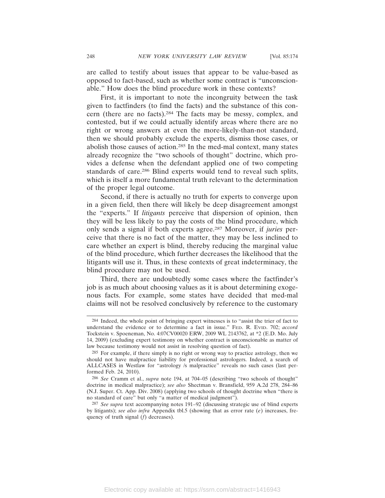are called to testify about issues that appear to be value-based as opposed to fact-based, such as whether some contract is "unconscionable." How does the blind procedure work in these contexts?

First, it is important to note the incongruity between the task given to factfinders (to find the facts) and the substance of this concern (there are no facts).284 The facts may be messy, complex, and contested, but if we could actually identify areas where there are no right or wrong answers at even the more-likely-than-not standard, then we should probably exclude the experts, dismiss those cases, or abolish those causes of action.285 In the med-mal context, many states already recognize the "two schools of thought" doctrine, which provides a defense when the defendant applied one of two competing standards of care.286 Blind experts would tend to reveal such splits, which is itself a more fundamental truth relevant to the determination of the proper legal outcome.

Second, if there is actually no truth for experts to converge upon in a given field, then there will likely be deep disagreement amongst the "experts." If *litigants* perceive that dispersion of opinion, then they will be less likely to pay the costs of the blind procedure, which only sends a signal if both experts agree.287 Moreover, if *juries* perceive that there is no fact of the matter, they may be less inclined to care whether an expert is blind, thereby reducing the marginal value of the blind procedure, which further decreases the likelihood that the litigants will use it. Thus, in these contexts of great indeterminacy, the blind procedure may not be used.

Third, there are undoubtedly some cases where the factfinder's job is as much about choosing values as it is about determining exogenous facts. For example, some states have decided that med-mal claims will not be resolved conclusively by reference to the customary

<sup>284</sup> Indeed, the whole point of bringing expert witnesses is to "assist the trier of fact to understand the evidence or to determine a fact in issue." FED. R. EVID. 702; *accord* Tockstein v. Spoeneman, No. 4:07CV00020 ERW, 2009 WL 2143762, at \*2 (E.D. Mo. July 14, 2009) (excluding expert testimony on whether contract is unconscionable as matter of law because testimony would not assist in resolving question of fact).

<sup>285</sup> For example, if there simply is no right or wrong way to practice astrology, then we should not have malpractice liability for professional astrologers. Indeed, a search of ALLCASES in Westlaw for "astrology /s malpractice" reveals no such cases (last performed Feb. 24, 2010).

<sup>286</sup> *See* Cramm et al., *supra* note 194, at 704–05 (describing "two schools of thought" doctrine in medical malpractice); *see also* Shectman v. Bransfield, 959 A.2d 278, 284–86 (N.J. Super. Ct. App. Div. 2008) (applying two schools of thought doctrine when "there is no standard of care" but only "a matter of medical judgment").

<sup>287</sup> *See supra* text accompanying notes 191–92 (discussing strategic use of blind experts by litigants); *see also infra* Appendix tbl.5 (showing that as error rate (*e*) increases, frequency of truth signal (*f*) decreases).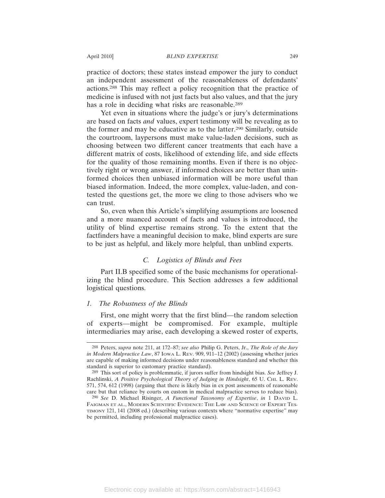April 2010] *BLIND EXPERTISE* 249

practice of doctors; these states instead empower the jury to conduct an independent assessment of the reasonableness of defendants' actions.288 This may reflect a policy recognition that the practice of medicine is infused with not just facts but also values, and that the jury has a role in deciding what risks are reasonable.<sup>289</sup>

Yet even in situations where the judge's or jury's determinations are based on facts *and* values, expert testimony will be revealing as to the former and may be educative as to the latter.290 Similarly, outside the courtroom, laypersons must make value-laden decisions, such as choosing between two different cancer treatments that each have a different matrix of costs, likelihood of extending life, and side effects for the quality of those remaining months. Even if there is no objectively right or wrong answer, if informed choices are better than uninformed choices then unbiased information will be more useful than biased information. Indeed, the more complex, value-laden, and contested the questions get, the more we cling to those advisers who we can trust.

So, even when this Article's simplifying assumptions are loosened and a more nuanced account of facts and values is introduced, the utility of blind expertise remains strong. To the extent that the factfinders have a meaningful decision to make, blind experts are sure to be just as helpful, and likely more helpful, than unblind experts.

### *C. Logistics of Blinds and Fees*

Part II.B specified some of the basic mechanisms for operationalizing the blind procedure. This Section addresses a few additional logistical questions.

#### *1. The Robustness of the Blinds*

First, one might worry that the first blind—the random selection of experts—might be compromised. For example, multiple intermediaries may arise, each developing a skewed roster of experts,

<sup>288</sup> Peters, *supra* note 211, at 172–87; *see also* Philip G. Peters, Jr., *The Role of the Jury in Modern Malpractice Law*, 87 IOWA L. REV. 909, 911–12 (2002) (assessing whether juries are capable of making informed decisions under reasonableness standard and whether this standard is superior to customary practice standard).

<sup>289</sup> This sort of policy is problemmatic, if jurors suffer from hindsight bias. *See* Jeffrey J. Rachlinski, *A Positive Psychological Theory of Judging in Hindsight*, 65 U. CHI. L. REV. 571, 574, 612 (1998) (arguing that there is likely bias in ex post assessments of reasonable care but that reliance by courts on custom in medical malpractice serves to reduce bias).

<sup>290</sup> *See* D. Michael Risinger, *A Functional Taxonomy of Expertise*, *in* 1 DAVID L. FAIGMAN ET AL., MODERN SCIENTIFIC EVIDENCE: THE LAW AND SCIENCE OF EXPERT TES-TIMONY 121, 141 (2008 ed.) (describing various contexts where "normative expertise" may be permitted, including professional malpractice cases).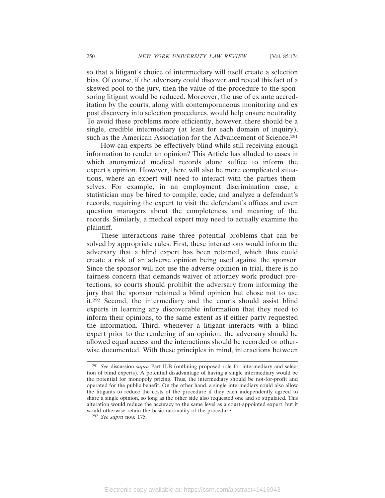so that a litigant's choice of intermediary will itself create a selection bias. Of course, if the adversary could discover and reveal this fact of a skewed pool to the jury, then the value of the procedure to the sponsoring litigant would be reduced. Moreover, the use of ex ante accreditation by the courts, along with contemporaneous monitoring and ex post discovery into selection procedures, would help ensure neutrality. To avoid these problems more efficiently, however, there should be a single, credible intermediary (at least for each domain of inquiry), such as the American Association for the Advancement of Science.<sup>291</sup>

How can experts be effectively blind while still receiving enough information to render an opinion? This Article has alluded to cases in which anonymized medical records alone suffice to inform the expert's opinion. However, there will also be more complicated situations, where an expert will need to interact with the parties themselves. For example, in an employment discrimination case, a statistician may be hired to compile, code, and analyze a defendant's records, requiring the expert to visit the defendant's offices and even question managers about the completeness and meaning of the records. Similarly, a medical expert may need to actually examine the plaintiff.

These interactions raise three potential problems that can be solved by appropriate rules. First, these interactions would inform the adversary that a blind expert has been retained, which thus could create a risk of an adverse opinion being used against the sponsor. Since the sponsor will not use the adverse opinion in trial, there is no fairness concern that demands waiver of attorney work product protections, so courts should prohibit the adversary from informing the jury that the sponsor retained a blind opinion but chose not to use it.292 Second, the intermediary and the courts should assist blind experts in learning any discoverable information that they need to inform their opinions, to the same extent as if either party requested the information. Third, whenever a litigant interacts with a blind expert prior to the rendering of an opinion, the adversary should be allowed equal access and the interactions should be recorded or otherwise documented. With these principles in mind, interactions between

<sup>291</sup> *See* discussion *supra* Part II.B (outlining proposed role for intermediary and selection of blind experts). A potential disadvantage of having a single intermediary would be the potential for monopoly pricing. Thus, the intermediary should be not-for-profit and operated for the public benefit. On the other hand, a single intermediary could also allow the litigants to reduce the costs of the procedure if they each independently agreed to share a single opinion, so long as the other side also requested one and so stipulated. This alteration would reduce the accuracy to the same level as a court-appointed expert, but it would otherwise retain the basic rationality of the procedure.

<sup>292</sup> *See supra* note 175.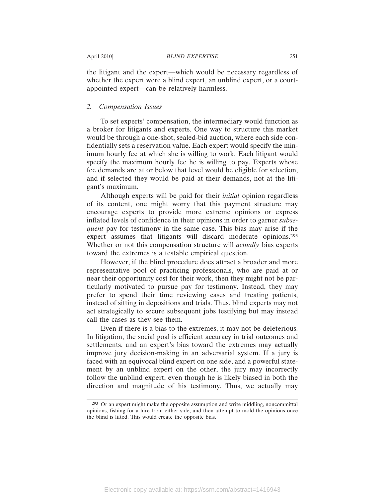the litigant and the expert—which would be necessary regardless of whether the expert were a blind expert, an unblind expert, or a courtappointed expert—can be relatively harmless.

### *2. Compensation Issues*

To set experts' compensation, the intermediary would function as a broker for litigants and experts. One way to structure this market would be through a one-shot, sealed-bid auction, where each side confidentially sets a reservation value. Each expert would specify the minimum hourly fee at which she is willing to work. Each litigant would specify the maximum hourly fee he is willing to pay. Experts whose fee demands are at or below that level would be eligible for selection, and if selected they would be paid at their demands, not at the litigant's maximum.

Although experts will be paid for their *initial* opinion regardless of its content, one might worry that this payment structure may encourage experts to provide more extreme opinions or express inflated levels of confidence in their opinions in order to garner *subsequent* pay for testimony in the same case. This bias may arise if the expert assumes that litigants will discard moderate opinions.<sup>293</sup> Whether or not this compensation structure will *actually* bias experts toward the extremes is a testable empirical question.

However, if the blind procedure does attract a broader and more representative pool of practicing professionals, who are paid at or near their opportunity cost for their work, then they might not be particularly motivated to pursue pay for testimony. Instead, they may prefer to spend their time reviewing cases and treating patients, instead of sitting in depositions and trials. Thus, blind experts may not act strategically to secure subsequent jobs testifying but may instead call the cases as they see them.

Even if there is a bias to the extremes, it may not be deleterious. In litigation, the social goal is efficient accuracy in trial outcomes and settlements, and an expert's bias toward the extremes may actually improve jury decision-making in an adversarial system. If a jury is faced with an equivocal blind expert on one side, and a powerful statement by an unblind expert on the other, the jury may incorrectly follow the unblind expert, even though he is likely biased in both the direction and magnitude of his testimony. Thus, we actually may

<sup>293</sup> Or an expert might make the opposite assumption and write middling, noncommittal opinions, fishing for a hire from either side, and then attempt to mold the opinions once the blind is lifted. This would create the opposite bias.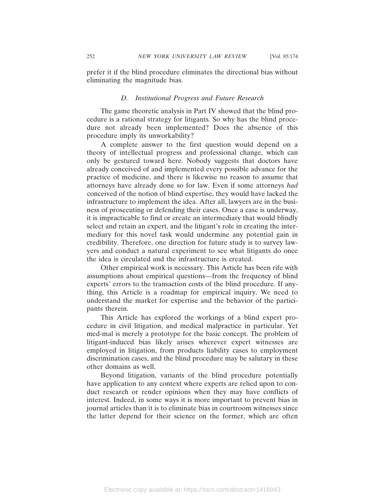prefer it if the blind procedure eliminates the directional bias without eliminating the magnitude bias.

### *D. Institutional Progress and Future Research*

The game theoretic analysis in Part IV showed that the blind procedure is a rational strategy for litigants. So why has the blind procedure not already been implemented? Does the absence of this procedure imply its unworkability?

A complete answer to the first question would depend on a theory of intellectual progress and professional change, which can only be gestured toward here. Nobody suggests that doctors have already conceived of and implemented every possible advance for the practice of medicine, and there is likewise no reason to assume that attorneys have already done so for law. Even if some attorneys *had* conceived of the notion of blind expertise, they would have lacked the infrastructure to implement the idea. After all, lawyers are in the business of prosecuting or defending their cases. Once a case is underway, it is impracticable to find or create an intermediary that would blindly select and retain an expert, and the litigant's role in creating the intermediary for this novel task would undermine any potential gain in credibility. Therefore, one direction for future study is to survey lawyers and conduct a natural experiment to see what litigants do once the idea is circulated and the infrastructure is created.

Other empirical work is necessary. This Article has been rife with assumptions about empirical questions—from the frequency of blind experts' errors to the transaction costs of the blind procedure. If anything, this Article is a roadmap for empirical inquiry. We need to understand the market for expertise and the behavior of the participants therein.

This Article has explored the workings of a blind expert procedure in civil litigation, and medical malpractice in particular. Yet med-mal is merely a prototype for the basic concept. The problem of litigant-induced bias likely arises wherever expert witnesses are employed in litigation, from products liability cases to employment discrimination cases, and the blind procedure may be salutary in these other domains as well.

Beyond litigation, variants of the blind procedure potentially have application to any context where experts are relied upon to conduct research or render opinions when they may have conflicts of interest. Indeed, in some ways it is more important to prevent bias in journal articles than it is to eliminate bias in courtroom witnesses since the latter depend for their science on the former, which are often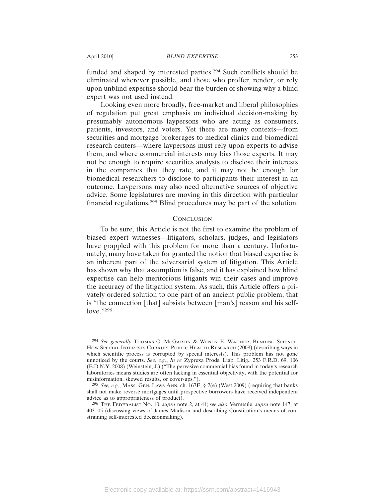funded and shaped by interested parties.294 Such conflicts should be eliminated wherever possible, and those who proffer, render, or rely upon unblind expertise should bear the burden of showing why a blind expert was not used instead.

Looking even more broadly, free-market and liberal philosophies of regulation put great emphasis on individual decision-making by presumably autonomous laypersons who are acting as consumers, patients, investors, and voters. Yet there are many contexts—from securities and mortgage brokerages to medical clinics and biomedical research centers—where laypersons must rely upon experts to advise them, and where commercial interests may bias those experts. It may not be enough to require securities analysts to disclose their interests in the companies that they rate, and it may not be enough for biomedical researchers to disclose to participants their interest in an outcome. Laypersons may also need alternative sources of objective advice. Some legislatures are moving in this direction with particular financial regulations.295 Blind procedures may be part of the solution.

#### **CONCLUSION**

To be sure, this Article is not the first to examine the problem of biased expert witnesses—litigators, scholars, judges, and legislators have grappled with this problem for more than a century. Unfortunately, many have taken for granted the notion that biased expertise is an inherent part of the adversarial system of litigation. This Article has shown why that assumption is false, and it has explained how blind expertise can help meritorious litigants win their cases and improve the accuracy of the litigation system. As such, this Article offers a privately ordered solution to one part of an ancient public problem, that is "the connection [that] subsists between [man's] reason and his selflove."296

<sup>294</sup> *See generally* THOMAS O. MCGARITY & WENDY E. WAGNER, BENDING SCIENCE: HOW SPECIAL INTERESTS CORRUPT PUBLIC HEALTH RESEARCH (2008) (describing ways in which scientific process is corrupted by special interests). This problem has not gone unnoticed by the courts. *See, e.g.*, *In re* Zyprexa Prods. Liab. Litig., 253 F.R.D. 69, 106 (E.D.N.Y. 2008) (Weinstein, J.) ("The pervasive commercial bias found in today's research laboratories means studies are often lacking in essential objectivity, with the potential for misinformation, skewed results, or cover-ups.").

<sup>295</sup> *See, e.g.*, MASS. GEN. LAWS ANN. ch. 167E, § 7(e) (West 2009) (requiring that banks shall not make reverse mortgages until prospective borrowers have received independent advice as to appropriateness of product).

<sup>296</sup> THE FEDERALIST NO. 10, *supra* note 2, at 41; *see also* Vermeule, *supra* note 147, at 403–05 (discussing views of James Madison and describing Constitution's means of constraining self-interested decisionmaking).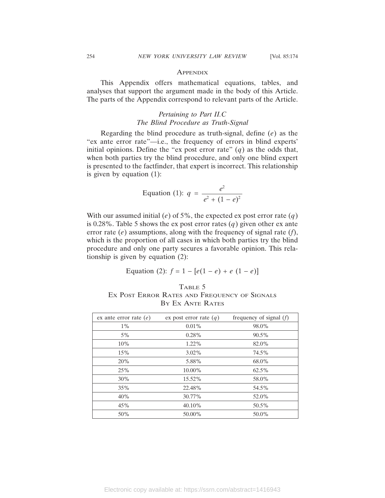#### **APPENDIX**

This Appendix offers mathematical equations, tables, and analyses that support the argument made in the body of this Article. The parts of the Appendix correspond to relevant parts of the Article.

# *Pertaining to Part II.C The Blind Procedure as Truth-Signal*

Regarding the blind procedure as truth-signal, define (*e*) as the "ex ante error rate"—i.e., the frequency of errors in blind experts' initial opinions. Define the "ex post error rate"  $(q)$  as the odds that, when both parties try the blind procedure, and only one blind expert is presented to the factfinder, that expert is incorrect. This relationship is given by equation (1):

Equation (1): 
$$
q = \frac{e^2}{e^2 + (1 - e)^2}
$$

With our assumed initial (*e*) of 5%, the expected ex post error rate (*q*) is 0.28%. Table 5 shows the ex post error rates  $(q)$  given other ex ante error rate (*e*) assumptions, along with the frequency of signal rate (*f*), which is the proportion of all cases in which both parties try the blind procedure and only one party secures a favorable opinion. This relationship is given by equation (2):

Equation (2): 
$$
f = 1 - [e(1 - e) + e(1 - e)]
$$

# TABLE 5 EX POST ERROR RATES AND FREQUENCY OF SIGNALS BY EX ANTE RATES

| ex ante error rate $(e)$ | ex post error rate $(q)$ | frequency of signal $(f)$ |
|--------------------------|--------------------------|---------------------------|
| $1\%$                    | $0.01\%$                 | 98.0%                     |
| $5\%$                    | $0.28\%$                 | $90.5\%$                  |
| 10%                      | $1.22\%$                 | 82.0%                     |
| 15%                      | $3.02\%$                 | 74.5%                     |
| 20%                      | 5.88%                    | 68.0%                     |
| 25%                      | 10.00%                   | 62.5%                     |
| $30\%$                   | 15.52%                   | 58.0%                     |
| 35%                      | 22.48%                   | 54.5%                     |
| 40%                      | 30.77%                   | 52.0%                     |
| 45%                      | 40.10%                   | 50.5%                     |
| 50%                      | 50.00%                   | $50.0\%$                  |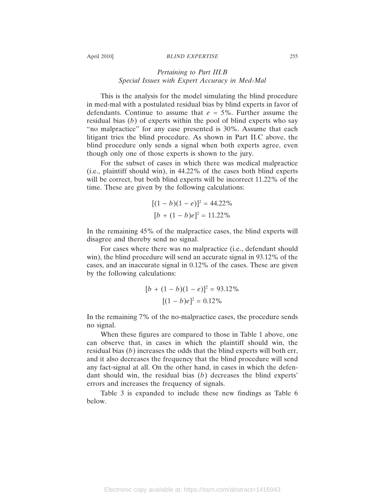#### April 2010] *BLIND EXPERTISE* 255

# *Pertaining to Part III.B Special Issues with Expert Accuracy in Med-Mal*

This is the analysis for the model simulating the blind procedure in med-mal with a postulated residual bias by blind experts in favor of defendants. Continue to assume that *e* = 5%. Further assume the residual bias (*b*) of experts within the pool of blind experts who say "no malpractice" for any case presented is 30%. Assume that each litigant tries the blind procedure. As shown in Part II.C above, the blind procedure only sends a signal when both experts agree, even though only one of those experts is shown to the jury.

For the subset of cases in which there was medical malpractice (i.e., plaintiff should win), in 44.22% of the cases both blind experts will be correct, but both blind experts will be incorrect 11.22% of the time. These are given by the following calculations:

$$
[(1 - b)(1 - e)]^2 = 44.22\%
$$
  

$$
[b + (1 - b)e]^2 = 11.22\%
$$

In the remaining 45% of the malpractice cases, the blind experts will disagree and thereby send no signal.

For cases where there was no malpractice (i.e., defendant should win), the blind procedure will send an accurate signal in 93.12% of the cases, and an inaccurate signal in 0.12% of the cases. These are given by the following calculations:

$$
[b + (1 - b)(1 - e)]^2 = 93.12\%
$$

$$
[(1 - b)e]^2 = 0.12\%
$$

In the remaining 7% of the no-malpractice cases, the procedure sends no signal.

When these figures are compared to those in Table 1 above, one can observe that, in cases in which the plaintiff should win, the residual bias (*b*) increases the odds that the blind experts will both err, and it also decreases the frequency that the blind procedure will send any fact-signal at all. On the other hand, in cases in which the defendant should win, the residual bias (*b*) decreases the blind experts' errors and increases the frequency of signals.

Table 3 is expanded to include these new findings as Table 6 below.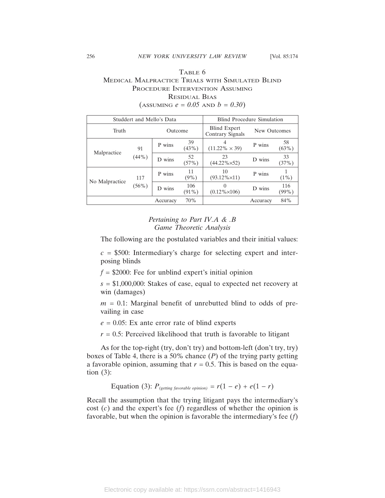# TABLE 6 MEDICAL MALPRACTICE TRIALS WITH SIMULATED BLIND PROCEDURE INTERVENTION ASSUMING RESIDUAL BIAS  $($ ASSUMING  $e = 0.05$  AND  $b = 0.30$

| Studdert and Mello's Data |                 |           | Blind Procedure Simulation |                                         |              |              |
|---------------------------|-----------------|-----------|----------------------------|-----------------------------------------|--------------|--------------|
| Truth                     |                 | Outcome   |                            | <b>Blind Expert</b><br>Contrary Signals | New Outcomes |              |
| Malpractice               | 91<br>$(44\%)$  | P wins    | 39<br>(43%)                | 4<br>$(11.22\% \times 39)$              | P wins       | 58<br>(63%)  |
|                           |                 | D wins    | 52<br>(57%)                | 23<br>$(44.22\% \times 52)$             | D wins       | 33<br>(37%)  |
| No Malpractice            | 117<br>$(56\%)$ | P wins    | 11<br>$(9\%)$              | 10<br>$(93.12\% \times 11)$             | P wins       | $(1\%)$      |
|                           |                 | wins<br>D | 106<br>$(91\%)$            | $\Omega$<br>$(0.12\% \times 106)$       | D wins       | 116<br>(99%) |
|                           |                 | Accuracy  | 70%                        |                                         | Accuracy     | 84%          |

# *Pertaining to Part IV.A & .B Game Theoretic Analysis*

The following are the postulated variables and their initial values:

 $c = $500$ : Intermediary's charge for selecting expert and interposing blinds

 $f = $2000$ : Fee for unblind expert's initial opinion

*s* = \$1,000,000: Stakes of case, equal to expected net recovery at win (damages)

*m* = 0.1: Marginal benefit of unrebutted blind to odds of prevailing in case

 $e = 0.05$ : Ex ante error rate of blind experts

 $r = 0.5$ : Perceived likelihood that truth is favorable to litigant

As for the top-right (try, don't try) and bottom-left (don't try, try) boxes of Table 4, there is a 50% chance (*P*) of the trying party getting a favorable opinion, assuming that  $r = 0.5$ . This is based on the equation  $(3)$ :

Equation (3):  $P_{(getting\,favorable\, opinion)} = r(1 - e) + e(1 - r)$ 

Recall the assumption that the trying litigant pays the intermediary's cost (*c*) and the expert's fee (*f*) regardless of whether the opinion is favorable, but when the opinion is favorable the intermediary's fee (*f*)